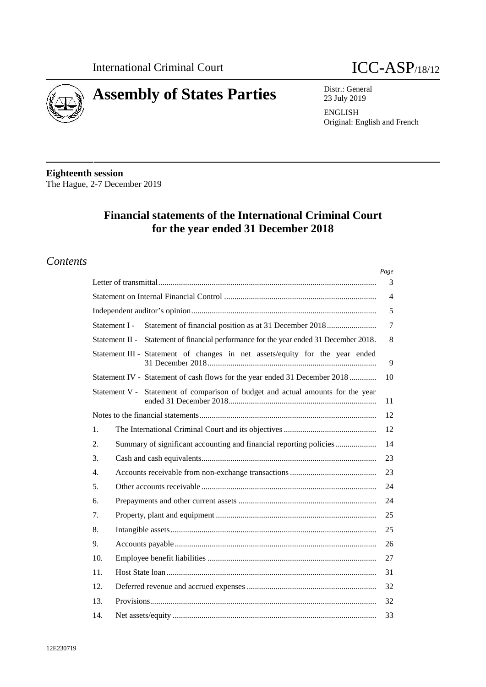



Distr.: General 23 July 2019

**ENGLISH** Original: English and French

**Eighteenth session** The Hague, 2-7 December 2019

# **Financial statements of the International Criminal Court** for the year ended 31 December 2018

## **Contents**

|                                                                                           | Page           |
|-------------------------------------------------------------------------------------------|----------------|
|                                                                                           | 3              |
|                                                                                           | $\overline{4}$ |
|                                                                                           | 5              |
| Statement of financial position as at 31 December 2018<br>Statement I -                   | 7              |
| Statement of financial performance for the year ended 31 December 2018.<br>Statement II - | 8              |
| Statement III - Statement of changes in net assets/equity for the year ended              | 9              |
| Statement IV - Statement of cash flows for the year ended 31 December 2018                | 10             |
| Statement V - Statement of comparison of budget and actual amounts for the year           | 11             |
|                                                                                           | 12             |
| 1.                                                                                        | 12             |
| Summary of significant accounting and financial reporting policies<br>2.                  | 14             |
| 3.                                                                                        | 23             |
| 4.                                                                                        | 23             |
| 5.                                                                                        | 24             |
| 6.                                                                                        | 24             |
| 7.                                                                                        | 25             |
| 8.                                                                                        | 25             |
| 9.                                                                                        | 26             |
| 10.                                                                                       | 27             |
| 11.                                                                                       | 31             |
| 12.                                                                                       | 32             |
| 13.                                                                                       | 32             |
| 14.                                                                                       | 33             |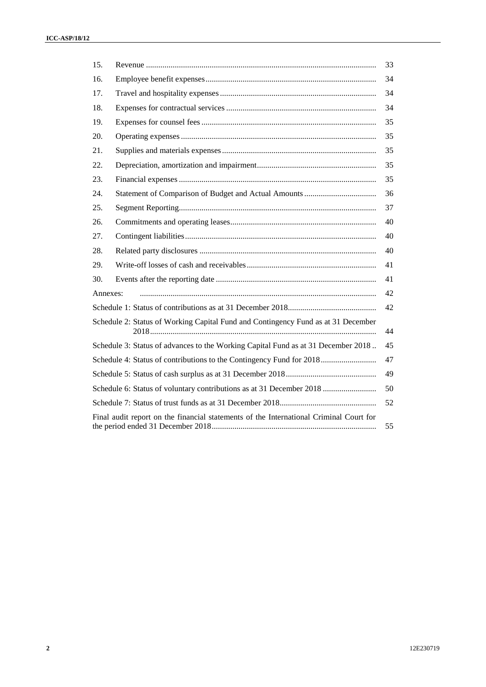| 15.      |                                                                                        | 33 |
|----------|----------------------------------------------------------------------------------------|----|
| 16.      |                                                                                        | 34 |
| 17.      |                                                                                        | 34 |
| 18.      |                                                                                        | 34 |
| 19.      |                                                                                        | 35 |
| 20.      |                                                                                        | 35 |
| 21.      |                                                                                        | 35 |
| 22.      |                                                                                        | 35 |
| 23.      |                                                                                        | 35 |
| 24.      |                                                                                        | 36 |
| 25.      |                                                                                        | 37 |
| 26.      |                                                                                        | 40 |
| 27.      |                                                                                        | 40 |
| 28.      |                                                                                        | 40 |
| 29.      |                                                                                        | 41 |
| 30.      |                                                                                        | 41 |
| Annexes: |                                                                                        | 42 |
|          |                                                                                        | 42 |
|          | Schedule 2: Status of Working Capital Fund and Contingency Fund as at 31 December      | 44 |
|          | Schedule 3: Status of advances to the Working Capital Fund as at 31 December 2018      | 45 |
|          | Schedule 4: Status of contributions to the Contingency Fund for 2018                   | 47 |
|          |                                                                                        | 49 |
|          | Schedule 6: Status of voluntary contributions as at 31 December 2018                   | 50 |
|          |                                                                                        | 52 |
|          | Final audit report on the financial statements of the International Criminal Court for | 55 |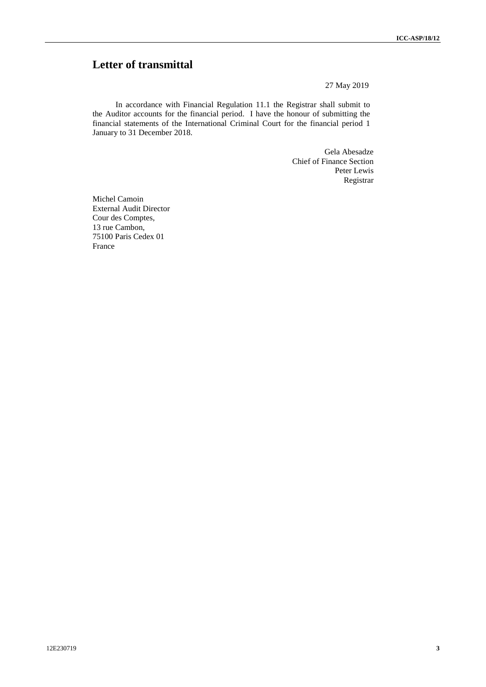# **Letter of transmittal**

27 May 2019

In accordance with Financial Regulation 11.1 the Registrar shall submit to the Auditor accounts for the financial period. I have the honour of submitting the financial statements of the International Criminal Court for the financial period 1 January to 31 December 2018.

> Gela Abesadze Chief of Finance Section Peter Lewis Registrar

Michel Camoin External Audit Director Cour des Comptes, 13 rue Cambon, 75100 Paris Cedex 01 France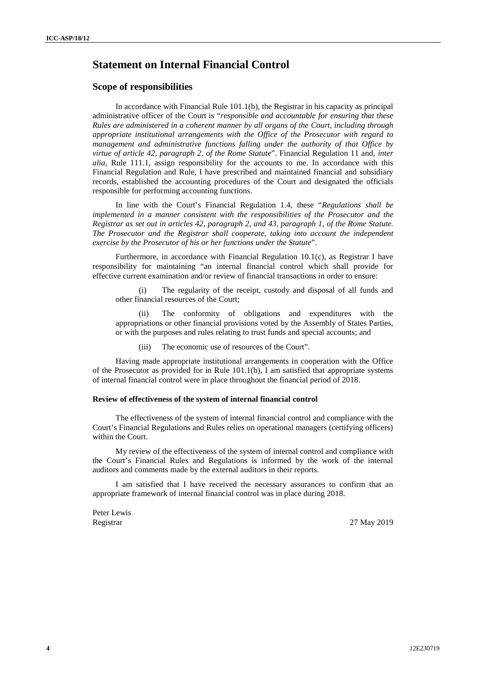# **Statement on Internal Financial Control**

#### **Scope of responsibilities**

In accordance with Financial Rule 101.1(b), the Registrar in his capacity as principal administrative officer of the Court is "*responsible and accountable for ensuring that these Rules are administered in a coherent manner by all organs of the Court, including through appropriate institutional arrangements with the Office of the Prosecutor with regard to management and administrative functions falling under the authority of that Office by virtue of article 42, paragraph 2, of the Rome Statute*". Financial Regulation 11 and, *inter alia*, Rule 111.1, assign responsibility for the accounts to me. In accordance with this Financial Regulation and Rule, I have prescribed and maintained financial and subsidiary records, established the accounting procedures of the Court and designated the officials responsible for performing accounting functions.

In line with the Court's Financial Regulation 1.4, these "*Regulations shall be implemented in a manner consistent with the responsibilities of the Prosecutor and the Registrar as set out in articles 42, paragraph 2, and 43, paragraph 1, of the Rome Statute. The Prosecutor and the Registrar shall cooperate, taking into account the independent exercise by the Prosecutor of his or her functions under the Statute*".

Furthermore, in accordance with Financial Regulation 10.1(c), as Registrar I have responsibility for maintaining "an internal financial control which shall provide for effective current examination and/or review of financial transactions in order to ensure:

(i) The regularity of the receipt, custody and disposal of all funds and other financial resources of the Court;

(ii) The conformity of obligations and expenditures with the appropriations or other financial provisions voted by the Assembly of States Parties, or with the purposes and rules relating to trust funds and special accounts; and

(iii) The economic use of resources of the Court".

Having made appropriate institutional arrangements in cooperation with the Office of the Prosecutor as provided for in Rule 101.1(b), I am satisfied that appropriate systems of internal financial control were in place throughout the financial period of 2018.

#### **Review of effectiveness of the system of internal financial control**

The effectiveness of the system of internal financial control and compliance with the Court's Financial Regulations and Rules relies on operational managers (certifying officers) within the Court.

My review of the effectiveness of the system of internal control and compliance with the Court's Financial Rules and Regulations is informed by the work of the internal auditors and comments made by the external auditors in their reports.

I am satisfied that I have received the necessary assurances to confirm that an appropriate framework of internal financial control was in place during 2018.

Peter Lewis Registrar 27 May 2019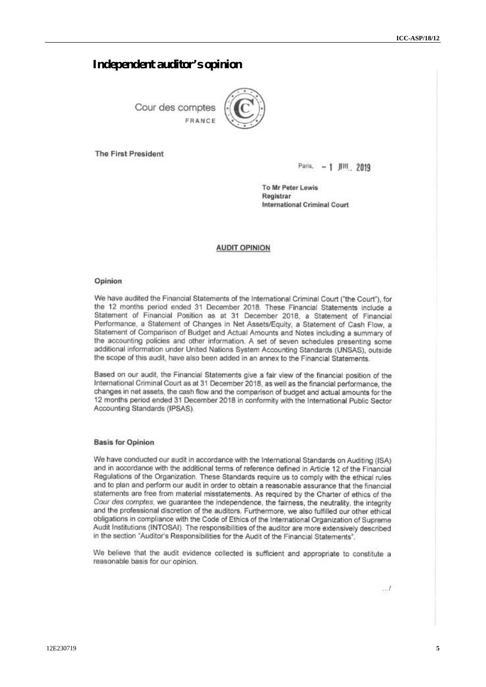## **Independent auditor's opinion**

Cour des comptes FRANCE



**The First President** 

Paris, - 1 JIII, 2019

To Mr Peter Lewis Registrar **International Criminal Court** 

#### **AUDIT OPINION**

#### Opinion

We have audited the Financial Statements of the International Criminal Court ("the Court"), for the 12 months period ended 31 December 2018. These Financial Statements include a Statement of Financial Position as at 31 December 2018, a Statement of Financial Performance, a Statement of Changes in Net Assets/Equity, a Statement of Cash Flow, a Statement of Comparison of Budget and Actual Amounts and Notes including a summary of the accounting policies and other information. A set of seven schedules presenting some additional information under United Nations System Accounting Standards (UNSAS), outside the scope of this audit, have also been added in an annex to the Financial Statements.

Based on our audit, the Financial Statements give a fair view of the financial position of the International Criminal Court as at 31 December 2018, as well as the financial performance, the changes in net assets, the cash flow and the comparison of budget and actual amounts for the 12 months period ended 31 December 2018 in conformity with the International Public Sector Accounting Standards (IPSAS).

#### **Basis for Opinion**

We have conducted our audit in accordance with the International Standards on Auditing (ISA) and in accordance with the additional terms of reference defined in Article 12 of the Financial Regulations of the Organization. These Standards require us to comply with the ethical rules and to plan and perform our audit in order to obtain a reasonable assurance that the financial statements are free from material misstatements. As required by the Charter of ethics of the Cour des comptes, we guarantee the independence, the fairness, the neutrality, the integrity and the professional discretion of the auditors. Furthermore, we also fulfilled our other ethical obligations in compliance with the Code of Ethics of the International Organization of Supreme Audit Institutions (INTOSAI). The responsibilities of the auditor are more extensively described in the section "Auditor's Responsibilities for the Audit of the Financial Statements".

We believe that the audit evidence collected is sufficient and appropriate to constitute a reasonable basis for our opinion.

 $\ldots l$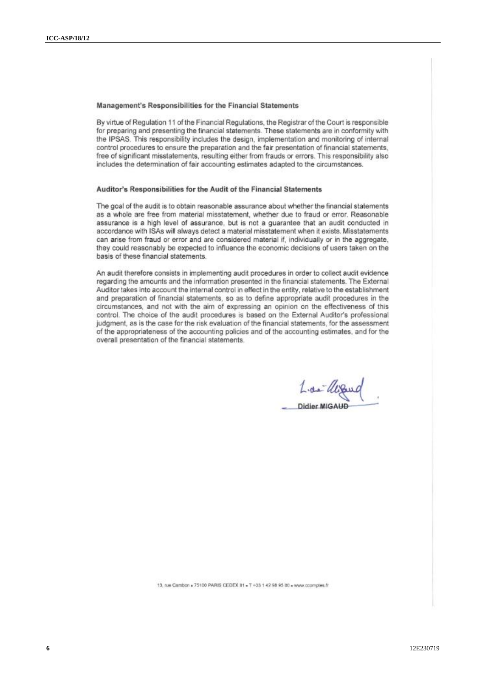#### Management's Responsibilities for the Financial Statements

By virtue of Regulation 11 of the Financial Regulations, the Registrar of the Court is responsible for preparing and presenting the financial statements. These statements are in conformity with the IPSAS. This responsibility includes the design, implementation and monitoring of internal control procedures to ensure the preparation and the fair presentation of financial statements, free of significant misstatements, resulting either from frauds or errors. This responsibility also includes the determination of fair accounting estimates adapted to the circumstances.

#### Auditor's Responsibilities for the Audit of the Financial Statements

The goal of the audit is to obtain reasonable assurance about whether the financial statements as a whole are free from material misstatement, whether due to fraud or error. Reasonable assurance is a high level of assurance, but is not a quarantee that an audit conducted in accordance with ISAs will always detect a material misstatement when it exists. Misstatements can arise from fraud or error and are considered material if, individually or in the aggregate, they could reasonably be expected to influence the economic decisions of users taken on the basis of these financial statements.

An audit therefore consists in implementing audit procedures in order to collect audit evidence regarding the amounts and the information presented in the financial statements. The External Auditor takes into account the internal control in effect in the entity, relative to the establishment and preparation of financial statements, so as to define appropriate audit procedures in the circumstances, and not with the aim of expressing an opinion on the effectiveness of this control. The choice of the audit procedures is based on the External Auditor's professional judgment, as is the case for the risk evaluation of the financial statements, for the assessment of the appropriateness of the accounting policies and of the accounting estimates, and for the overall presentation of the financial statements.

Lide ULS Didier MIGAUD

13. rue Cambon + 75100 PARIS CEDEX 01 + T +33 1 42 98 95 00 + www.cccmcres.fr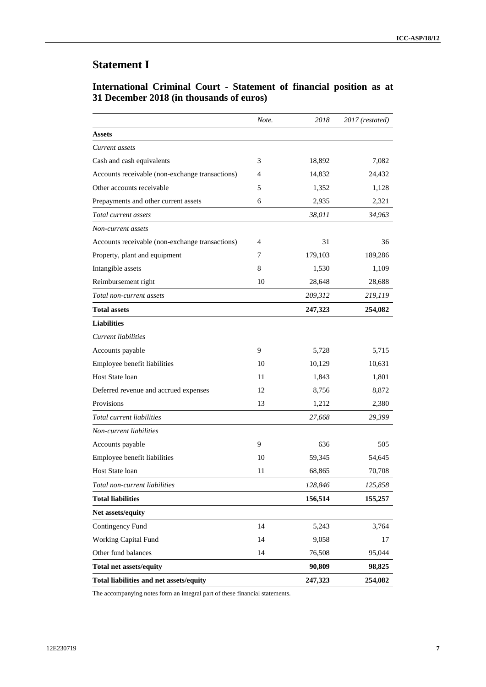# **Statement I**

## **International Criminal Court - Statement of financial position as at 31 December 2018 (in thousands of euros)**

|                                                 | Note. | 2018    | 2017 (restated) |
|-------------------------------------------------|-------|---------|-----------------|
| <b>Assets</b>                                   |       |         |                 |
| Current assets                                  |       |         |                 |
| Cash and cash equivalents                       | 3     | 18,892  | 7,082           |
| Accounts receivable (non-exchange transactions) | 4     | 14,832  | 24,432          |
| Other accounts receivable                       | 5     | 1,352   | 1,128           |
| Prepayments and other current assets            | 6     | 2,935   | 2,321           |
| Total current assets                            |       | 38,011  | 34,963          |
| Non-current assets                              |       |         |                 |
| Accounts receivable (non-exchange transactions) | 4     | 31      | 36              |
| Property, plant and equipment                   | 7     | 179,103 | 189,286         |
| Intangible assets                               | 8     | 1,530   | 1,109           |
| Reimbursement right                             | 10    | 28,648  | 28,688          |
| Total non-current assets                        |       | 209,312 | 219,119         |
| <b>Total assets</b>                             |       | 247,323 | 254,082         |
| <b>Liabilities</b>                              |       |         |                 |
| Current liabilities                             |       |         |                 |
| Accounts payable                                | 9     | 5,728   | 5,715           |
| Employee benefit liabilities                    | 10    | 10,129  | 10,631          |
| Host State loan                                 | 11    | 1,843   | 1,801           |
| Deferred revenue and accrued expenses           | 12    | 8,756   | 8,872           |
| Provisions                                      | 13    | 1,212   | 2,380           |
| Total current liabilities                       |       | 27,668  | 29,399          |
| Non-current liabilities                         |       |         |                 |
| Accounts payable                                | 9     | 636     | 505             |
| Employee benefit liabilities                    | 10    | 59,345  | 54,645          |
| Host State loan                                 | 11    | 68,865  | 70,708          |
| Total non-current liabilities                   |       | 128,846 | 125,858         |
| <b>Total liabilities</b>                        |       | 156,514 | 155,257         |
| Net assets/equity                               |       |         |                 |
| Contingency Fund                                | 14    | 5,243   | 3,764           |
| Working Capital Fund                            | 14    | 9,058   | 17              |
| Other fund balances                             | 14    | 76,508  | 95,044          |
| <b>Total net assets/equity</b>                  |       | 90,809  | 98,825          |
| Total liabilities and net assets/equity         |       | 247,323 | 254,082         |

The accompanying notes form an integral part of these financial statements.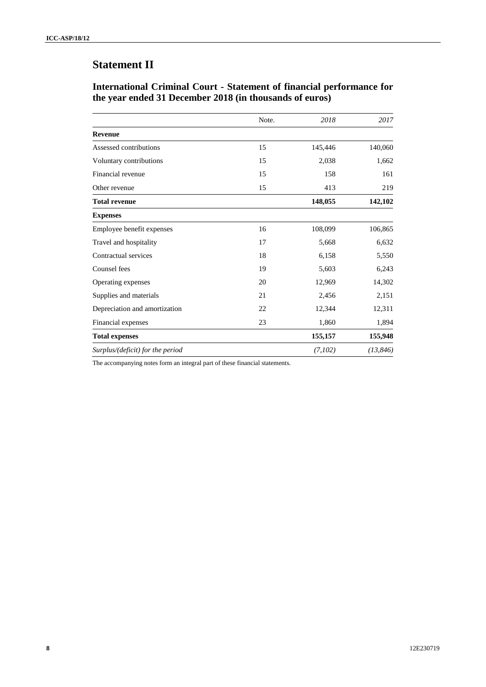# **Statement II**

## **International Criminal Court - Statement of financial performance for the year ended 31 December 2018 (in thousands of euros)**

|                                  | Note. | 2018    | 2017      |
|----------------------------------|-------|---------|-----------|
| <b>Revenue</b>                   |       |         |           |
| Assessed contributions           | 15    | 145,446 | 140,060   |
| Voluntary contributions          | 15    | 2,038   | 1,662     |
| Financial revenue                | 15    | 158     | 161       |
| Other revenue                    | 15    | 413     | 219       |
| <b>Total revenue</b>             |       | 148,055 | 142,102   |
| <b>Expenses</b>                  |       |         |           |
| Employee benefit expenses        | 16    | 108,099 | 106,865   |
| Travel and hospitality           | 17    | 5,668   | 6,632     |
| Contractual services             | 18    | 6,158   | 5,550     |
| Counsel fees                     | 19    | 5,603   | 6,243     |
| Operating expenses               | 20    | 12,969  | 14,302    |
| Supplies and materials           | 21    | 2,456   | 2,151     |
| Depreciation and amortization    | 22    | 12,344  | 12,311    |
| Financial expenses               | 23    | 1,860   | 1,894     |
| <b>Total expenses</b>            |       | 155,157 | 155,948   |
| Surplus/(deficit) for the period |       | (7,102) | (13, 846) |

The accompanying notes form an integral part of these financial statements.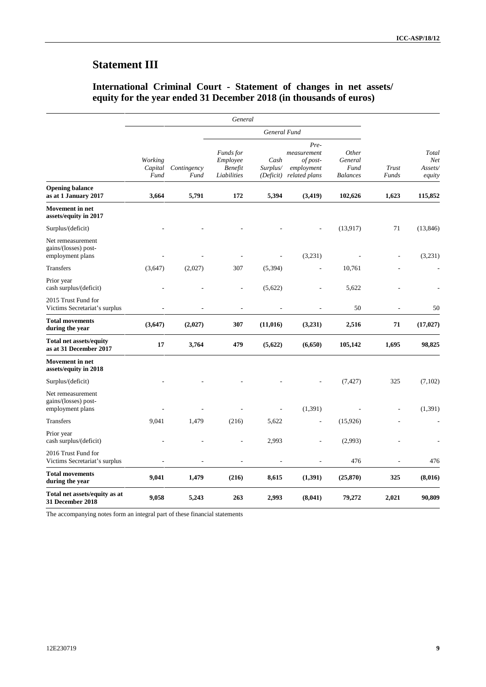# **Statement III**

## **International Criminal Court - Statement of changes in net assets/ equity for the year ended 31 December 2018 (in thousands of euros)**

|                                                               |                            |                     | General                                         |                               |                                                                |                                             |                |                                          |
|---------------------------------------------------------------|----------------------------|---------------------|-------------------------------------------------|-------------------------------|----------------------------------------------------------------|---------------------------------------------|----------------|------------------------------------------|
|                                                               | General Fund               |                     |                                                 |                               |                                                                |                                             |                |                                          |
|                                                               | Working<br>Capital<br>Fund | Contingency<br>Fund | Funds for<br>Employee<br>Benefit<br>Liabilities | Cash<br>Surplus/<br>(Deficit) | Pre-<br>measurement<br>of post-<br>employment<br>related plans | Other<br>General<br>Fund<br><b>Balances</b> | Trust<br>Funds | Total<br><b>Net</b><br>Assets/<br>equity |
| <b>Opening balance</b><br>as at 1 January 2017                | 3,664                      | 5,791               | 172                                             | 5,394                         | (3, 419)                                                       | 102,626                                     | 1,623          | 115,852                                  |
| <b>Movement</b> in net<br>assets/equity in 2017               |                            |                     |                                                 |                               |                                                                |                                             |                |                                          |
| Surplus/(deficit)                                             |                            |                     |                                                 |                               |                                                                | (13, 917)                                   | 71             | (13, 846)                                |
| Net remeasurement<br>gains/(losses) post-<br>employment plans |                            |                     |                                                 |                               | (3,231)                                                        |                                             |                | (3,231)                                  |
| <b>Transfers</b>                                              | (3,647)                    | (2,027)             | 307                                             | (5, 394)                      |                                                                | 10,761                                      |                |                                          |
| Prior year<br>cash surplus/(deficit)                          |                            |                     |                                                 | (5,622)                       | L,                                                             | 5,622                                       |                |                                          |
| 2015 Trust Fund for<br>Victims Secretariat's surplus          | L,                         |                     | L,                                              |                               | L,                                                             | 50                                          | L,             | 50                                       |
| <b>Total movements</b><br>during the year                     | (3,647)                    | (2,027)             | 307                                             | (11, 016)                     | (3,231)                                                        | 2,516                                       | 71             | (17, 027)                                |
| <b>Total net assets/equity</b><br>as at 31 December 2017      | 17                         | 3,764               | 479                                             | (5,622)                       | (6,650)                                                        | 105,142                                     | 1,695          | 98,825                                   |
| <b>Movement</b> in net<br>assets/equity in 2018               |                            |                     |                                                 |                               |                                                                |                                             |                |                                          |
| Surplus/(deficit)                                             |                            |                     |                                                 |                               |                                                                | (7, 427)                                    | 325            | (7,102)                                  |
| Net remeasurement<br>gains/(losses) post-<br>employment plans |                            |                     |                                                 | L,                            | (1, 391)                                                       |                                             |                | (1, 391)                                 |
| <b>Transfers</b>                                              | 9,041                      | 1,479               | (216)                                           | 5,622                         | Ĭ.                                                             | (15,926)                                    |                |                                          |
| Prior year<br>cash surplus/(deficit)                          |                            |                     |                                                 | 2,993                         | $\overline{a}$                                                 | (2,993)                                     |                |                                          |
| 2016 Trust Fund for<br>Victims Secretariat's surplus          |                            |                     | $\overline{a}$                                  | $\overline{a}$                | $\overline{a}$                                                 | 476                                         | $\overline{a}$ | 476                                      |
| <b>Total movements</b><br>during the year                     | 9,041                      | 1,479               | (216)                                           | 8,615                         | (1, 391)                                                       | (25, 870)                                   | 325            | (8,016)                                  |
| Total net assets/equity as at<br>31 December 2018             | 9,058                      | 5,243               | 263                                             | 2,993                         | (8,041)                                                        | 79,272                                      | 2,021          | 90,809                                   |

The accompanying notes form an integral part of these financial statements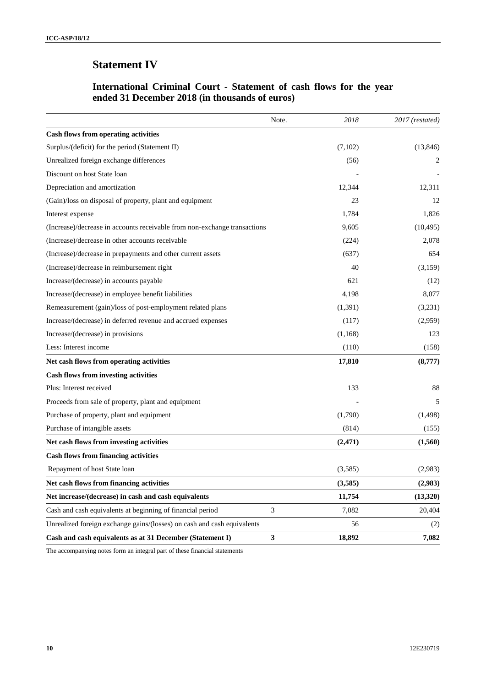# **Statement IV**

## **International Criminal Court - Statement of cash flows for the year ended 31 December 2018 (in thousands of euros)**

|                                                                           | Note.        | 2018     | 2017 (restated) |
|---------------------------------------------------------------------------|--------------|----------|-----------------|
| <b>Cash flows from operating activities</b>                               |              |          |                 |
| Surplus/(deficit) for the period (Statement II)                           |              | (7,102)  | (13, 846)       |
| Unrealized foreign exchange differences                                   |              | (56)     | 2               |
| Discount on host State loan                                               |              |          |                 |
| Depreciation and amortization                                             |              | 12,344   | 12,311          |
| (Gain)/loss on disposal of property, plant and equipment                  |              | 23       | 12              |
| Interest expense                                                          |              | 1,784    | 1,826           |
| (Increase)/decrease in accounts receivable from non-exchange transactions |              | 9,605    | (10, 495)       |
| (Increase)/decrease in other accounts receivable                          |              | (224)    | 2,078           |
| (Increase)/decrease in prepayments and other current assets               |              | (637)    | 654             |
| (Increase)/decrease in reimbursement right                                |              | 40       | (3,159)         |
| Increase/(decrease) in accounts payable                                   |              | 621      | (12)            |
| Increase/(decrease) in employee benefit liabilities                       |              | 4,198    | 8,077           |
| Remeasurement (gain)/loss of post-employment related plans                |              | (1,391)  | (3,231)         |
| Increase/(decrease) in deferred revenue and accrued expenses              |              | (117)    | (2,959)         |
| Increase/(decrease) in provisions                                         |              | (1,168)  | 123             |
| Less: Interest income                                                     |              | (110)    | (158)           |
| Net cash flows from operating activities                                  |              | 17,810   | (8,777)         |
| <b>Cash flows from investing activities</b>                               |              |          |                 |
| Plus: Interest received                                                   |              | 133      | 88              |
| Proceeds from sale of property, plant and equipment                       |              |          | 5               |
| Purchase of property, plant and equipment                                 |              | (1,790)  | (1, 498)        |
| Purchase of intangible assets                                             |              | (814)    | (155)           |
| Net cash flows from investing activities                                  |              | (2, 471) | (1,560)         |
| <b>Cash flows from financing activities</b>                               |              |          |                 |
| Repayment of host State loan                                              |              | (3,585)  | (2,983)         |
| Net cash flows from financing activities                                  |              | (3,585)  | (2,983)         |
| Net increase/(decrease) in cash and cash equivalents                      |              | 11,754   | (13,320)        |
| Cash and cash equivalents at beginning of financial period                | 3            | 7,082    | 20,404          |
| Unrealized foreign exchange gains/(losses) on cash and cash equivalents   |              | 56       | (2)             |
| Cash and cash equivalents as at 31 December (Statement I)                 | $\mathbf{3}$ | 18,892   | 7,082           |

The accompanying notes form an integral part of these financial statements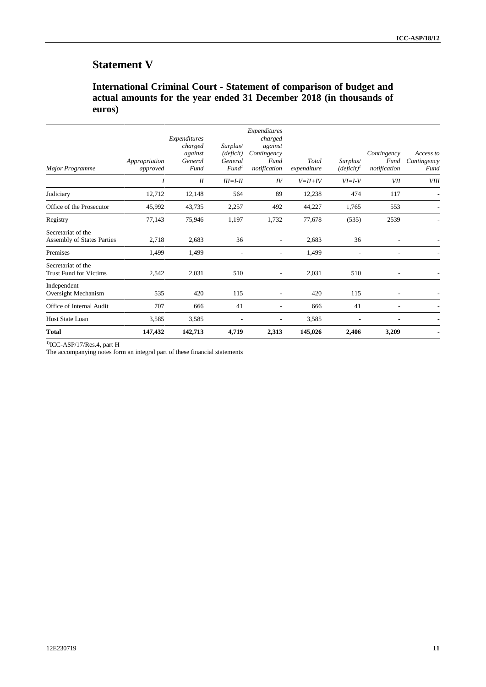# **Statement V**

## **International Criminal Court - Statement of comparison of budget and actual amounts for the year ended 31 December 2018 (in thousands of euros)**

| <b>Major Programme</b>                                  | Appropriation<br>approved | Expenditures<br>charged<br>against<br>General<br>Fund | Surplus/<br>(deficit)<br>General<br>Fund <sup>1</sup> | Expenditures<br>charged<br>against<br>Contingency<br>Fund<br>notification | Total<br>expenditure | Surplus/<br>$(deficit)^{T}$ | Contingency<br>Fund<br>notification | Access to<br>Contingency<br>Fund |
|---------------------------------------------------------|---------------------------|-------------------------------------------------------|-------------------------------------------------------|---------------------------------------------------------------------------|----------------------|-----------------------------|-------------------------------------|----------------------------------|
|                                                         |                           | I                                                     | $III = I - II$                                        | IV                                                                        | $V = H + IV$         | $VI = I - V$                | VII                                 | <b>VIII</b>                      |
| Judiciary                                               | 12,712                    | 12,148                                                | 564                                                   | 89                                                                        | 12,238               | 474                         | 117                                 |                                  |
| Office of the Prosecutor                                | 45,992                    | 43,735                                                | 2,257                                                 | 492                                                                       | 44,227               | 1,765                       | 553                                 |                                  |
| Registry                                                | 77,143                    | 75,946                                                | 1,197                                                 | 1,732                                                                     | 77,678               | (535)                       | 2539                                |                                  |
| Secretariat of the<br><b>Assembly of States Parties</b> | 2,718                     | 2,683                                                 | 36                                                    | $\overline{\phantom{a}}$                                                  | 2,683                | 36                          |                                     |                                  |
| Premises                                                | 1,499                     | 1,499                                                 | $\overline{\phantom{a}}$                              | ٠                                                                         | 1,499                |                             |                                     |                                  |
| Secretariat of the<br><b>Trust Fund for Victims</b>     | 2,542                     | 2,031                                                 | 510                                                   | $\overline{\phantom{a}}$                                                  | 2,031                | 510                         | $\overline{\phantom{a}}$            |                                  |
| Independent<br>Oversight Mechanism                      | 535                       | 420                                                   | 115                                                   | $\overline{a}$                                                            | 420                  | 115                         | $\overline{\phantom{a}}$            |                                  |
| Office of Internal Audit                                | 707                       | 666                                                   | 41                                                    | ٠                                                                         | 666                  | 41                          | $\overline{\phantom{a}}$            |                                  |
| <b>Host State Loan</b>                                  | 3,585                     | 3,585                                                 |                                                       | ٠                                                                         | 3,585                |                             |                                     |                                  |
| <b>Total</b>                                            | 147,432                   | 142,713                                               | 4,719                                                 | 2,313                                                                     | 145,026              | 2,406                       | 3,209                               |                                  |

 $1$ <sup>1</sup>ICC-ASP/17/Res.4, part H

The accompanying notes form an integral part of these financial statements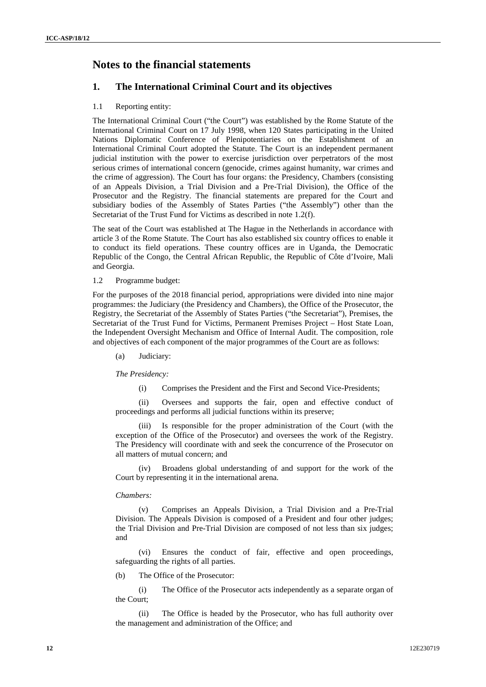## **Notes to the financial statements**

## **1. The International Criminal Court and its objectives**

#### 1.1 Reporting entity:

The International Criminal Court ("the Court") was established by the Rome Statute of the International Criminal Court on 17 July 1998, when 120 States participating in the United Nations Diplomatic Conference of Plenipotentiaries on the Establishment of an International Criminal Court adopted the Statute. The Court is an independent permanent judicial institution with the power to exercise jurisdiction over perpetrators of the most serious crimes of international concern (genocide, crimes against humanity, war crimes and the crime of aggression). The Court has four organs: the Presidency, Chambers (consisting of an Appeals Division, a Trial Division and a Pre-Trial Division), the Office of the Prosecutor and the Registry. The financial statements are prepared for the Court and subsidiary bodies of the Assembly of States Parties ("the Assembly") other than the Secretariat of the Trust Fund for Victims as described in note 1.2(f).

The seat of the Court was established at The Hague in the Netherlands in accordance with article 3 of the Rome Statute. The Court has also established six country offices to enable it to conduct its field operations. These country offices are in Uganda, the Democratic Republic of the Congo, the Central African Republic, the Republic of Côte d'Ivoire, Mali and Georgia.

1.2 Programme budget:

For the purposes of the 2018 financial period, appropriations were divided into nine major programmes: the Judiciary (the Presidency and Chambers), the Office of the Prosecutor, the Registry, the Secretariat of the Assembly of States Parties ("the Secretariat"), Premises, the Secretariat of the Trust Fund for Victims, Permanent Premises Project – Host State Loan, the Independent Oversight Mechanism and Office of Internal Audit. The composition, role and objectives of each component of the major programmes of the Court are as follows:

(a) Judiciary:

*The Presidency:*

(i) Comprises the President and the First and Second Vice-Presidents;

(ii) Oversees and supports the fair, open and effective conduct of proceedings and performs all judicial functions within its preserve;

(iii) Is responsible for the proper administration of the Court (with the exception of the Office of the Prosecutor) and oversees the work of the Registry. The Presidency will coordinate with and seek the concurrence of the Prosecutor on all matters of mutual concern; and

(iv) Broadens global understanding of and support for the work of the Court by representing it in the international arena.

#### *Chambers:*

(v) Comprises an Appeals Division, a Trial Division and a Pre-Trial Division. The Appeals Division is composed of a President and four other judges; the Trial Division and Pre-Trial Division are composed of not less than six judges; and

(vi) Ensures the conduct of fair, effective and open proceedings, safeguarding the rights of all parties.

(b) The Office of the Prosecutor:

(i) The Office of the Prosecutor acts independently as a separate organ of the Court;

(ii) The Office is headed by the Prosecutor, who has full authority over the management and administration of the Office; and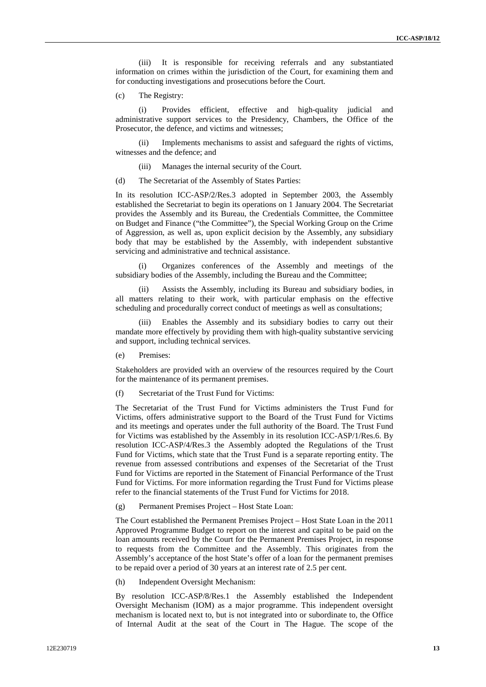(iii) It is responsible for receiving referrals and any substantiated information on crimes within the jurisdiction of the Court, for examining them and for conducting investigations and prosecutions before the Court.

(c) The Registry:

(i) Provides efficient, effective and high-quality judicial and administrative support services to the Presidency, Chambers, the Office of the Prosecutor, the defence, and victims and witnesses;

(ii) Implements mechanisms to assist and safeguard the rights of victims, witnesses and the defence; and

- (iii) Manages the internal security of the Court.
- (d) The Secretariat of the Assembly of States Parties:

In its resolution ICC-ASP/2/Res.3 adopted in September 2003, the Assembly established the Secretariat to begin its operations on 1 January 2004. The Secretariat provides the Assembly and its Bureau, the Credentials Committee, the Committee on Budget and Finance ("the Committee"), the Special Working Group on the Crime of Aggression, as well as, upon explicit decision by the Assembly, any subsidiary body that may be established by the Assembly, with independent substantive servicing and administrative and technical assistance.

(i) Organizes conferences of the Assembly and meetings of the subsidiary bodies of the Assembly, including the Bureau and the Committee;

(ii) Assists the Assembly, including its Bureau and subsidiary bodies, in all matters relating to their work, with particular emphasis on the effective scheduling and procedurally correct conduct of meetings as well as consultations;

(iii) Enables the Assembly and its subsidiary bodies to carry out their mandate more effectively by providing them with high-quality substantive servicing and support, including technical services.

(e) Premises:

Stakeholders are provided with an overview of the resources required by the Court for the maintenance of its permanent premises.

(f) Secretariat of the Trust Fund for Victims:

The Secretariat of the Trust Fund for Victims administers the Trust Fund for Victims, offers administrative support to the Board of the Trust Fund for Victims and its meetings and operates under the full authority of the Board. The Trust Fund for Victims was established by the Assembly in its resolution ICC-ASP/1/Res.6. By resolution ICC-ASP/4/Res.3 the Assembly adopted the Regulations of the Trust Fund for Victims, which state that the Trust Fund is a separate reporting entity. The revenue from assessed contributions and expenses of the Secretariat of the Trust Fund for Victims are reported in the Statement of Financial Performance of the Trust Fund for Victims. For more information regarding the Trust Fund for Victims please refer to the financial statements of the Trust Fund for Victims for 2018.

(g) Permanent Premises Project – Host State Loan:

The Court established the Permanent Premises Project – Host State Loan in the 2011 Approved Programme Budget to report on the interest and capital to be paid on the loan amounts received by the Court for the Permanent Premises Project, in response to requests from the Committee and the Assembly. This originates from the Assembly's acceptance of the host State's offer of a loan for the permanent premises to be repaid over a period of 30 years at an interest rate of 2.5 per cent.

(h) Independent Oversight Mechanism:

By resolution ICC-ASP/8/Res.1 the Assembly established the Independent Oversight Mechanism (IOM) as a major programme. This independent oversight mechanism is located next to, but is not integrated into or subordinate to, the Office of Internal Audit at the seat of the Court in The Hague. The scope of the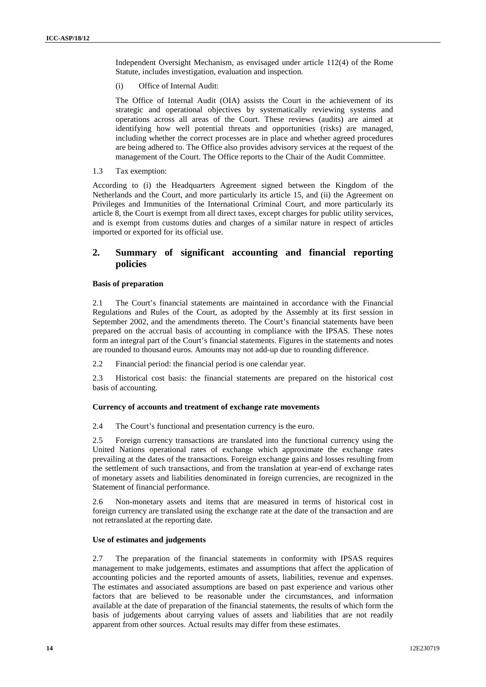Independent Oversight Mechanism, as envisaged under article 112(4) of the Rome Statute, includes investigation, evaluation and inspection.

(i) Office of Internal Audit:

The Office of Internal Audit (OIA) assists the Court in the achievement of its strategic and operational objectives by systematically reviewing systems and operations across all areas of the Court. These reviews (audits) are aimed at identifying how well potential threats and opportunities (risks) are managed, including whether the correct processes are in place and whether agreed procedures are being adhered to. The Office also provides advisory services at the request of the management of the Court. The Office reports to the Chair of the Audit Committee.

1.3 Tax exemption:

According to (i) the Headquarters Agreement signed between the Kingdom of the Netherlands and the Court, and more particularly its article 15, and (ii) the Agreement on Privileges and Immunities of the International Criminal Court, and more particularly its article 8, the Court is exempt from all direct taxes, except charges for public utility services, and is exempt from customs duties and charges of a similar nature in respect of articles imported or exported for its official use.

### **2. Summary of significant accounting and financial reporting policies**

#### **Basis of preparation**

2.1 The Court's financial statements are maintained in accordance with the Financial Regulations and Rules of the Court, as adopted by the Assembly at its first session in September 2002, and the amendments thereto. The Court's financial statements have been prepared on the accrual basis of accounting in compliance with the IPSAS. These notes form an integral part of the Court's financial statements. Figures in the statements and notes are rounded to thousand euros. Amounts may not add-up due to rounding difference.

2.2 Financial period: the financial period is one calendar year.

2.3 Historical cost basis: the financial statements are prepared on the historical cost basis of accounting.

#### **Currency of accounts and treatment of exchange rate movements**

2.4 The Court's functional and presentation currency is the euro.

2.5 Foreign currency transactions are translated into the functional currency using the United Nations operational rates of exchange which approximate the exchange rates prevailing at the dates of the transactions. Foreign exchange gains and losses resulting from the settlement of such transactions, and from the translation at year-end of exchange rates of monetary assets and liabilities denominated in foreign currencies, are recognized in the Statement of financial performance.

2.6 Non-monetary assets and items that are measured in terms of historical cost in foreign currency are translated using the exchange rate at the date of the transaction and are not retranslated at the reporting date.

#### **Use of estimates and judgements**

2.7 The preparation of the financial statements in conformity with IPSAS requires management to make judgements, estimates and assumptions that affect the application of accounting policies and the reported amounts of assets, liabilities, revenue and expenses. The estimates and associated assumptions are based on past experience and various other factors that are believed to be reasonable under the circumstances, and information available at the date of preparation of the financial statements, the results of which form the basis of judgements about carrying values of assets and liabilities that are not readily apparent from other sources. Actual results may differ from these estimates.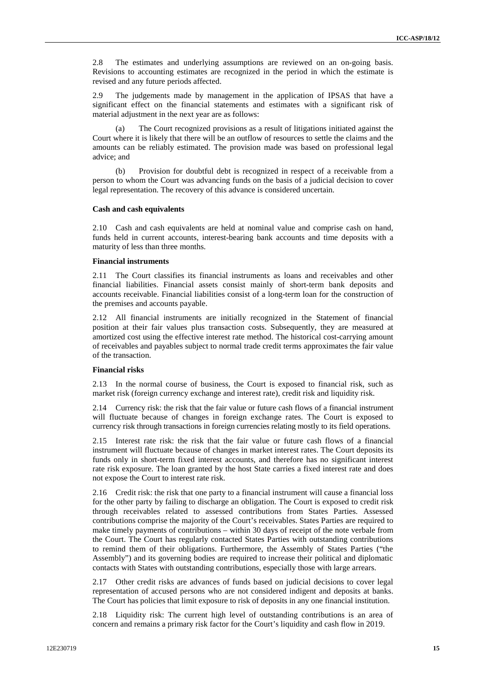2.8 The estimates and underlying assumptions are reviewed on an on-going basis. Revisions to accounting estimates are recognized in the period in which the estimate is revised and any future periods affected.

2.9 The judgements made by management in the application of IPSAS that have a significant effect on the financial statements and estimates with a significant risk of material adjustment in the next year are as follows:

(a) The Court recognized provisions as a result of litigations initiated against the Court where it is likely that there will be an outflow of resources to settle the claims and the amounts can be reliably estimated. The provision made was based on professional legal advice; and

(b) Provision for doubtful debt is recognized in respect of a receivable from a person to whom the Court was advancing funds on the basis of a judicial decision to cover legal representation. The recovery of this advance is considered uncertain.

#### **Cash and cash equivalents**

2.10 Cash and cash equivalents are held at nominal value and comprise cash on hand, funds held in current accounts, interest-bearing bank accounts and time deposits with a maturity of less than three months.

#### **Financial instruments**

2.11 The Court classifies its financial instruments as loans and receivables and other financial liabilities. Financial assets consist mainly of short-term bank deposits and accounts receivable. Financial liabilities consist of a long-term loan for the construction of the premises and accounts payable.

2.12 All financial instruments are initially recognized in the Statement of financial position at their fair values plus transaction costs. Subsequently, they are measured at amortized cost using the effective interest rate method. The historical cost-carrying amount of receivables and payables subject to normal trade credit terms approximates the fair value of the transaction.

#### **Financial risks**

2.13 In the normal course of business, the Court is exposed to financial risk, such as market risk (foreign currency exchange and interest rate), credit risk and liquidity risk.

2.14 Currency risk: the risk that the fair value or future cash flows of a financial instrument will fluctuate because of changes in foreign exchange rates. The Court is exposed to currency risk through transactions in foreign currencies relating mostly to its field operations.

2.15 Interest rate risk: the risk that the fair value or future cash flows of a financial instrument will fluctuate because of changes in market interest rates. The Court deposits its funds only in short-term fixed interest accounts, and therefore has no significant interest rate risk exposure. The loan granted by the host State carries a fixed interest rate and does not expose the Court to interest rate risk.

2.16 Credit risk: the risk that one party to a financial instrument will cause a financial loss for the other party by failing to discharge an obligation. The Court is exposed to credit risk through receivables related to assessed contributions from States Parties. Assessed contributions comprise the majority of the Court's receivables. States Parties are required to make timely payments of contributions – within 30 days of receipt of the note verbale from the Court. The Court has regularly contacted States Parties with outstanding contributions to remind them of their obligations. Furthermore, the Assembly of States Parties ("the Assembly") and its governing bodies are required to increase their political and diplomatic contacts with States with outstanding contributions, especially those with large arrears.

2.17 Other credit risks are advances of funds based on judicial decisions to cover legal representation of accused persons who are not considered indigent and deposits at banks. The Court has policies that limit exposure to risk of deposits in any one financial institution.

2.18 Liquidity risk: The current high level of outstanding contributions is an area of concern and remains a primary risk factor for the Court's liquidity and cash flow in 2019.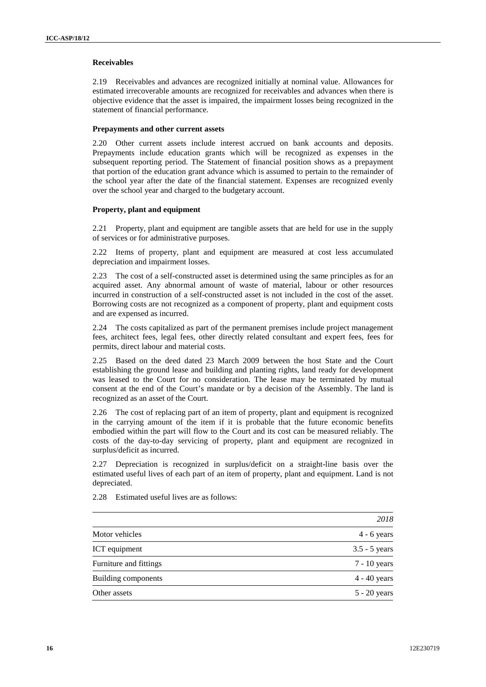#### **Receivables**

2.19 Receivables and advances are recognized initially at nominal value. Allowances for estimated irrecoverable amounts are recognized for receivables and advances when there is objective evidence that the asset is impaired, the impairment losses being recognized in the statement of financial performance.

#### **Prepayments and other current assets**

2.20 Other current assets include interest accrued on bank accounts and deposits. Prepayments include education grants which will be recognized as expenses in the subsequent reporting period. The Statement of financial position shows as a prepayment that portion of the education grant advance which is assumed to pertain to the remainder of the school year after the date of the financial statement. Expenses are recognized evenly over the school year and charged to the budgetary account.

#### **Property, plant and equipment**

2.21 Property, plant and equipment are tangible assets that are held for use in the supply of services or for administrative purposes.

2.22 Items of property, plant and equipment are measured at cost less accumulated depreciation and impairment losses.

2.23 The cost of a self-constructed asset is determined using the same principles as for an acquired asset. Any abnormal amount of waste of material, labour or other resources incurred in construction of a self-constructed asset is not included in the cost of the asset. Borrowing costs are not recognized as a component of property, plant and equipment costs and are expensed as incurred.

2.24 The costs capitalized as part of the permanent premises include project management fees, architect fees, legal fees, other directly related consultant and expert fees, fees for permits, direct labour and material costs.

2.25 Based on the deed dated 23 March 2009 between the host State and the Court establishing the ground lease and building and planting rights, land ready for development was leased to the Court for no consideration. The lease may be terminated by mutual consent at the end of the Court's mandate or by a decision of the Assembly. The land is recognized as an asset of the Court.

2.26 The cost of replacing part of an item of property, plant and equipment is recognized in the carrying amount of the item if it is probable that the future economic benefits embodied within the part will flow to the Court and its cost can be measured reliably. The costs of the day-to-day servicing of property, plant and equipment are recognized in surplus/deficit as incurred.

2.27 Depreciation is recognized in surplus/deficit on a straight-line basis over the estimated useful lives of each part of an item of property, plant and equipment. Land is not depreciated.

|                        | 2018            |
|------------------------|-----------------|
| Motor vehicles         | $4 - 6$ years   |
| ICT equipment          | $3.5 - 5$ years |
| Furniture and fittings | $7 - 10$ years  |
| Building components    | $4 - 40$ years  |
| Other assets           | $5 - 20$ years  |
|                        |                 |

2.28 Estimated useful lives are as follows: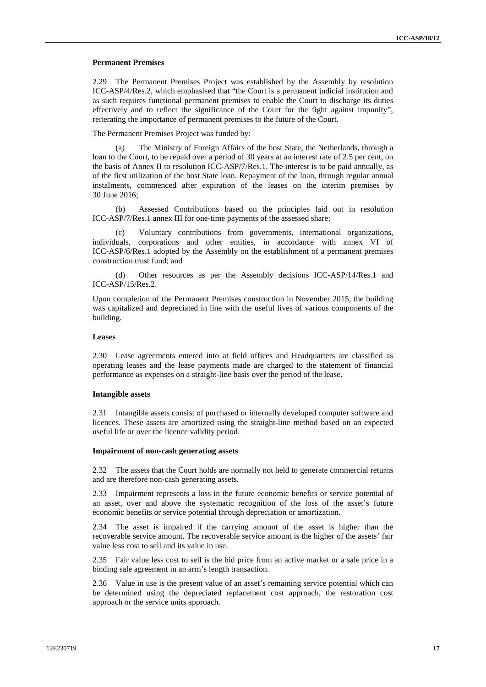#### **Permanent Premises**

2.29 The Permanent Premises Project was established by the Assembly by resolution ICC-ASP/4/Res.2, which emphasised that "the Court is a permanent judicial institution and as such requires functional permanent premises to enable the Court to discharge its duties effectively and to reflect the significance of the Court for the fight against impunity", reiterating the importance of permanent premises to the future of the Court.

The Permanent Premises Project was funded by:

(a) The Ministry of Foreign Affairs of the host State, the Netherlands, through a loan to the Court, to be repaid over a period of 30 years at an interest rate of 2.5 per cent, on the basis of Annex II to resolution ICC-ASP/7/Res.1. The interest is to be paid annually, as of the first utilization of the host State loan. Repayment of the loan, through regular annual instalments, commenced after expiration of the leases on the interim premises by 30 June 2016;

(b) Assessed Contributions based on the principles laid out in resolution ICC-ASP/7/Res.1 annex III for one-time payments of the assessed share;

Voluntary contributions from governments, international organizations, individuals, corporations and other entities, in accordance with annex VI of ICC-ASP/6/Res.1 adopted by the Assembly on the establishment of a permanent premises construction trust fund; and

(d) Other resources as per the Assembly decisions ICC-ASP/14/Res.1 and ICC-ASP/15/Res.2.

Upon completion of the Permanent Premises construction in November 2015, the building was capitalized and depreciated in line with the useful lives of various components of the building.

#### **Leases**

2.30 Lease agreements entered into at field offices and Headquarters are classified as operating leases and the lease payments made are charged to the statement of financial performance as expenses on a straight-line basis over the period of the lease.

#### **Intangible assets**

2.31 Intangible assets consist of purchased or internally developed computer software and licences. These assets are amortized using the straight-line method based on an expected useful life or over the licence validity period.

#### **Impairment of non-cash generating assets**

2.32 The assets that the Court holds are normally not held to generate commercial returns and are therefore non-cash generating assets.

2.33 Impairment represents a loss in the future economic benefits or service potential of an asset, over and above the systematic recognition of the loss of the asset's future economic benefits or service potential through depreciation or amortization.

2.34 The asset is impaired if the carrying amount of the asset is higher than the recoverable service amount. The recoverable service amount is the higher of the assets' fair value less cost to sell and its value in use.

2.35 Fair value less cost to sell is the bid price from an active market or a sale price in a binding sale agreement in an arm's length transaction.

2.36 Value in use is the present value of an asset's remaining service potential which can be determined using the depreciated replacement cost approach, the restoration cost approach or the service units approach.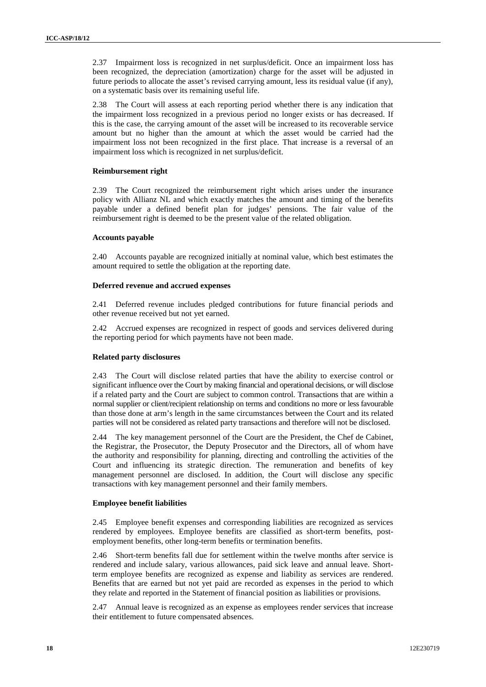2.37 Impairment loss is recognized in net surplus/deficit. Once an impairment loss has been recognized, the depreciation (amortization) charge for the asset will be adjusted in future periods to allocate the asset's revised carrying amount, less its residual value (if any), on a systematic basis over its remaining useful life.

2.38 The Court will assess at each reporting period whether there is any indication that the impairment loss recognized in a previous period no longer exists or has decreased. If this is the case, the carrying amount of the asset will be increased to its recoverable service amount but no higher than the amount at which the asset would be carried had the impairment loss not been recognized in the first place. That increase is a reversal of an impairment loss which is recognized in net surplus/deficit.

#### **Reimbursement right**

2.39 The Court recognized the reimbursement right which arises under the insurance policy with Allianz NL and which exactly matches the amount and timing of the benefits payable under a defined benefit plan for judges' pensions. The fair value of the reimbursement right is deemed to be the present value of the related obligation.

#### **Accounts payable**

2.40 Accounts payable are recognized initially at nominal value, which best estimates the amount required to settle the obligation at the reporting date.

#### **Deferred revenue and accrued expenses**

2.41 Deferred revenue includes pledged contributions for future financial periods and other revenue received but not yet earned.

2.42 Accrued expenses are recognized in respect of goods and services delivered during the reporting period for which payments have not been made.

#### **Related party disclosures**

2.43 The Court will disclose related parties that have the ability to exercise control or significant influence over the Court by making financial and operational decisions, or will disclose if a related party and the Court are subject to common control. Transactions that are within a normal supplier or client/recipient relationship on terms and conditions no more or less favourable than those done at arm's length in the same circumstances between the Court and its related parties will not be considered as related party transactions and therefore will not be disclosed.

2.44 The key management personnel of the Court are the President, the Chef de Cabinet, the Registrar, the Prosecutor, the Deputy Prosecutor and the Directors, all of whom have the authority and responsibility for planning, directing and controlling the activities of the Court and influencing its strategic direction. The remuneration and benefits of key management personnel are disclosed. In addition, the Court will disclose any specific transactions with key management personnel and their family members.

#### **Employee benefit liabilities**

2.45 Employee benefit expenses and corresponding liabilities are recognized as services rendered by employees. Employee benefits are classified as short-term benefits, post employment benefits, other long-term benefits or termination benefits.

2.46 Short-term benefits fall due for settlement within the twelve months after service is rendered and include salary, various allowances, paid sick leave and annual leave. Shortterm employee benefits are recognized as expense and liability as services are rendered. Benefits that are earned but not yet paid are recorded as expenses in the period to which they relate and reported in the Statement of financial position as liabilities or provisions.

2.47 Annual leave is recognized as an expense as employees render services that increase their entitlement to future compensated absences.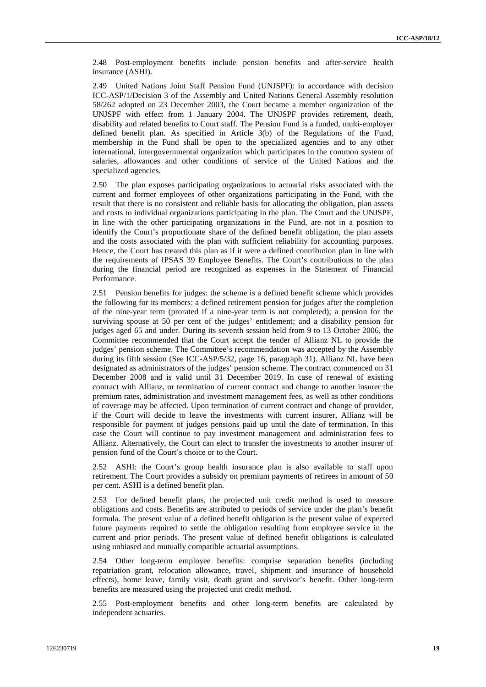2.48 Post-employment benefits include pension benefits and after-service health insurance (ASHI).

2.49 United Nations Joint Staff Pension Fund (UNJSPF): in accordance with decision ICC-ASP/1/Decision 3 of the Assembly and United Nations General Assembly resolution 58/262 adopted on 23 December 2003, the Court became a member organization of the UNJSPF with effect from 1 January 2004. The UNJSPF provides retirement, death, disability and related benefits to Court staff. The Pension Fund is a funded, multi-employer defined benefit plan. As specified in Article 3(b) of the Regulations of the Fund, membership in the Fund shall be open to the specialized agencies and to any other international, intergovernmental organization which participates in the common system of salaries, allowances and other conditions of service of the United Nations and the specialized agencies.

2.50 The plan exposes participating organizations to actuarial risks associated with the current and former employees of other organizations participating in the Fund, with the result that there is no consistent and reliable basis for allocating the obligation, plan assets and costs to individual organizations participating in the plan. The Court and the UNJSPF, in line with the other participating organizations in the Fund, are not in a position to identify the Court's proportionate share of the defined benefit obligation, the plan assets and the costs associated with the plan with sufficient reliability for accounting purposes. Hence, the Court has treated this plan as if it were a defined contribution plan in line with the requirements of IPSAS 39 Employee Benefits. The Court's contributions to the plan during the financial period are recognized as expenses in the Statement of Financial Performance.

2.51 Pension benefits for judges: the scheme is a defined benefit scheme which provides the following for its members: a defined retirement pension for judges after the completion of the nine-year term (prorated if a nine-year term is not completed); a pension for the surviving spouse at 50 per cent of the judges' entitlement; and a disability pension for judges aged 65 and under. During its seventh session held from 9 to 13 October 2006, the Committee recommended that the Court accept the tender of Allianz NL to provide the judges' pension scheme. The Committee's recommendation was accepted by the Assembly during its fifth session (See ICC-ASP/5/32, page 16, paragraph 31). Allianz NL have been designated as administrators of the judges' pension scheme. The contract commenced on 31 December 2008 and is valid until 31 December 2019. In case of renewal of existing contract with Allianz, or termination of current contract and change to another insurer the premium rates, administration and investment management fees, as well as other conditions of coverage may be affected. Upon termination of current contract and change of provider, if the Court will decide to leave the investments with current insurer, Allianz will be responsible for payment of judges pensions paid up until the date of termination. In this case the Court will continue to pay investment management and administration fees to Allianz. Alternatively, the Court can elect to transfer the investments to another insurer of pension fund of the Court's choice or to the Court.

2.52 ASHI: the Court's group health insurance plan is also available to staff upon retirement. The Court provides a subsidy on premium payments of retirees in amount of 50 per cent. ASHI is a defined benefit plan.

2.53 For defined benefit plans, the projected unit credit method is used to measure obligations and costs. Benefits are attributed to periods of service under the plan's benefit formula. The present value of a defined benefit obligation is the present value of expected future payments required to settle the obligation resulting from employee service in the current and prior periods. The present value of defined benefit obligations is calculated using unbiased and mutually compatible actuarial assumptions.

2.54 Other long-term employee benefits: comprise separation benefits (including repatriation grant, relocation allowance, travel, shipment and insurance of household effects), home leave, family visit, death grant and survivor's benefit. Other long-term benefits are measured using the projected unit credit method.

2.55 Post-employment benefits and other long-term benefits are calculated by independent actuaries.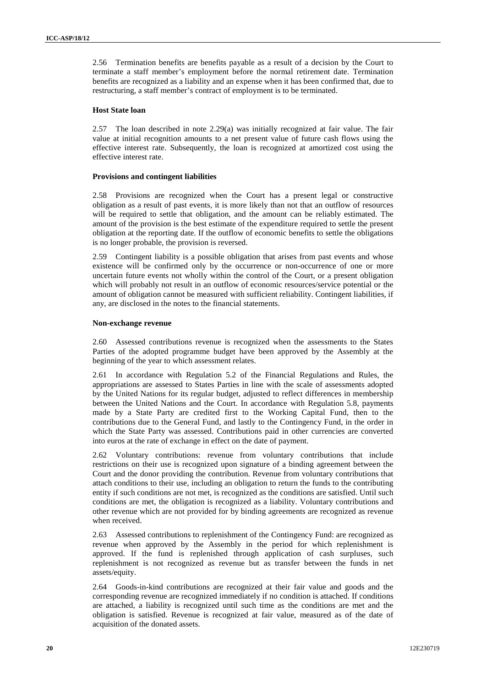2.56 Termination benefits are benefits payable as a result of a decision by the Court to terminate a staff member's employment before the normal retirement date. Termination benefits are recognized as a liability and an expense when it has been confirmed that, due to restructuring, a staff member's contract of employment is to be terminated.

#### **Host State loan**

2.57 The loan described in note 2.29(a) was initially recognized at fair value. The fair value at initial recognition amounts to a net present value of future cash flows using the effective interest rate. Subsequently, the loan is recognized at amortized cost using the effective interest rate.

#### **Provisions and contingent liabilities**

2.58 Provisions are recognized when the Court has a present legal or constructive obligation as a result of past events, it is more likely than not that an outflow of resources will be required to settle that obligation, and the amount can be reliably estimated. The amount of the provision is the best estimate of the expenditure required to settle the present obligation at the reporting date. If the outflow of economic benefits to settle the obligations is no longer probable, the provision is reversed.

2.59 Contingent liability is a possible obligation that arises from past events and whose existence will be confirmed only by the occurrence or non-occurrence of one or more uncertain future events not wholly within the control of the Court, or a present obligation which will probably not result in an outflow of economic resources/service potential or the amount of obligation cannot be measured with sufficient reliability. Contingent liabilities, if any, are disclosed in the notes to the financial statements.

#### **Non-exchange revenue**

2.60 Assessed contributions revenue is recognized when the assessments to the States Parties of the adopted programme budget have been approved by the Assembly at the beginning of the year to which assessment relates.

2.61 In accordance with Regulation 5.2 of the Financial Regulations and Rules, the appropriations are assessed to States Parties in line with the scale of assessments adopted by the United Nations for its regular budget, adjusted to reflect differences in membership between the United Nations and the Court. In accordance with Regulation 5.8, payments made by a State Party are credited first to the Working Capital Fund, then to the contributions due to the General Fund, and lastly to the Contingency Fund, in the order in which the State Party was assessed. Contributions paid in other currencies are converted into euros at the rate of exchange in effect on the date of payment.

2.62 Voluntary contributions: revenue from voluntary contributions that include restrictions on their use is recognized upon signature of a binding agreement between the Court and the donor providing the contribution. Revenue from voluntary contributions that attach conditions to their use, including an obligation to return the funds to the contributing entity if such conditions are not met, is recognized as the conditions are satisfied. Until such conditions are met, the obligation is recognized as a liability. Voluntary contributions and other revenue which are not provided for by binding agreements are recognized as revenue when received.

2.63 Assessed contributions to replenishment of the Contingency Fund: are recognized as revenue when approved by the Assembly in the period for which replenishment is approved. If the fund is replenished through application of cash surpluses, such replenishment is not recognized as revenue but as transfer between the funds in net assets/equity.

2.64 Goods-in-kind contributions are recognized at their fair value and goods and the corresponding revenue are recognized immediately if no condition is attached. If conditions are attached, a liability is recognized until such time as the conditions are met and the obligation is satisfied. Revenue is recognized at fair value, measured as of the date of acquisition of the donated assets.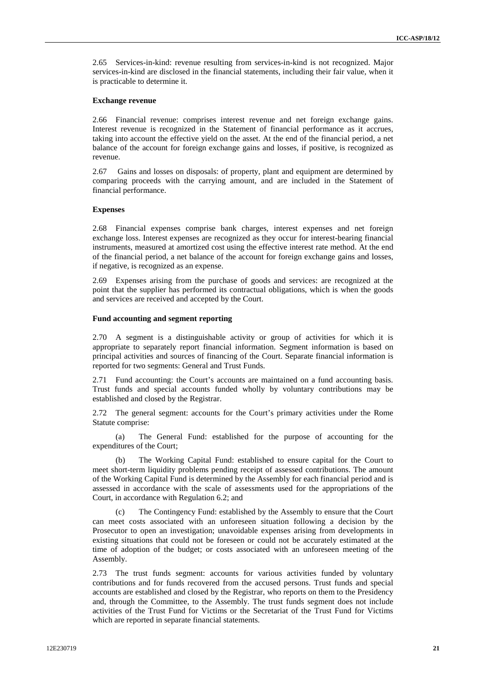2.65 Services-in-kind: revenue resulting from services-in-kind is not recognized. Major services-in-kind are disclosed in the financial statements, including their fair value, when it is practicable to determine it.

#### **Exchange revenue**

2.66 Financial revenue: comprises interest revenue and net foreign exchange gains. Interest revenue is recognized in the Statement of financial performance as it accrues, taking into account the effective yield on the asset. At the end of the financial period, a net balance of the account for foreign exchange gains and losses, if positive, is recognized as revenue.

2.67 Gains and losses on disposals: of property, plant and equipment are determined by comparing proceeds with the carrying amount, and are included in the Statement of financial performance.

#### **Expenses**

2.68 Financial expenses comprise bank charges, interest expenses and net foreign exchange loss. Interest expenses are recognized as they occur for interest-bearing financial instruments, measured at amortized cost using the effective interest rate method. At the end of the financial period, a net balance of the account for foreign exchange gains and losses, if negative, is recognized as an expense.

2.69 Expenses arising from the purchase of goods and services: are recognized at the point that the supplier has performed its contractual obligations, which is when the goods and services are received and accepted by the Court.

#### **Fund accounting and segment reporting**

2.70 A segment is a distinguishable activity or group of activities for which it is appropriate to separately report financial information. Segment information is based on principal activities and sources of financing of the Court. Separate financial information is reported for two segments: General and Trust Funds.

2.71 Fund accounting: the Court's accounts are maintained on a fund accounting basis. Trust funds and special accounts funded wholly by voluntary contributions may be established and closed by the Registrar.

2.72 The general segment: accounts for the Court's primary activities under the Rome Statute comprise:

(a) The General Fund: established for the purpose of accounting for the expenditures of the Court;

(b) The Working Capital Fund: established to ensure capital for the Court to meet short-term liquidity problems pending receipt of assessed contributions. The amount of the Working Capital Fund is determined by the Assembly for each financial period and is assessed in accordance with the scale of assessments used for the appropriations of the Court, in accordance with Regulation 6.2; and

(c) The Contingency Fund: established by the Assembly to ensure that the Court can meet costs associated with an unforeseen situation following a decision by the Prosecutor to open an investigation; unavoidable expenses arising from developments in existing situations that could not be foreseen or could not be accurately estimated at the time of adoption of the budget; or costs associated with an unforeseen meeting of the Assembly.

2.73 The trust funds segment: accounts for various activities funded by voluntary contributions and for funds recovered from the accused persons. Trust funds and special accounts are established and closed by the Registrar, who reports on them to the Presidency and, through the Committee, to the Assembly. The trust funds segment does not include activities of the Trust Fund for Victims or the Secretariat of the Trust Fund for Victims which are reported in separate financial statements.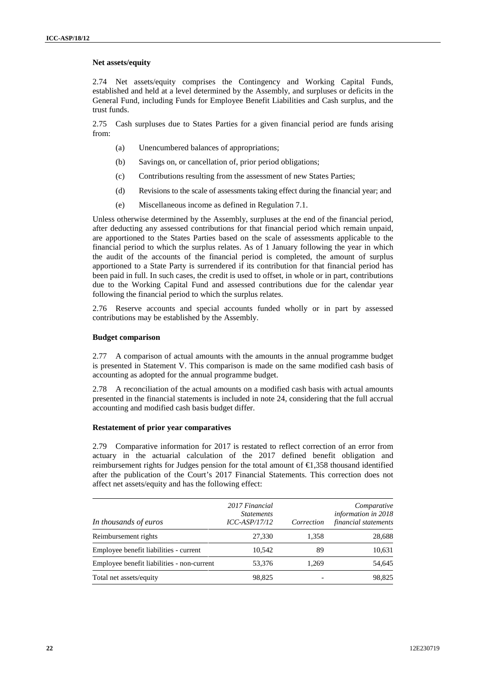#### **Net assets/equity**

2.74 Net assets/equity comprises the Contingency and Working Capital Funds, established and held at a level determined by the Assembly, and surpluses or deficits in the General Fund, including Funds for Employee Benefit Liabilities and Cash surplus, and the trust funds.

2.75 Cash surpluses due to States Parties for a given financial period are funds arising from:

- (a) Unencumbered balances of appropriations;
- (b) Savings on, or cancellation of, prior period obligations;
- (c) Contributions resulting from the assessment of new States Parties;
- (d) Revisions to the scale of assessments taking effect during the financial year; and
- 

(e) Miscellaneous income as defined in Regulation 7.1.<br>Unless otherwise determined by the Assembly, surpluses at the end of the financial period, after deducting any assessed contributions for that financial period which remain unpaid, are apportioned to the States Parties based on the scale of assessments applicable to the financial period to which the surplus relates. As of 1 January following the year in which the audit of the accounts of the financial period is completed, the amount of surplus apportioned to a State Party is surrendered if its contribution for that financial period has been paid in full. In such cases, the credit is used to offset, in whole or in part, contributions due to the Working Capital Fund and assessed contributions due for the calendar year following the financial period to which the surplus relates.

2.76 Reserve accounts and special accounts funded wholly or in part by assessed contributions may be established by the Assembly.

#### **Budget comparison**

2.77 A comparison of actual amounts with the amounts in the annual programme budget is presented in Statement V. This comparison is made on the same modified cash basis of accounting as adopted for the annual programme budget.

2.78 A reconciliation of the actual amounts on a modified cash basis with actual amounts presented in the financial statements is included in note 24, considering that the full accrual accounting and modified cash basis budget differ.

#### **Restatement of prior year comparatives**

2.79 Comparative information for 2017 is restated to reflect correction of an error from actuary in the actuarial calculation of the 2017 defined benefit obligation and reimbursement rights for Judges pension for the total amount of €1,358 thousand identified after the publication of the Court's 2017 Financial Statements. This correction does not affect net assets/equity and has the following effect:

| In thousands of euros                      | 2017 Financial<br><i>Statements</i><br>$ICC-ASP/17/12$ | Correction | Comparative<br>information in 2018<br>financial statements |
|--------------------------------------------|--------------------------------------------------------|------------|------------------------------------------------------------|
| Reimbursement rights                       | 27,330                                                 | 1,358      | 28,688                                                     |
| Employee benefit liabilities - current     | 10.542                                                 | 89         | 10,631                                                     |
| Employee benefit liabilities - non-current | 53.376                                                 | 1.269      | 54,645                                                     |
| Total net assets/equity                    | 98.825                                                 |            | 98,825                                                     |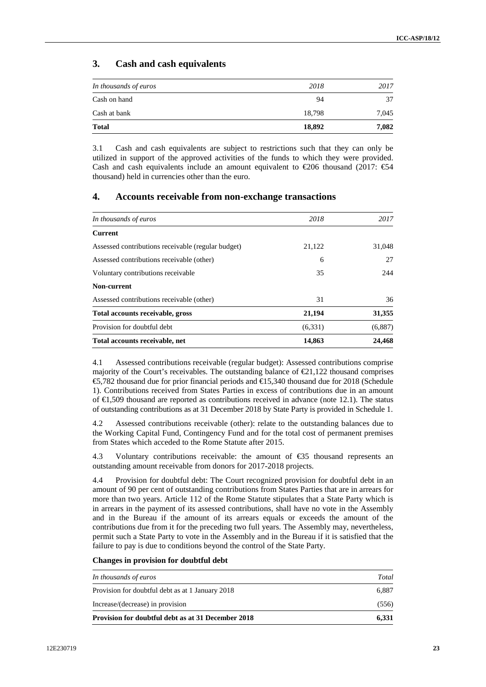## **3. Cash and cash equivalents**

| <b>Total</b>          | 18,892 | 7,082 |
|-----------------------|--------|-------|
| Cash at bank          | 18,798 | 7,045 |
| Cash on hand          | 94     | 37    |
| In thousands of euros | 2018   | 2017  |

3.1 Cash and cash equivalents are subject to restrictions such that they can only be utilized in support of the approved activities of the funds to which they were provided. Cash and cash equivalents include an amount equivalent to  $\epsilon$  206 thousand (2017:  $\epsilon$ 54 thousand) held in currencies other than the euro.

## **4. Accounts receivable from non-exchange transactions**

| In thousands of euros                              | 2018    | 2017    |
|----------------------------------------------------|---------|---------|
| <b>Current</b>                                     |         |         |
| Assessed contributions receivable (regular budget) | 21,122  | 31,048  |
| Assessed contributions receivable (other)          | 6       | 27      |
| Voluntary contributions receivable                 | 35      | 244     |
| Non-current                                        |         |         |
| Assessed contributions receivable (other)          | 31      | 36      |
| Total accounts receivable, gross                   | 21,194  | 31,355  |
| Provision for doubtful debt                        | (6,331) | (6,887) |
| Total accounts receivable, net                     | 14,863  | 24,468  |

4.1 Assessed contributions receivable (regular budget): Assessed contributions comprise majority of the Court's receivables. The outstanding balance of  $\epsilon 21,122$  thousand comprises €5,782 thousand due for prior financial periods and €15,340 thousand due for 2018 (Schedule 1). Contributions received from States Parties in excess of contributions due in an amount of €1,509 thousand are reported as contributions received in advance (note 12.1). The status of outstanding contributions as at 31 December 2018 by State Party is provided in Schedule 1.

4.2 Assessed contributions receivable (other): relate to the outstanding balances due to the Working Capital Fund, Contingency Fund and for the total cost of permanent premises from States which acceded to the Rome Statute after 2015.

4.3 Voluntary contributions receivable: the amount of €35 thousand represents an outstanding amount receivable from donors for 2017-2018 projects.

4.4 Provision for doubtful debt: The Court recognized provision for doubtful debt in an amount of 90 per cent of outstanding contributions from States Parties that are in arrears for more than two years. Article 112 of the Rome Statute stipulates that a State Party which is in arrears in the payment of its assessed contributions, shall have no vote in the Assembly and in the Bureau if the amount of its arrears equals or exceeds the amount of the contributions due from it for the preceding two full years. The Assembly may, nevertheless, permit such a State Party to vote in the Assembly and in the Bureau if it is satisfied that the failure to pay is due to conditions beyond the control of the State Party.

#### **Changes in provision for doubtful debt**

| In thousands of euros                              | Total |
|----------------------------------------------------|-------|
| Provision for doubtful debt as at 1 January 2018   | 6.887 |
| Increase/(decrease) in provision                   | (556) |
| Provision for doubtful debt as at 31 December 2018 | 6.331 |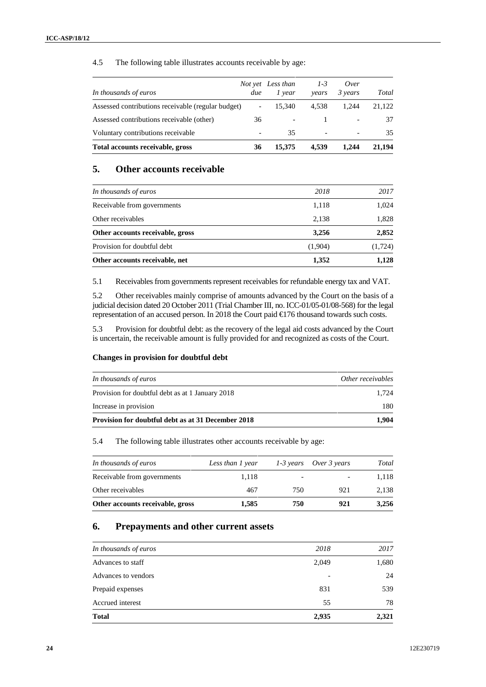### 4.5 The following table illustrates accounts receivable by age:

| In thousands of euros                              | due                      | Not yet Less than<br>1 year | $1-3$<br>years           | Over<br>3 years | Total  |
|----------------------------------------------------|--------------------------|-----------------------------|--------------------------|-----------------|--------|
| Assessed contributions receivable (regular budget) |                          | 15.340                      | 4.538                    | 1.244           | 21.122 |
| Assessed contributions receivable (other)          | 36                       |                             |                          |                 | 37     |
| Voluntary contributions receivable                 | $\overline{\phantom{a}}$ | 35                          | $\overline{\phantom{a}}$ |                 | 35     |
| Total accounts receivable, gross                   | 36                       | 15,375                      | 4.539                    | 1.244           | 21,194 |

## **5. Other accounts receivable**

| Other accounts receivable, net   | 1,352   | 1,128    |
|----------------------------------|---------|----------|
| Provision for doubtful debt      | (1,904) | (1, 724) |
| Other accounts receivable, gross | 3,256   | 2,852    |
| Other receivables                | 2,138   | 1,828    |
| Receivable from governments      | 1,118   | 1,024    |
| In thousands of euros            | 2018    | 2017     |
|                                  |         |          |

5.1 Receivables from governments represent receivables for refundable energy tax and VAT.

5.2 Other receivables mainly comprise of amounts advanced by the Court on the basis of a judicial decision dated 20 October 2011 (Trial Chamber III, no. ICC-01/05-01/08-568) for the legal representation of an accused person. In 2018 the Court paid €176 thousand towards such costs.

5.3 Provision for doubtful debt: as the recovery of the legal aid costs advanced by the Court is uncertain, the receivable amount is fully provided for and recognized as costs of the Court.

#### **Changes in provision for doubtful debt**

| In thousands of euros                                     | Other receivables |
|-----------------------------------------------------------|-------------------|
| Provision for doubtful debt as at 1 January 2018          | 1.724             |
| Increase in provision                                     | 180               |
| <b>Provision for doubtful debt as at 31 December 2018</b> | 1.904             |

5.4 The following table illustrates other accounts receivable by age:

| In thousands of euros            | Less than 1 year | 1-3 years | Over 3 years | Total |
|----------------------------------|------------------|-----------|--------------|-------|
| Receivable from governments      | 1.118            | -         |              | 1.118 |
| Other receivables                | 467              | 750       | 921          | 2.138 |
| Other accounts receivable, gross | 1.585            | 750       | 921          | 3,256 |

### **6. Prepayments and other current assets**

| 2,935 | 2,321 |
|-------|-------|
| 55    | 78    |
| 831   | 539   |
|       | 24    |
| 2,049 | 1,680 |
| 2018  | 2017  |
|       |       |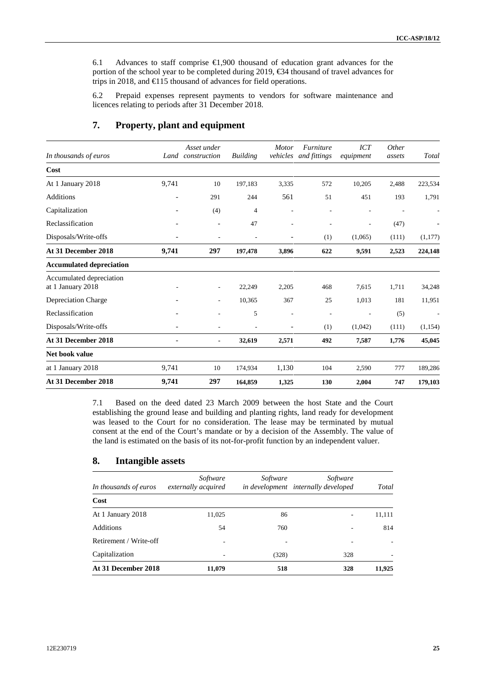6.1 Advances to staff comprise €1,900 thousand of education grant advances for the portion of the school year to be completed during 2019, €34 thousand of travel advances for trips in 2018, and €115 thousand of advances for field operations.

6.2 Prepaid expenses represent payments to vendors for software maintenance and licences relating to periods after 31 December 2018.

|                          | Asset under              |                      | <b>Motor</b>             | <i><b>Furniture</b></i>  | ICT                   | <i>Other</i> |                          |
|--------------------------|--------------------------|----------------------|--------------------------|--------------------------|-----------------------|--------------|--------------------------|
|                          |                          |                      |                          |                          |                       |              | Total                    |
|                          |                          |                      |                          |                          |                       |              |                          |
| 9,741                    | 10                       | 197,183              | 3,335                    | 572                      | 10,205                | 2,488        | 223,534                  |
| $\overline{\phantom{a}}$ | 291                      | 244                  | 561                      | 51                       | 451                   | 193          | 1,791                    |
|                          | (4)                      | $\overline{4}$       | $\overline{a}$           |                          | ÷,                    |              | $\overline{a}$           |
|                          | $\overline{\phantom{a}}$ | 47                   | $\overline{\phantom{a}}$ | $\overline{\phantom{a}}$ | ٠                     | (47)         | $\overline{\phantom{a}}$ |
| $\overline{\phantom{a}}$ | ٠                        | ÷                    | $\overline{\phantom{0}}$ | (1)                      | (1,065)               | (111)        | (1,177)                  |
| 9,741                    | 297                      | 197,478              | 3,896                    | 622                      | 9,591                 | 2,523        | 224,148                  |
|                          |                          |                      |                          |                          |                       |              |                          |
|                          | $\overline{\phantom{a}}$ | 22,249               | 2,205                    | 468                      | 7,615                 | 1,711        | 34,248                   |
|                          | $\overline{\phantom{a}}$ | 10,365               | 367                      | 25                       | 1,013                 | 181          | 11,951                   |
|                          |                          | 5                    | ٠                        |                          |                       | (5)          |                          |
|                          |                          |                      | $\overline{\phantom{0}}$ | (1)                      | (1,042)               | (111)        | (1, 154)                 |
| $\overline{\phantom{a}}$ | $\blacksquare$           | 32,619               | 2,571                    | 492                      | 7,587                 | 1,776        | 45,045                   |
|                          |                          |                      |                          |                          |                       |              |                          |
| 9,741                    | 10                       | 174,934              | 1,130                    | 104                      | 2,590                 | 777          | 189,286                  |
| 9,741                    | 297                      | 164,859              | 1,325                    | 130                      | 2,004                 | 747          | 179,103                  |
|                          |                          | construction<br>Land | <b>Building</b>          |                          | vehicles and fittings | equipment    | assets                   |

### **7. Property, plant and equipment**

7.1 Based on the deed dated 23 March 2009 between the host State and the Court establishing the ground lease and building and planting rights, land ready for development was leased to the Court for no consideration. The lease may be terminated by mutual consent at the end of the Court's mandate or by a decision of the Assembly. The value of the land is estimated on the basis of its not-for-profit function by an independent valuer.

### **8. Intangible assets**

| In thousands of euros  | Software<br>externally acquired | Software | Software<br>in development internally developed | Total  |
|------------------------|---------------------------------|----------|-------------------------------------------------|--------|
| Cost                   |                                 |          |                                                 |        |
| At 1 January 2018      | 11,025                          | 86       |                                                 | 11,111 |
| <b>Additions</b>       | 54                              | 760      |                                                 | 814    |
| Retirement / Write-off | $\overline{\phantom{a}}$        |          |                                                 |        |
| Capitalization         | ٠                               | (328)    | 328                                             |        |
| At 31 December 2018    | 11,079                          | 518      | 328                                             | 11,925 |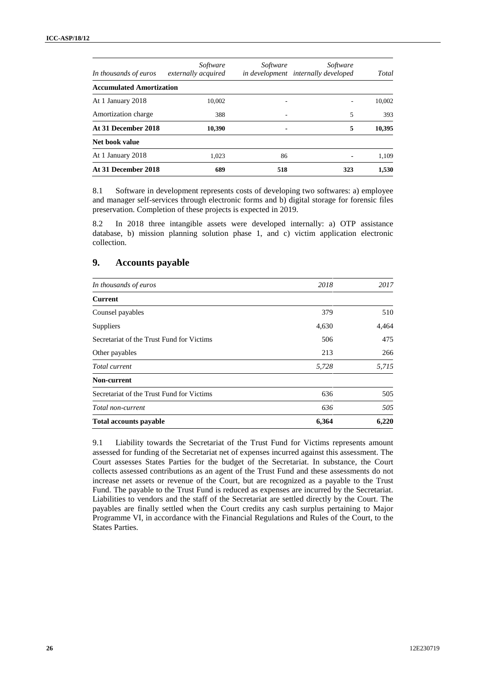| In thousands of euros           | Software<br>externally acquired | Software | Software<br>in development internally developed | Total  |
|---------------------------------|---------------------------------|----------|-------------------------------------------------|--------|
| <b>Accumulated Amortization</b> |                                 |          |                                                 |        |
| At 1 January 2018               | 10,002                          |          |                                                 | 10,002 |
| Amortization charge             | 388                             |          | 5                                               | 393    |
| At 31 December 2018             | 10,390                          | ٠        | 5                                               | 10,395 |
| Net book value                  |                                 |          |                                                 |        |
| At 1 January 2018               | 1.023                           | 86       |                                                 | 1,109  |
| At 31 December 2018             | 689                             | 518      | 323                                             | 1,530  |

8.1 Software in development represents costs of developing two softwares: a) employee and manager self-services through electronic forms and b) digital storage for forensic files preservation. Completion of these projects is expected in 2019.

8.2 In 2018 three intangible assets were developed internally: a) OTP assistance database, b) mission planning solution phase 1, and c) victim application electronic collection.

## **9. Accounts payable**

| In thousands of euros                     | 2018  | 2017  |
|-------------------------------------------|-------|-------|
| Current                                   |       |       |
| Counsel payables                          | 379   | 510   |
| Suppliers                                 | 4,630 | 4,464 |
| Secretariat of the Trust Fund for Victims | 506   | 475   |
| Other payables                            | 213   | 266   |
| Total current                             | 5,728 | 5,715 |
| Non-current                               |       |       |
| Secretariat of the Trust Fund for Victims | 636   | 505   |
| Total non-current                         | 636   | 505   |
| <b>Total accounts payable</b>             | 6,364 | 6,220 |

9.1 Liability towards the Secretariat of the Trust Fund for Victims represents amount assessed for funding of the Secretariat net of expenses incurred against this assessment. The Court assesses States Parties for the budget of the Secretariat. In substance, the Court collects assessed contributions as an agent of the Trust Fund and these assessments do not increase net assets or revenue of the Court, but are recognized as a payable to the Trust Fund. The payable to the Trust Fund is reduced as expenses are incurred by the Secretariat. Liabilities to vendors and the staff of the Secretariat are settled directly by the Court. The payables are finally settled when the Court credits any cash surplus pertaining to Major Programme VI, in accordance with the Financial Regulations and Rules of the Court, to the States Parties.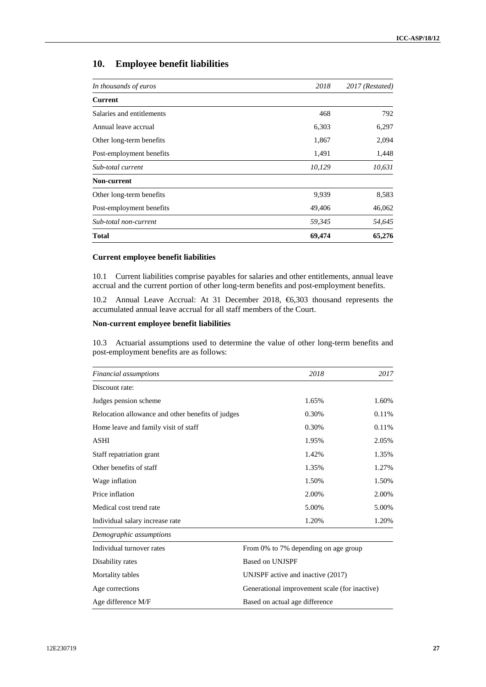## **10. Employee benefit liabilities**

| In thousands of euros     | 2018   | 2017 (Restated) |  |
|---------------------------|--------|-----------------|--|
| Current                   |        |                 |  |
| Salaries and entitlements | 468    | 792             |  |
| Annual leave accrual      | 6,303  | 6,297           |  |
| Other long-term benefits  | 1,867  | 2,094           |  |
| Post-employment benefits  | 1,491  | 1,448           |  |
| Sub-total current         | 10,129 | 10,631          |  |
| Non-current               |        |                 |  |
| Other long-term benefits  | 9,939  | 8,583           |  |
| Post-employment benefits  | 49,406 | 46,062          |  |
| Sub-total non-current     | 59,345 | 54,645          |  |
| <b>Total</b>              | 69,474 | 65,276          |  |

#### **Current employee benefit liabilities**

10.1 Current liabilities comprise payables for salaries and other entitlements, annual leave accrual and the current portion of other long-term benefits and post-employment benefits.

10.2 Annual Leave Accrual: At 31 December 2018, €6,303 thousand represents the accumulated annual leave accrual for all staff members of the Court.

#### **Non-current employee benefit liabilities**

10.3 Actuarial assumptions used to determine the value of other long-term benefits and post-employment benefits are as follows:

| Financial assumptions                             | 2018                                          | 2017  |
|---------------------------------------------------|-----------------------------------------------|-------|
| Discount rate:                                    |                                               |       |
| Judges pension scheme                             | 1.65%                                         | 1.60% |
| Relocation allowance and other benefits of judges | 0.30%                                         | 0.11% |
| Home leave and family visit of staff              | 0.30%                                         | 0.11% |
| <b>ASHI</b>                                       | 1.95%                                         | 2.05% |
| Staff repatriation grant                          | 1.42%                                         | 1.35% |
| Other benefits of staff                           | 1.35%                                         | 1.27% |
| Wage inflation                                    | 1.50%                                         | 1.50% |
| Price inflation                                   | 2.00%                                         | 2.00% |
| Medical cost trend rate                           | 5.00%                                         | 5.00% |
| Individual salary increase rate                   | 1.20%                                         | 1.20% |
| Demographic assumptions                           |                                               |       |
| Individual turnover rates                         | From 0% to 7% depending on age group          |       |
| Disability rates                                  | <b>Based on UNJSPF</b>                        |       |
| Mortality tables                                  | UNJSPF active and inactive (2017)             |       |
| Age corrections                                   | Generational improvement scale (for inactive) |       |
| Age difference M/F                                | Based on actual age difference                |       |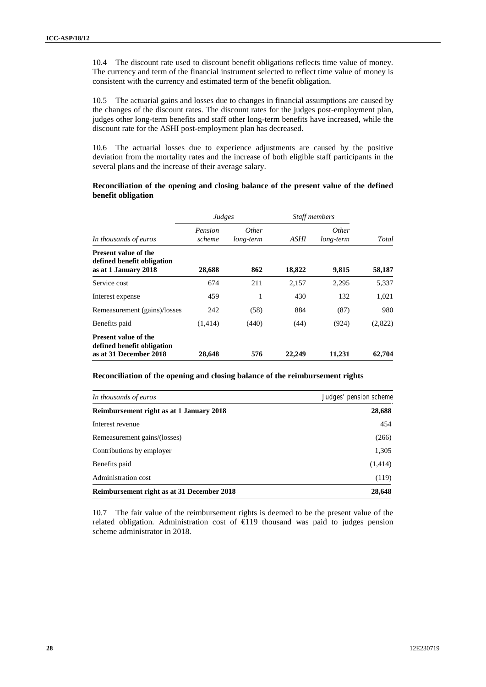10.4 The discount rate used to discount benefit obligations reflects time value of money. The currency and term of the financial instrument selected to reflect time value of money is consistent with the currency and estimated term of the benefit obligation.

10.5 The actuarial gains and losses due to changes in financial assumptions are caused by the changes of the discount rates. The discount rates for the judges post-employment plan, judges other long-term benefits and staff other long-term benefits have increased, while the discount rate for the ASHI post-employment plan has decreased.

10.6 The actuarial losses due to experience adjustments are caused by the positive deviation from the mortality rates and the increase of both eligible staff participants in the several plans and the increase of their average salary.

#### **Reconciliation of the opening and closing balance of the present value of the defined benefit obligation**

|                                                                                     | Judges            |                           | <b>Staff members</b> |                           |         |
|-------------------------------------------------------------------------------------|-------------------|---------------------------|----------------------|---------------------------|---------|
| In thousands of euros                                                               | Pension<br>scheme | <i>Other</i><br>long-term | <i>ASHI</i>          | <i>Other</i><br>long-term | Total   |
| <b>Present value of the</b><br>defined benefit obligation<br>as at 1 January 2018   | 28,688            | 862                       | 18,822               | 9,815                     | 58,187  |
| Service cost                                                                        | 674               | 211                       | 2,157                | 2,295                     | 5,337   |
| Interest expense                                                                    | 459               | 1                         | 430                  | 132                       | 1,021   |
| Remeasurement (gains)/losses                                                        | 242               | (58)                      | 884                  | (87)                      | 980     |
| Benefits paid                                                                       | (1,414)           | (440)                     | (44)                 | (924)                     | (2,822) |
| <b>Present value of the</b><br>defined benefit obligation<br>as at 31 December 2018 | 28,648            | 576                       | 22,249               | 11,231                    | 62,704  |

#### **Reconciliation of the opening and closing balance of the reimbursement rights**

| In thousands of euros                      | Judges' pension scheme |
|--------------------------------------------|------------------------|
| Reimbursement right as at 1 January 2018   | 28,688                 |
| Interest revenue                           | 454                    |
| Remeasurement gains/(losses)               | (266)                  |
| Contributions by employer                  | 1,305                  |
| Benefits paid                              | (1,414)                |
| Administration cost                        | (119)                  |
| Reimbursement right as at 31 December 2018 | 28,648                 |

10.7 The fair value of the reimbursement rights is deemed to be the present value of the related obligation. Administration cost of €119 thousand was paid to judges pension scheme administrator in 2018.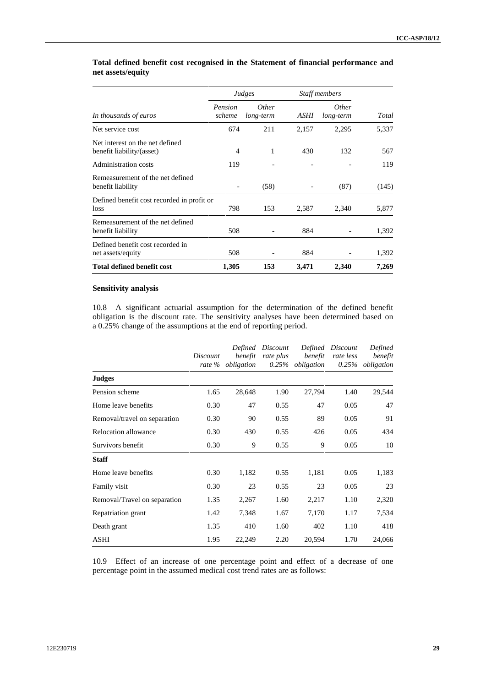|                                                              |                   | Judges                    |       | Staff members             |       |
|--------------------------------------------------------------|-------------------|---------------------------|-------|---------------------------|-------|
| In thousands of euros                                        | Pension<br>scheme | <i>Other</i><br>long-term | ASHI  | <i>Other</i><br>long-term | Total |
| Net service cost                                             | 674               | 211                       | 2,157 | 2,295                     | 5,337 |
| Net interest on the net defined<br>benefit liability/(asset) | 4                 | 1                         | 430   | 132                       | 567   |
| Administration costs                                         | 119               |                           |       |                           | 119   |
| Remeasurement of the net defined<br>benefit liability        |                   | (58)                      |       | (87)                      | (145) |
| Defined benefit cost recorded in profit or<br>loss           | 798               | 153                       | 2,587 | 2,340                     | 5,877 |
| Remeasurement of the net defined<br>benefit liability        | 508               |                           | 884   |                           | 1,392 |
| Defined benefit cost recorded in<br>net assets/equity        | 508               | $\overline{a}$            | 884   |                           | 1,392 |
| <b>Total defined benefit cost</b>                            | 1,305             | 153                       | 3,471 | 2,340                     | 7,269 |

#### **Total defined benefit cost recognised in the Statement of financial performance and net assets/equity**

#### **Sensitivity analysis**

10.8 A significant actuarial assumption for the determination of the defined benefit obligation is the discount rate. The sensitivity analyses have been determined based on a 0.25% change of the assumptions at the end of reporting period.

|                              | Discount | Defined<br>benefit<br>rate % obligation | Discount<br>rate plus | benefit<br>$0.25\%$ obligation | Defined Discount<br>rate less | Defined<br>benefit<br>0.25% obligation |
|------------------------------|----------|-----------------------------------------|-----------------------|--------------------------------|-------------------------------|----------------------------------------|
| <b>Judges</b>                |          |                                         |                       |                                |                               |                                        |
| Pension scheme               | 1.65     | 28,648                                  | 1.90                  | 27,794                         | 1.40                          | 29,544                                 |
| Home leave benefits          | 0.30     | 47                                      | 0.55                  | 47                             | 0.05                          | 47                                     |
| Removal/travel on separation | 0.30     | 90                                      | 0.55                  | 89                             | 0.05                          | 91                                     |
| <b>Relocation allowance</b>  | 0.30     | 430                                     | 0.55                  | 426                            | 0.05                          | 434                                    |
| Survivors benefit            | 0.30     | 9                                       | 0.55                  | 9                              | 0.05                          | 10                                     |
| <b>Staff</b>                 |          |                                         |                       |                                |                               |                                        |
| Home leave benefits          | 0.30     | 1,182                                   | 0.55                  | 1,181                          | 0.05                          | 1,183                                  |
| Family visit                 | 0.30     | 23                                      | 0.55                  | 23                             | 0.05                          | 23                                     |
| Removal/Travel on separation | 1.35     | 2,267                                   | 1.60                  | 2,217                          | 1.10                          | 2,320                                  |
| Repatriation grant           | 1.42     | 7,348                                   | 1.67                  | 7,170                          | 1.17                          | 7,534                                  |
| Death grant                  | 1.35     | 410                                     | 1.60                  | 402                            | 1.10                          | 418                                    |
| <b>ASHI</b>                  | 1.95     | 22,249                                  | 2.20                  | 20,594                         | 1.70                          | 24,066                                 |

10.9 Effect of an increase of one percentage point and effect of a decrease of one percentage point in the assumed medical cost trend rates are as follows: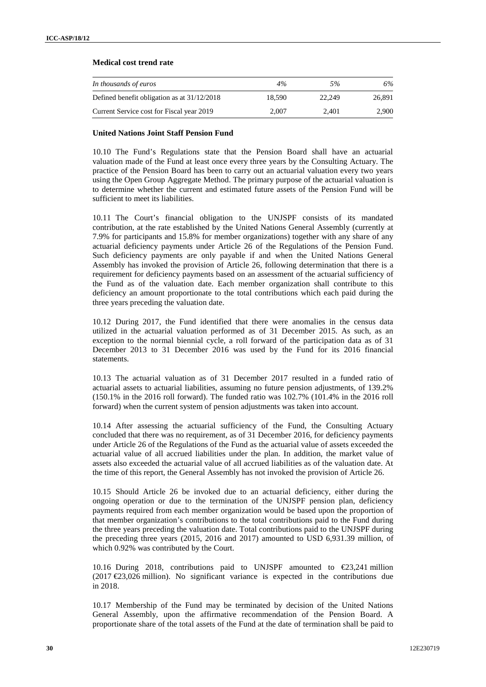#### **Medical cost trend rate**

| In thousands of euros                         | 4%     | 5%     | 6%     |
|-----------------------------------------------|--------|--------|--------|
| Defined benefit obligation as at $31/12/2018$ | 18.590 | 22.249 | 26,891 |
| Current Service cost for Fiscal year 2019     | 2.007  | 2.401  | 2.900  |

#### **United Nations Joint Staff Pension Fund**

10.10 The Fund's Regulations state that the Pension Board shall have an actuarial valuation made of the Fund at least once every three years by the Consulting Actuary. The practice of the Pension Board has been to carry out an actuarial valuation every two years using the Open Group Aggregate Method. The primary purpose of the actuarial valuation is to determine whether the current and estimated future assets of the Pension Fund will be sufficient to meet its liabilities.

10.11 The Court's financial obligation to the UNJSPF consists of its mandated contribution, at the rate established by the United Nations General Assembly (currently at 7.9% for participants and 15.8% for member organizations) together with any share of any actuarial deficiency payments under Article 26 of the Regulations of the Pension Fund. Such deficiency payments are only payable if and when the United Nations General Assembly has invoked the provision of Article 26, following determination that there is a requirement for deficiency payments based on an assessment of the actuarial sufficiency of the Fund as of the valuation date. Each member organization shall contribute to this deficiency an amount proportionate to the total contributions which each paid during the three years preceding the valuation date.

10.12 During 2017, the Fund identified that there were anomalies in the census data utilized in the actuarial valuation performed as of 31 December 2015. As such, as an exception to the normal biennial cycle, a roll forward of the participation data as of 31 December 2013 to 31 December 2016 was used by the Fund for its 2016 financial statements.

10.13 The actuarial valuation as of 31 December 2017 resulted in a funded ratio of actuarial assets to actuarial liabilities, assuming no future pension adjustments, of 139.2% (150.1% in the 2016 roll forward). The funded ratio was 102.7% (101.4% in the 2016 roll forward) when the current system of pension adjustments was taken into account.

10.14 After assessing the actuarial sufficiency of the Fund, the Consulting Actuary concluded that there was no requirement, as of 31 December 2016, for deficiency payments under Article 26 of the Regulations of the Fund as the actuarial value of assets exceeded the actuarial value of all accrued liabilities under the plan. In addition, the market value of assets also exceeded the actuarial value of all accrued liabilities as of the valuation date. At the time of this report, the General Assembly has not invoked the provision of Article 26.

10.15 Should Article 26 be invoked due to an actuarial deficiency, either during the ongoing operation or due to the termination of the UNJSPF pension plan, deficiency payments required from each member organization would be based upon the proportion of that member organization's contributions to the total contributions paid to the Fund during the three years preceding the valuation date. Total contributions paid to the UNJSPF during the preceding three years (2015, 2016 and 2017) amounted to USD 6,931.39 million, of which 0.92% was contributed by the Court.

10.16 During 2018, contributions paid to UNJSPF amounted to €23,241 million  $(2017 \le 23.026 \text{ million})$ . No significant variance is expected in the contributions due in 2018.

10.17 Membership of the Fund may be terminated by decision of the United Nations General Assembly, upon the affirmative recommendation of the Pension Board. A proportionate share of the total assets of the Fund at the date of termination shall be paid to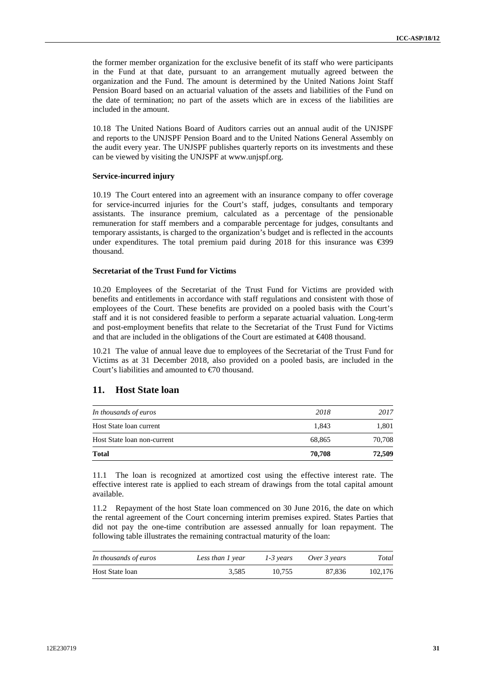the former member organization for the exclusive benefit of its staff who were participants in the Fund at that date, pursuant to an arrangement mutually agreed between the organization and the Fund. The amount is determined by the United Nations Joint Staff Pension Board based on an actuarial valuation of the assets and liabilities of the Fund on the date of termination; no part of the assets which are in excess of the liabilities are included in the amount.

10.18 The United Nations Board of Auditors carries out an annual audit of the UNJSPF and reports to the UNJSPF Pension Board and to the United Nations General Assembly on the audit every year. The UNJSPF publishes quarterly reports on its investments and these can be viewed by visiting the UNJSPF at www.unjspf.org.

#### **Service-incurred injury**

10.19 The Court entered into an agreement with an insurance company to offer coverage for service-incurred injuries for the Court's staff, judges, consultants and temporary assistants. The insurance premium, calculated as a percentage of the pensionable remuneration for staff members and a comparable percentage for judges, consultants and temporary assistants, is charged to the organization's budget and is reflected in the accounts under expenditures. The total premium paid during  $2018$  for this insurance was  $\epsilon$ 399 thousand.

#### **Secretariat of the Trust Fund for Victims**

10.20 Employees of the Secretariat of the Trust Fund for Victims are provided with benefits and entitlements in accordance with staff regulations and consistent with those of employees of the Court. These benefits are provided on a pooled basis with the Court's staff and it is not considered feasible to perform a separate actuarial valuation. Long-term and post-employment benefits that relate to the Secretariat of the Trust Fund for Victims and that are included in the obligations of the Court are estimated at €408 thousand.

10.21 The value of annual leave due to employees of the Secretariat of the Trust Fund for Victims as at 31 December 2018, also provided on a pooled basis, are included in the Court's liabilities and amounted to €70 thousand.

### **11. Host State loan**

| In thousands of euros       | 2018   | 2017   |
|-----------------------------|--------|--------|
| Host State loan current     | 1.843  | 1,801  |
| Host State loan non-current | 68,865 | 70,708 |
| <b>Total</b>                | 70,708 | 72,509 |

11.1 The loan is recognized at amortized cost using the effective interest rate. The effective interest rate is applied to each stream of drawings from the total capital amount available.

11.2 Repayment of the host State loan commenced on 30 June 2016, the date on which the rental agreement of the Court concerning interim premises expired. States Parties that did not pay the one-time contribution are assessed annually for loan repayment. The following table illustrates the remaining contractual maturity of the loan:

| In thousands of euros | Less than 1 year | 1-3 years | Over 3 years | Total   |
|-----------------------|------------------|-----------|--------------|---------|
| Host State loan       | 3.585            | 10.755    | 87.836       | 102,176 |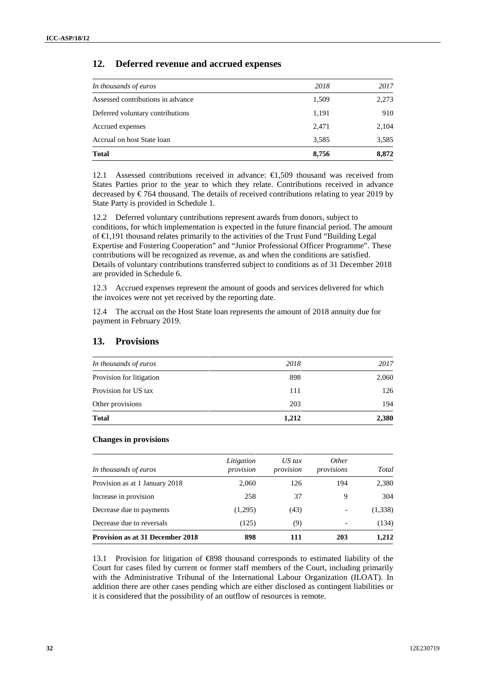### **12. Deferred revenue and accrued expenses**

| In thousands of euros             | 2018  | 2017  |
|-----------------------------------|-------|-------|
| Assessed contributions in advance | 1,509 | 2,273 |
| Deferred voluntary contributions  | 1,191 | 910   |
| Accrued expenses                  | 2,471 | 2,104 |
| Accrual on host State loan        | 3,585 | 3,585 |
| <b>Total</b>                      | 8,756 | 8,872 |

12.1 Assessed contributions received in advance: €1,509 thousand was received from States Parties prior to the year to which they relate. Contributions received in advance decreased by  $\epsilon$ 764 thousand. The details of received contributions relating to year 2019 by State Party is provided in Schedule 1.

12.2 Deferred voluntary contributions represent awards from donors, subject to conditions, for which implementation is expected in the future financial period. The amount of €1,191 thousand relates primarily to the activities of the Trust Fund "Building Legal Expertise and Fostering Cooperation" and "Junior Professional Officer Programme". These contributions will be recognized as revenue, as and when the conditions are satisfied. Details of voluntary contributions transferred subject to conditions as of 31 December 2018 are provided in Schedule 6.

12.3 Accrued expenses represent the amount of goods and services delivered for which the invoices were not yet received by the reporting date.

12.4 The accrual on the Host State loan represents the amount of 2018 annuity due for payment in February 2019.

| 203  | 194   |
|------|-------|
|      |       |
| 111  | 126   |
| 898  | 2,060 |
| 2018 | 2017  |
|      |       |

#### **13. Provisions**

#### **Changes in provisions**

| In thousands of euros                   | Litigation<br>provision | $US$ tax<br>provision | <i>Other</i><br>provisions | Total   |
|-----------------------------------------|-------------------------|-----------------------|----------------------------|---------|
| Provision as at 1 January 2018          | 2.060                   | 126                   | 194                        | 2,380   |
| Increase in provision                   | 258                     | 37                    | 9                          | 304     |
| Decrease due to payments                | (1,295)                 | (43)                  |                            | (1,338) |
| Decrease due to reversals               | (125)                   | (9)                   | $\overline{\phantom{a}}$   | (134)   |
| <b>Provision as at 31 December 2018</b> | 898                     | 111                   | 203                        | 1,212   |

13.1 Provision for litigation of€898 thousand corresponds to estimated liability of the Court for cases filed by current or former staff members of the Court, including primarily with the Administrative Tribunal of the International Labour Organization (ILOAT). In addition there are other cases pending which are either disclosed as contingent liabilities or it is considered that the possibility of an outflow of resources is remote.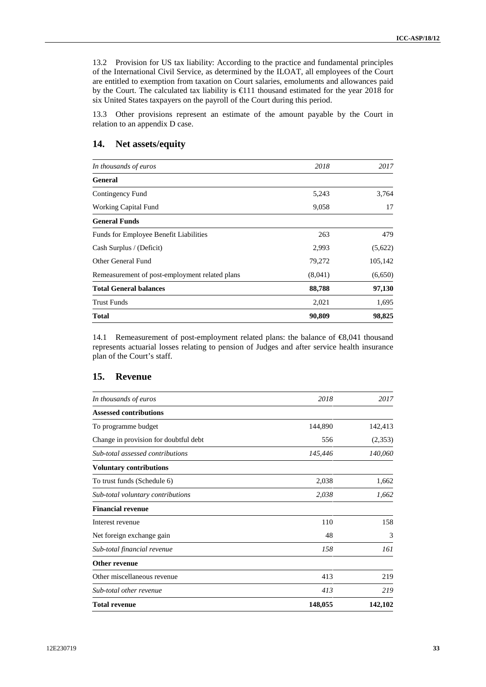13.2 Provision for US tax liability: According to the practice and fundamental principles of the International Civil Service, as determined by the ILOAT, all employees of the Court are entitled to exemption from taxation on Court salaries, emoluments and allowances paid by the Court. The calculated tax liability is €111 thousand estimated for the year 2018 for six United States taxpayers on the payroll of the Court during this period.

13.3 Other provisions represent an estimate of the amount payable by the Court in relation to an appendix D case.

### **14. Net assets/equity**

| In thousands of euros                          | 2018    | 2017    |
|------------------------------------------------|---------|---------|
| <b>General</b>                                 |         |         |
| Contingency Fund                               | 5,243   | 3,764   |
| <b>Working Capital Fund</b>                    | 9,058   | 17      |
| <b>General Funds</b>                           |         |         |
| <b>Funds for Employee Benefit Liabilities</b>  | 263     | 479     |
| Cash Surplus / (Deficit)                       | 2,993   | (5,622) |
| Other General Fund                             | 79,272  | 105,142 |
| Remeasurement of post-employment related plans | (8,041) | (6,650) |
| <b>Total General balances</b>                  | 88,788  | 97,130  |
| <b>Trust Funds</b>                             | 2,021   | 1,695   |
| <b>Total</b>                                   | 90,809  | 98,825  |

14.1 Remeasurement of post-employment related plans: the balance of €8,041 thousand represents actuarial losses relating to pension of Judges and after service health insurance plan of the Court's staff.

### **15. Revenue**

| In thousands of euros                 | 2018    | 2017    |
|---------------------------------------|---------|---------|
| <b>Assessed contributions</b>         |         |         |
| To programme budget                   | 144,890 | 142,413 |
| Change in provision for doubtful debt | 556     | (2,353) |
| Sub-total assessed contributions      | 145,446 | 140,060 |
| <b>Voluntary contributions</b>        |         |         |
| To trust funds (Schedule 6)           | 2,038   | 1,662   |
| Sub-total voluntary contributions     | 2,038   | 1,662   |
| <b>Financial revenue</b>              |         |         |
| Interest revenue                      | 110     | 158     |
| Net foreign exchange gain             | 48      | 3       |
| Sub-total financial revenue           | 158     | 161     |
| Other revenue                         |         |         |
| Other miscellaneous revenue           | 413     | 219     |
| Sub-total other revenue               | 413     | 219     |
| <b>Total revenue</b>                  | 148,055 | 142,102 |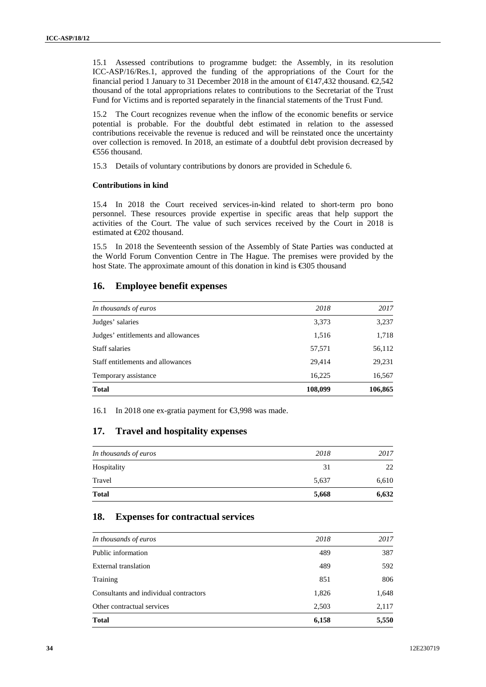15.1 Assessed contributions to programme budget: the Assembly, in its resolution ICC-ASP/16/Res.1, approved the funding of the appropriations of the Court for the financial period 1 January to 31 December 2018 in the amount of  $\in$  47,432 thousand.  $\in$  542 thousand of the total appropriations relates to contributions to the Secretariat of the Trust Fund for Victims and is reported separately in the financial statements of the Trust Fund.

15.2 The Court recognizes revenue when the inflow of the economic benefits or service potential is probable. For the doubtful debt estimated in relation to the assessed contributions receivable the revenue is reduced and will be reinstated once the uncertainty over collection is removed. In 2018, an estimate of a doubtful debt provision decreased by €556 thousand.

15.3 Details of voluntary contributions by donors are provided in Schedule 6.

#### **Contributions in kind**

15.4 In 2018 the Court received services-in-kind related to short-term pro bono personnel. These resources provide expertise in specific areas that help support the activities of the Court. The value of such services received by the Court in 2018 is estimated at €202 thousand.

15.5 In 2018 the Seventeenth session of the Assembly of State Parties was conducted at the World Forum Convention Centre in The Hague. The premises were provided by the host State. The approximate amount of this donation in kind is €305 thousand

#### **16. Employee benefit expenses**

| In thousands of euros               | 2018    | 2017    |
|-------------------------------------|---------|---------|
| Judges' salaries                    | 3,373   | 3,237   |
| Judges' entitlements and allowances | 1,516   | 1,718   |
| Staff salaries                      | 57,571  | 56,112  |
| Staff entitlements and allowances   | 29,414  | 29,231  |
| Temporary assistance                | 16,225  | 16,567  |
| <b>Total</b>                        | 108,099 | 106,865 |

16.1 In 2018 one ex-gratia payment for €3,998 was made.

### **17. Travel and hospitality expenses**

| <b>Total</b>          | 5,668 | 6,632 |
|-----------------------|-------|-------|
| Travel                | 5,637 | 6,610 |
| Hospitality           | 31    | 22    |
| In thousands of euros | 2018  | 2017  |

#### **18. Expenses for contractual services**

| In thousands of euros                  | 2018  | 2017  |
|----------------------------------------|-------|-------|
| Public information                     | 489   | 387   |
| External translation                   | 489   | 592   |
| Training                               | 851   | 806   |
| Consultants and individual contractors | 1,826 | 1,648 |
| Other contractual services             | 2,503 | 2,117 |
| <b>Total</b>                           | 6,158 | 5,550 |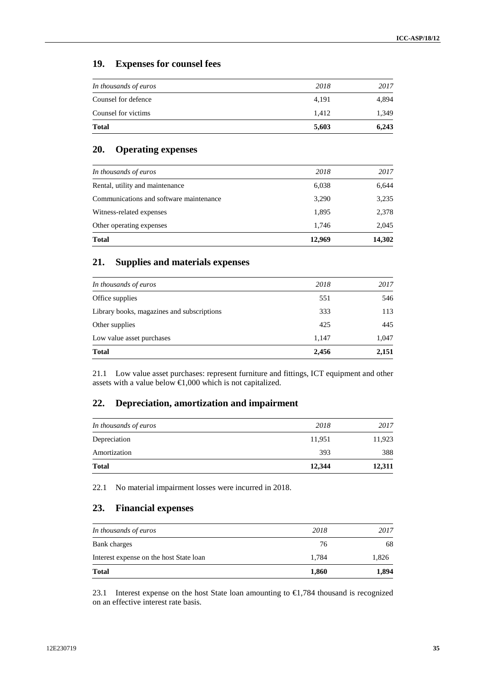## **19. Expenses for counsel fees**

| <b>Total</b>          | 5,603 | 6,243 |
|-----------------------|-------|-------|
| Counsel for victims   | 1.412 | 1,349 |
| Counsel for defence   | 4,191 | 4,894 |
| In thousands of euros | 2018  | 2017  |

## **20. Operating expenses**

| 1,895<br>1.746 | 2,378<br>2,045 |
|----------------|----------------|
|                |                |
|                |                |
| 3,290          | 3,235          |
| 6,038          | 6,644          |
| 2018           | 2017           |
|                |                |

## **21. Supplies and materials expenses**

| <b>Total</b>                               | 2,456 | 2,151 |
|--------------------------------------------|-------|-------|
| Low value asset purchases                  | 1,147 | 1,047 |
| Other supplies                             | 425   | 445   |
| Library books, magazines and subscriptions | 333   | 113   |
| Office supplies                            | 551   | 546   |
| In thousands of euros                      | 2018  | 2017  |
|                                            |       |       |

21.1 Low value asset purchases: represent furniture and fittings, ICT equipment and other assets with a value below  $\bigoplus$ ,000 which is not capitalized.

### **22. Depreciation, amortization and impairment**

| <b>Total</b>          | 12,344 | 12,311 |
|-----------------------|--------|--------|
| Amortization          | 393    | 388    |
| Depreciation          | 11,951 | 11,923 |
| In thousands of euros | 2018   | 2017   |

22.1 No material impairment losses were incurred in 2018.

## **23. Financial expenses**

| <b>Total</b>                            | 1,860 | 1,894 |
|-----------------------------------------|-------|-------|
| Interest expense on the host State loan | 1.784 | 1,826 |
| Bank charges                            | 76    | 68    |
| In thousands of euros                   | 2018  | 2017  |

23.1 Interest expense on the host State loan amounting to  $\in$ 1,784 thousand is recognized on an effective interest rate basis.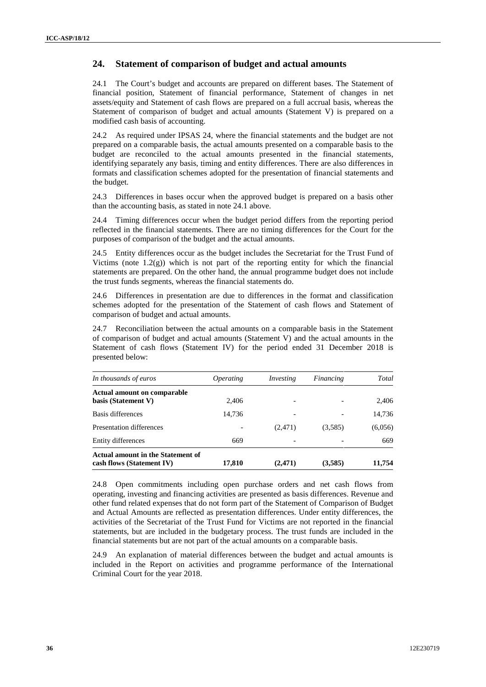## **24. Statement of comparison of budget and actual amounts**

24.1 The Court's budget and accounts are prepared on different bases. The Statement of financial position, Statement of financial performance, Statement of changes in net assets/equity and Statement of cash flows are prepared on a full accrual basis, whereas the Statement of comparison of budget and actual amounts (Statement V) is prepared on a modified cash basis of accounting.

24.2 As required under IPSAS 24, where the financial statements and the budget are not prepared on a comparable basis, the actual amounts presented on a comparable basis to the budget are reconciled to the actual amounts presented in the financial statements, identifying separately any basis, timing and entity differences. There are also differences in formats and classification schemes adopted for the presentation of financial statements and the budget.

24.3 Differences in bases occur when the approved budget is prepared on a basis other than the accounting basis, as stated in note 24.1 above.

24.4 Timing differences occur when the budget period differs from the reporting period reflected in the financial statements. There are no timing differences for the Court for the purposes of comparison of the budget and the actual amounts.

24.5 Entity differences occur as the budget includes the Secretariat for the Trust Fund of Victims (note  $1.2(g)$ ) which is not part of the reporting entity for which the financial statements are prepared. On the other hand, the annual programme budget does not include the trust funds segments, whereas the financial statements do.

24.6 Differences in presentation are due to differences in the format and classification schemes adopted for the presentation of the Statement of cash flows and Statement of comparison of budget and actual amounts.

24.7 Reconciliation between the actual amounts on a comparable basis in the Statement of comparison of budget and actual amounts (Statement V) and the actual amounts in the Statement of cash flows (Statement IV) for the period ended 31 December 2018 is presented below:

| In thousands of euros                                          | <i><b>Operating</b></i> | Investing                | Financing | Total   |
|----------------------------------------------------------------|-------------------------|--------------------------|-----------|---------|
| <b>Actual amount on comparable</b><br>basis (Statement V)      | 2.406                   | $\overline{\phantom{a}}$ |           | 2,406   |
| Basis differences                                              | 14,736                  | -                        |           | 14,736  |
| Presentation differences                                       |                         | (2,471)                  | (3,585)   | (6,056) |
| Entity differences                                             | 669                     |                          |           | 669     |
| Actual amount in the Statement of<br>cash flows (Statement IV) | 17,810                  | (2, 471)                 | (3,585)   | 11,754  |

24.8 Open commitments including open purchase orders and net cash flows from operating, investing and financing activities are presented as basis differences. Revenue and other fund related expenses that do not form part of the Statement of Comparison of Budget and Actual Amounts are reflected as presentation differences. Under entity differences, the activities of the Secretariat of the Trust Fund for Victims are not reported in the financial statements, but are included in the budgetary process. The trust funds are included in the financial statements but are not part of the actual amounts on a comparable basis.

24.9 An explanation of material differences between the budget and actual amounts is included in the Report on activities and programme performance of the International Criminal Court for the year 2018.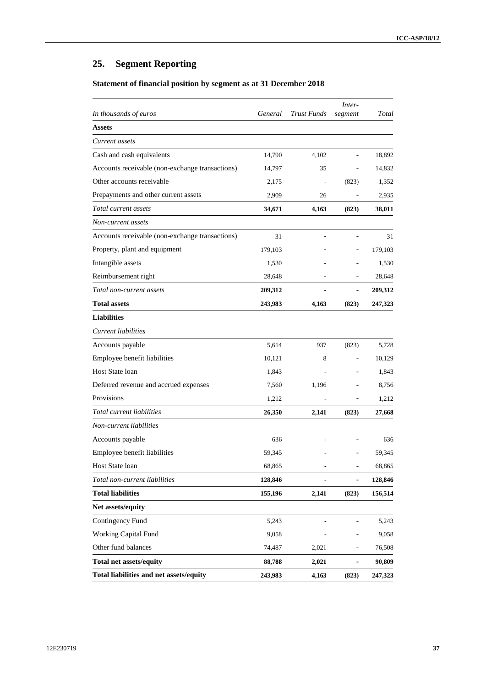# **25. Segment Reporting**

## **Statement of financial position by segment as at 31 December 2018**

| In thousands of euros                           | General | <b>Trust Funds</b> | Inter-<br>segment        | Total   |
|-------------------------------------------------|---------|--------------------|--------------------------|---------|
| Assets                                          |         |                    |                          |         |
| Current assets                                  |         |                    |                          |         |
| Cash and cash equivalents                       | 14,790  | 4,102              |                          | 18,892  |
| Accounts receivable (non-exchange transactions) | 14,797  | 35                 |                          | 14,832  |
| Other accounts receivable                       | 2,175   |                    | (823)                    | 1,352   |
| Prepayments and other current assets            | 2,909   | 26                 |                          | 2,935   |
| Total current assets                            | 34,671  | 4,163              | (823)                    | 38,011  |
| Non-current assets                              |         |                    |                          |         |
| Accounts receivable (non-exchange transactions) | 31      |                    |                          | 31      |
| Property, plant and equipment                   | 179,103 |                    |                          | 179,103 |
| Intangible assets                               | 1,530   |                    |                          | 1,530   |
| Reimbursement right                             | 28,648  |                    |                          | 28,648  |
| Total non-current assets                        | 209,312 |                    |                          | 209,312 |
| <b>Total assets</b>                             | 243,983 | 4,163              | (823)                    | 247,323 |
| <b>Liabilities</b>                              |         |                    |                          |         |
| <b>Current</b> liabilities                      |         |                    |                          |         |
| Accounts payable                                | 5,614   | 937                | (823)                    | 5,728   |
| Employee benefit liabilities                    | 10,121  | 8                  | $\overline{\phantom{0}}$ | 10,129  |
| Host State loan                                 | 1,843   |                    |                          | 1,843   |
| Deferred revenue and accrued expenses           | 7,560   | 1,196              |                          | 8,756   |
| Provisions                                      | 1,212   |                    | $\overline{\phantom{0}}$ | 1,212   |
| Total current liabilities                       | 26,350  | 2,141              | (823)                    | 27,668  |
| Non-current liabilities                         |         |                    |                          |         |
| Accounts payable                                | 636     |                    |                          | 636     |
| Employee benefit liabilities                    | 59,345  |                    |                          | 59,345  |
| Host State loan                                 | 68,865  | $\overline{a}$     |                          | 68,865  |
| Total non-current liabilities                   | 128,846 |                    |                          | 128,846 |
| <b>Total liabilities</b>                        | 155,196 | 2,141              | (823)                    | 156,514 |
| Net assets/equity                               |         |                    |                          |         |
| Contingency Fund                                | 5,243   |                    |                          | 5,243   |
| Working Capital Fund                            | 9,058   |                    |                          | 9,058   |
| Other fund balances                             | 74,487  | 2,021              |                          | 76,508  |
| <b>Total net assets/equity</b>                  | 88,788  | 2,021              |                          | 90,809  |
| Total liabilities and net assets/equity         | 243,983 | 4,163              | (823)                    | 247,323 |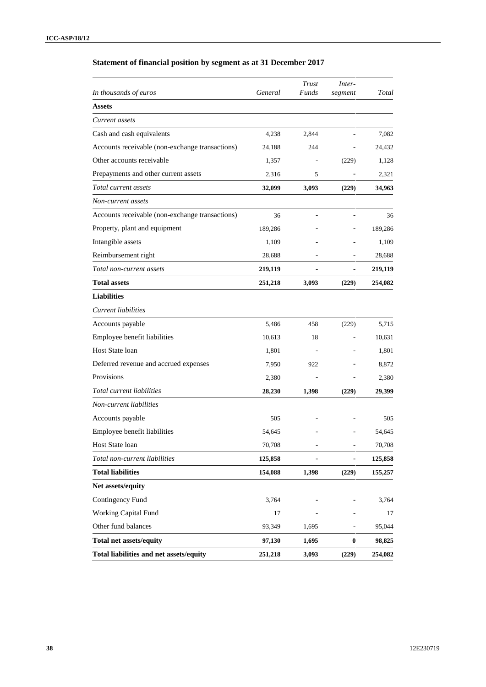## **Statement of financial position by segment as at 31 December 2017**

| In thousands of euros                           | General | Trust<br>Funds | Inter-<br>segment        | Total   |
|-------------------------------------------------|---------|----------------|--------------------------|---------|
| <b>Assets</b>                                   |         |                |                          |         |
| Current assets                                  |         |                |                          |         |
| Cash and cash equivalents                       | 4,238   | 2,844          |                          | 7,082   |
| Accounts receivable (non-exchange transactions) | 24,188  | 244            |                          | 24,432  |
| Other accounts receivable                       | 1,357   |                | (229)                    | 1,128   |
| Prepayments and other current assets            | 2,316   | 5              |                          | 2,321   |
| Total current assets                            | 32,099  | 3,093          | (229)                    | 34,963  |
| Non-current assets                              |         |                |                          |         |
| Accounts receivable (non-exchange transactions) | 36      |                |                          | 36      |
| Property, plant and equipment                   | 189,286 |                |                          | 189,286 |
| Intangible assets                               | 1,109   |                |                          | 1,109   |
| Reimbursement right                             | 28,688  |                |                          | 28,688  |
| Total non-current assets                        | 219,119 |                | $\overline{\phantom{0}}$ | 219,119 |
| <b>Total assets</b>                             | 251,218 | 3,093          | (229)                    | 254,082 |
| <b>Liabilities</b>                              |         |                |                          |         |
| Current liabilities                             |         |                |                          |         |
| Accounts payable                                | 5,486   | 458            | (229)                    | 5,715   |
| Employee benefit liabilities                    | 10,613  | 18             |                          | 10,631  |
| Host State loan                                 | 1,801   |                |                          | 1,801   |
| Deferred revenue and accrued expenses           | 7,950   | 922            |                          | 8,872   |
| Provisions                                      | 2,380   |                |                          | 2,380   |
| Total current liabilities                       | 28,230  | 1,398          | (229)                    | 29,399  |
| Non-current liabilities                         |         |                |                          |         |
| Accounts payable                                | 505     |                |                          | 505     |
| Employee benefit liabilities                    | 54,645  |                |                          | 54,645  |
| Host State loan                                 | 70,708  |                | -                        | 70,708  |
| Total non-current liabilities                   | 125,858 |                |                          | 125,858 |
| <b>Total liabilities</b>                        | 154,088 | 1,398          | (229)                    | 155,257 |
| Net assets/equity                               |         |                |                          |         |
| Contingency Fund                                | 3,764   |                |                          | 3,764   |
| <b>Working Capital Fund</b>                     | 17      |                |                          | 17      |
| Other fund balances                             | 93,349  | 1,695          |                          | 95,044  |
| <b>Total net assets/equity</b>                  | 97,130  | 1,695          | $\boldsymbol{0}$         | 98,825  |
| Total liabilities and net assets/equity         | 251,218 | 3,093          | (229)                    | 254,082 |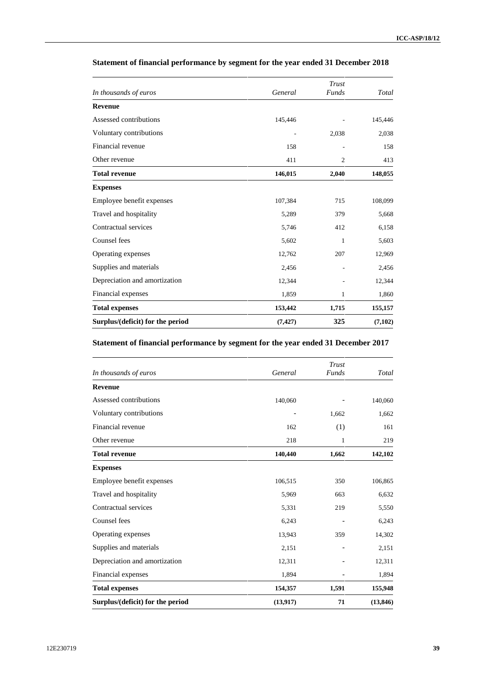| Surplus/(deficit) for the period | (7, 427) | 325                   | (7,102) |
|----------------------------------|----------|-----------------------|---------|
| <b>Total expenses</b>            | 153,442  | 1,715                 | 155,157 |
| Financial expenses               | 1,859    | 1                     | 1,860   |
| Depreciation and amortization    | 12,344   |                       | 12,344  |
| Supplies and materials           | 2,456    |                       | 2,456   |
| Operating expenses               | 12,762   | 207                   | 12,969  |
| Counsel fees                     | 5,602    | 1                     | 5,603   |
| Contractual services             | 5,746    | 412                   | 6,158   |
| Travel and hospitality           | 5,289    | 379                   | 5,668   |
| Employee benefit expenses        | 107,384  | 715                   | 108,099 |
| <b>Expenses</b>                  |          |                       |         |
| <b>Total revenue</b>             | 146,015  | 2,040                 | 148,055 |
| Other revenue                    | 411      | $\overline{2}$        | 413     |
| Financial revenue                | 158      |                       | 158     |
| Voluntary contributions          |          | 2,038                 | 2,038   |
| Assessed contributions           | 145,446  |                       | 145,446 |
| <b>Revenue</b>                   |          |                       |         |
| In thousands of euros            | General  | Trust<br><b>Funds</b> | Total   |

### **Statement of financial performance by segment for the year ended 31 December 2018**

#### **Statement of financial performance by segment for the year ended 31 December 2017**

|                                  |           | Trust        |           |
|----------------------------------|-----------|--------------|-----------|
| In thousands of euros            | General   | <b>Funds</b> | Total     |
| <b>Revenue</b>                   |           |              |           |
| Assessed contributions           | 140,060   |              | 140,060   |
| Voluntary contributions          |           | 1,662        | 1,662     |
| Financial revenue                | 162       | (1)          | 161       |
| Other revenue                    | 218       | 1            | 219       |
| <b>Total revenue</b>             | 140,440   | 1,662        | 142,102   |
| <b>Expenses</b>                  |           |              |           |
| Employee benefit expenses        | 106,515   | 350          | 106,865   |
| Travel and hospitality           | 5,969     | 663          | 6,632     |
| Contractual services             | 5,331     | 219          | 5,550     |
| Counsel fees                     | 6,243     |              | 6,243     |
| Operating expenses               | 13,943    | 359          | 14,302    |
| Supplies and materials           | 2,151     |              | 2,151     |
| Depreciation and amortization    | 12,311    |              | 12,311    |
| Financial expenses               | 1,894     |              | 1,894     |
| <b>Total expenses</b>            | 154,357   | 1,591        | 155,948   |
| Surplus/(deficit) for the period | (13, 917) | 71           | (13, 846) |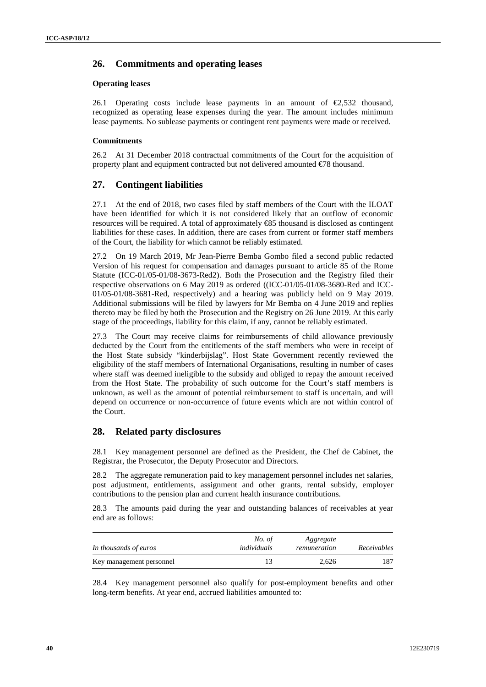### **26. Commitments and operating leases**

#### **Operating leases**

26.1 Operating costs include lease payments in an amount of  $\epsilon$ 2,532 thousand, recognized as operating lease expenses during the year. The amount includes minimum lease payments. No sublease payments or contingent rent payments were made or received.

#### **Commitments**

26.2 At 31 December 2018 contractual commitments of the Court for the acquisition of property plant and equipment contracted but not delivered amounted €78 thousand.

### **27. Contingent liabilities**

27.1 At the end of 2018, two cases filed by staff members of the Court with the ILOAT have been identified for which it is not considered likely that an outflow of economic resources will be required. A total of approximately €85 thousand is disclosed as contingent liabilities for these cases. In addition, there are cases from current or former staff members of the Court, the liability for which cannot be reliably estimated.

27.2 On 19 March 2019, Mr Jean-Pierre Bemba Gombo filed a second public redacted Version of his request for compensation and damages pursuant to article 85 of the Rome Statute (ICC-01/05-01/08-3673-Red2). Both the Prosecution and the Registry filed their respective observations on 6 May 2019 as ordered ((ICC-01/05-01/08-3680-Red and ICC- 01/05-01/08-3681-Red, respectively) and a hearing was publicly held on 9 May 2019. Additional submissions will be filed by lawyers for Mr Bemba on 4 June 2019 and replies thereto may be filed by both the Prosecution and the Registry on 26 June 2019. At this early stage of the proceedings, liability for this claim, if any, cannot be reliably estimated.

27.3 The Court may receive claims for reimbursements of child allowance previously deducted by the Court from the entitlements of the staff members who were in receipt of the Host State subsidy "kinderbijslag". Host State Government recently reviewed the eligibility of the staff members of International Organisations, resulting in number of cases where staff was deemed ineligible to the subsidy and obliged to repay the amount received from the Host State. The probability of such outcome for the Court's staff members is unknown, as well as the amount of potential reimbursement to staff is uncertain, and will depend on occurrence or non-occurrence of future events which are not within control of the Court.

### **28. Related party disclosures**

28.1 Key management personnel are defined as the President, the Chef de Cabinet, the Registrar, the Prosecutor, the Deputy Prosecutor and Directors.

28.2 The aggregate remuneration paid to key management personnel includes net salaries, post adjustment, entitlements, assignment and other grants, rental subsidy, employer contributions to the pension plan and current health insurance contributions.

28.3 The amounts paid during the year and outstanding balances of receivables at year end are as follows:

| In thousands of euros    | No. of<br>individuals | Aggregate<br>remuneration | Receivables |
|--------------------------|-----------------------|---------------------------|-------------|
| Key management personnel |                       | 2.626                     | 187         |

28.4 Key management personnel also qualify for post-employment benefits and other long-term benefits. At year end, accrued liabilities amounted to: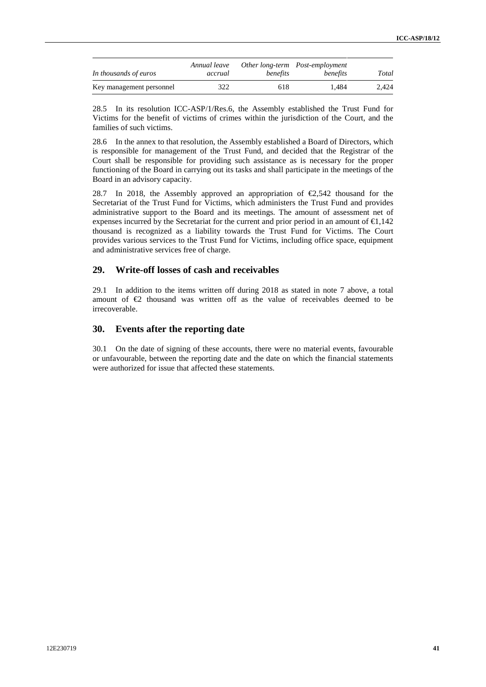| In thousands of euros    | Annual leave<br>accrual | benefits | Other long-term Post-employment<br>benefits | Total |
|--------------------------|-------------------------|----------|---------------------------------------------|-------|
| Key management personnel | 322                     | 618      | ī.484                                       | 2.424 |

28.5 In its resolution ICC-ASP/1/Res.6, the Assembly established the Trust Fund for Victims for the benefit of victims of crimes within the jurisdiction of the Court, and the families of such victims.

28.6 In the annex to that resolution, the Assembly established a Board of Directors, which is responsible for management of the Trust Fund, and decided that the Registrar of the Court shall be responsible for providing such assistance as is necessary for the proper functioning of the Board in carrying out its tasks and shall participate in the meetings of the Board in an advisory capacity.

28.7 In 2018, the Assembly approved an appropriation of  $\epsilon$ 2,542 thousand for the Secretariat of the Trust Fund for Victims, which administers the Trust Fund and provides administrative support to the Board and its meetings. The amount of assessment net of expenses incurred by the Secretariat for the current and prior period in an amount of  $\epsilon 1,142$ thousand is recognized as a liability towards the Trust Fund for Victims. The Court provides various services to the Trust Fund for Victims, including office space, equipment and administrative services free of charge.

### **29. Write-off losses of cash and receivables**

29.1 In addition to the items written off during 2018 as stated in note 7 above, a total amount of €2 thousand was written off as the value of receivables deemed to be irrecoverable.

### **30. Events after the reporting date**

30.1 On the date of signing of these accounts, there were no material events, favourable or unfavourable, between the reporting date and the date on which the financial statements were authorized for issue that affected these statements.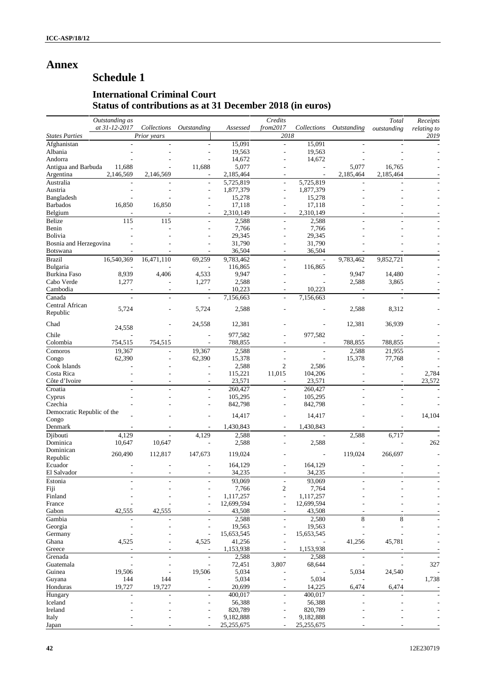## **Annex**

# **Schedule 1**

## **International Criminal Court Status of contributions as at 31 December 2018 (in euros)**

|                            | Outstanding as           |                          |                          |            | Credits                  |                          |                          | Total                    | Receipts    |
|----------------------------|--------------------------|--------------------------|--------------------------|------------|--------------------------|--------------------------|--------------------------|--------------------------|-------------|
|                            | at 31-12-2017            | Collections              | Outstanding              | Assessed   | from2017                 | Collections              | Outstanding              | outstanding              | relating to |
| <b>States Parties</b>      |                          | Prior years              |                          |            | 2018                     |                          |                          |                          | 2019        |
| Afghanistan                |                          |                          |                          | 15,091     |                          | 15,091                   |                          |                          |             |
| Albania                    |                          |                          |                          | 19,563     | $\overline{a}$           | 19,563                   |                          |                          |             |
| Andorra                    |                          |                          |                          | 14,672     |                          | 14,672                   |                          |                          |             |
| Antigua and Barbuda        | 11,688                   |                          | 11,688                   | 5,077      |                          |                          | 5,077                    | 16,765                   |             |
| Argentina                  | 2,146,569                | 2,146,569                |                          | 2,185,464  |                          |                          | 2,185,464                | 2,185,464                |             |
| Australia                  |                          |                          | $\sim$                   | 5,725,819  | $\overline{\phantom{a}}$ | 5,725,819                |                          |                          |             |
| Austria                    | L,                       |                          | $\overline{\phantom{a}}$ | 1,877,379  | $\overline{\phantom{a}}$ | 1,877,379                |                          |                          |             |
| Bangladesh                 |                          |                          |                          | 15,278     |                          | 15,278                   |                          |                          |             |
| <b>Barbados</b>            | 16,850                   | 16,850                   |                          | 17,118     |                          | 17,118                   |                          |                          |             |
| Belgium                    |                          |                          |                          | 2,310,149  |                          | 2,310,149                |                          |                          |             |
| Belize                     | 115                      | 115                      | $\overline{a}$           | 2,588      | $\frac{1}{2}$            | 2,588                    | L.                       |                          |             |
| Benin                      |                          |                          |                          | 7,766      |                          | 7,766                    |                          |                          |             |
| Bolivia                    |                          |                          |                          | 29,345     |                          | 29,345                   |                          |                          |             |
| Bosnia and Herzegovina     |                          |                          |                          | 31,790     |                          | 31,790                   |                          |                          |             |
| <b>Botswana</b>            |                          |                          |                          | 36,504     |                          | 36,504                   |                          |                          |             |
| <b>Brazil</b>              | 16,540,369               | 16,471,110               | 69,259                   | 9,783,462  | L,                       |                          | 9,783,462                | 9,852,721                |             |
| Bulgaria                   |                          |                          |                          | 116,865    |                          | 116,865                  |                          |                          |             |
| <b>Burkina Faso</b>        | 8,939                    | 4,406                    | 4,533                    | 9,947      |                          |                          | 9,947                    | 14,480                   |             |
| Cabo Verde                 | 1,277                    |                          | 1,277                    | 2,588      |                          |                          | 2,588                    | 3,865                    |             |
| Cambodia                   | $\overline{\phantom{a}}$ | $\overline{\phantom{a}}$ | $\overline{\phantom{a}}$ | 10,223     |                          | 10,223                   | $\overline{\phantom{a}}$ | $\overline{\phantom{a}}$ |             |
| Canada                     | $\overline{\phantom{a}}$ | ÷                        | $\overline{\phantom{a}}$ | 7,156,663  |                          | 7,156,663                | $\overline{\phantom{a}}$ |                          |             |
| Central African            | 5,724                    |                          | 5,724                    | 2,588      |                          |                          | 2,588                    | 8,312                    |             |
| Republic                   |                          |                          |                          |            |                          |                          |                          |                          |             |
| Chad                       |                          |                          | 24,558                   | 12,381     |                          |                          | 12,381                   | 36,939                   |             |
| Chile                      | 24,558                   |                          | $\overline{a}$           | 977,582    |                          | 977,582                  |                          |                          |             |
| Colombia                   | 754,515                  |                          |                          |            |                          |                          | 788,855                  | 788,855                  |             |
|                            |                          | 754,515                  | ÷,                       | 788,855    | $\overline{\phantom{a}}$ | $\overline{\phantom{a}}$ |                          |                          |             |
| Comoros                    | 19,367                   |                          | 19,367                   | 2,588      |                          | $\overline{\phantom{a}}$ | 2,588                    | 21,955                   |             |
| Congo                      | 62,390                   |                          | 62,390                   | 15,378     |                          |                          | 15,378                   | 77,768                   |             |
| Cook Islands               |                          |                          |                          | 2,588      | $\overline{2}$           | 2,586                    |                          |                          |             |
| Costa Rica                 |                          |                          |                          | 115,221    | 11,015                   | 104,206                  |                          |                          | 2,784       |
| Côte d'Ivoire              |                          |                          |                          | 23,571     |                          | 23,571                   |                          |                          | 23,572      |
| Croatia                    |                          |                          |                          | 260,427    |                          | 260,427                  |                          |                          |             |
| Cyprus                     |                          |                          | $\sim$                   | 105,295    | $\overline{a}$           | 105,295                  |                          |                          |             |
| Czechia                    |                          |                          |                          | 842,798    |                          | 842,798                  |                          |                          |             |
| Democratic Republic of the |                          |                          |                          | 14,417     |                          | 14,417                   |                          |                          | 14,104      |
| Congo                      |                          |                          |                          |            |                          |                          |                          |                          |             |
| Denmark                    |                          |                          |                          | 1,430,843  |                          | 1,430,843                |                          |                          |             |
| Djibouti                   | 4,129                    |                          | 4,129                    | 2,588      | $\overline{\phantom{a}}$ |                          | 2,588                    | 6,717                    |             |
| Dominica                   | 10,647                   | 10,647                   |                          | 2,588      |                          | 2,588                    |                          |                          | 262         |
| Dominican                  | 260,490                  | 112,817                  | 147,673                  | 119,024    |                          | L,                       | 119,024                  | 266,697                  |             |
| Republic                   |                          |                          |                          |            |                          |                          |                          |                          |             |
| Ecuador                    |                          |                          |                          | 164,129    |                          | 164,129                  |                          |                          |             |
| El Salvador                |                          |                          |                          | 34,235     |                          | 34,235                   |                          |                          |             |
| Estonia                    |                          |                          |                          | 93,069     |                          | 93,069                   |                          |                          |             |
| Fiji                       |                          |                          |                          | 7,766      | $\overline{\mathbf{c}}$  | 7,764                    |                          |                          |             |
| Finland                    |                          |                          |                          | 1,117,257  |                          | 1,117,257                |                          |                          |             |
| France                     |                          |                          | $\overline{\phantom{a}}$ | 12,699,594 |                          | 12,699,594               |                          |                          |             |
| Gabon                      | 42,555                   | 42,555                   |                          | 43,508     |                          | 43,508                   |                          |                          |             |
| Gambia                     |                          |                          | $\overline{\phantom{a}}$ | 2,588      | $\overline{\phantom{a}}$ | 2,580                    | 8                        | 8                        |             |
| Georgia                    |                          |                          |                          | 19,563     |                          | 19,563                   |                          |                          |             |
| Germany                    |                          |                          | $\overline{a}$           | 15,653,545 |                          | 15,653,545               |                          |                          |             |
| Ghana                      | 4,525                    |                          | 4,525                    | 41,256     |                          |                          | 41,256                   | 45,781                   |             |
| Greece                     |                          |                          | $\overline{\phantom{a}}$ | 1,153,938  |                          | 1,153,938                |                          |                          |             |
| Grenada                    | L,                       | $\overline{\phantom{a}}$ | $\overline{\phantom{a}}$ | 2,588      |                          | 2,588                    |                          |                          |             |
| Guatemala                  |                          |                          | ÷,                       | 72,451     | 3,807                    | 68,644                   |                          |                          | 327         |
| Guinea                     | 19,506                   |                          | 19,506                   | 5,034      |                          |                          | 5,034                    | 24,540                   |             |
| Guyana                     | 144                      | 144                      |                          | 5,034      |                          | 5,034                    |                          |                          | 1,738       |
| Honduras                   | 19,727                   | 19,727                   | $\overline{a}$           | 20,699     |                          | 14,225                   | 6,474                    | 6,474                    |             |
| Hungary                    | ÷,                       |                          |                          | 400,017    | $\overline{\phantom{a}}$ | 400,017                  |                          |                          |             |
| Iceland                    |                          |                          | $\overline{\phantom{a}}$ | 56,388     | ÷,                       | 56,388                   |                          |                          |             |
| Ireland                    |                          |                          |                          | 820,789    |                          | 820,789                  |                          |                          |             |
| Italy                      |                          |                          |                          | 9,182,888  |                          | 9,182,888                |                          |                          |             |
| Japan                      |                          |                          |                          | 25,255,675 |                          | 25,255,675               |                          |                          |             |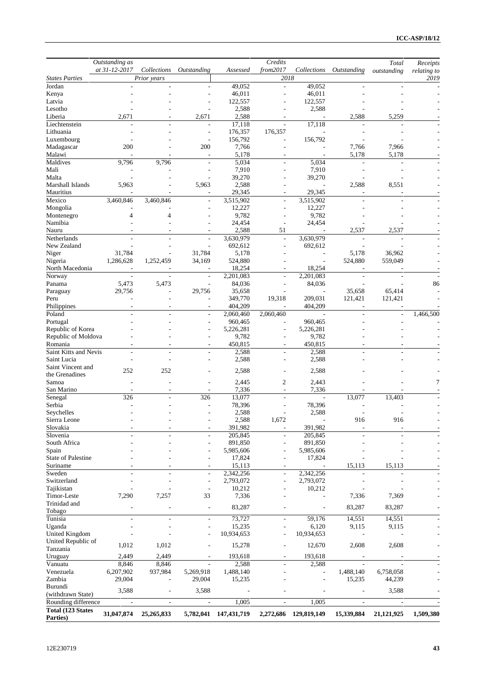|                                       | Outstanding as           |                          |                                  |                        | Credits                  |                        |                          | Total                    | Receipts    |
|---------------------------------------|--------------------------|--------------------------|----------------------------------|------------------------|--------------------------|------------------------|--------------------------|--------------------------|-------------|
|                                       | at 31-12-2017            | Collections              | Outstanding                      | Assessed               | from2017                 | Collections            | Outstanding              | outstanding              | relating to |
| <b>States Parties</b><br>Jordan       |                          | Prior years              |                                  |                        | 2018                     | 49,052                 | ÷,                       |                          | 2019        |
| Kenya                                 |                          |                          |                                  | 49,052<br>46,011       |                          | 46,011                 |                          |                          |             |
| Latvia                                |                          |                          |                                  | 122,557                |                          | 122,557                |                          |                          |             |
| Lesotho                               |                          |                          |                                  | 2,588                  |                          | 2,588                  |                          |                          |             |
| Liberia                               | 2,671                    |                          | 2,671                            | 2,588                  |                          |                        | 2,588                    | 5,259                    |             |
| Liechtenstein                         |                          |                          | ÷                                | 17,118                 |                          | 17,118                 |                          |                          |             |
| Lithuania                             |                          |                          | $\overline{\phantom{a}}$         | 176,357                | 176,357                  |                        |                          |                          |             |
| Luxembourg                            |                          |                          | $\overline{\phantom{a}}$         | 156,792                |                          | 156,792                |                          |                          |             |
| Madagascar                            | 200                      |                          | 200                              | 7,766                  |                          |                        | 7,766                    | 7,966                    |             |
| Malawi                                | 9,796                    |                          | ÷,                               | 5,178                  |                          |                        | 5,178                    | 5,178                    |             |
| Maldives<br>Mali                      |                          | 9,796                    |                                  | 5,034<br>7,910         |                          | 5,034<br>7,910         |                          |                          |             |
| Malta                                 |                          |                          | ÷,                               | 39,270                 |                          | 39,270                 |                          |                          |             |
| Marshall Islands                      | 5,963                    |                          | 5,963                            | 2,588                  |                          |                        | 2,588                    | 8,551                    |             |
| Mauritius                             |                          |                          |                                  | 29,345                 |                          | 29,345                 |                          |                          |             |
| Mexico                                | 3,460,846                | 3,460,846                | $\overline{\phantom{a}}$         | 3,515,902              | $\overline{\phantom{a}}$ | 3,515,902              |                          |                          |             |
| Mongolia                              |                          |                          |                                  | 12,227                 |                          | 12,227                 |                          |                          |             |
| Montenegro                            | 4                        | 4                        |                                  | 9,782                  |                          | 9,782                  |                          |                          |             |
| Namibia                               |                          |                          |                                  | 24,454                 |                          | 24,454                 |                          |                          |             |
| Nauru                                 |                          |                          |                                  | 2,588                  | 51                       |                        | 2,537                    | 2,537                    |             |
| Netherlands                           |                          | ٠                        | $\overline{\phantom{a}}$         | 3,630,979              | $\overline{\phantom{a}}$ | 3,630,979              |                          |                          |             |
| New Zealand                           |                          |                          |                                  | 692,612                |                          | 692,612                |                          |                          |             |
| Niger                                 | 31,784                   |                          | 31,784                           | 5,178                  |                          |                        | 5,178<br>524,880         | 36,962                   |             |
| Nigeria<br>North Macedonia            | 1,286,628                | 1,252,459                | 34,169                           | 524,880<br>18,254      |                          | 18,254                 |                          | 559,049                  |             |
| Norway                                |                          |                          | $\sim$                           | 2,201,083              |                          | 2,201,083              |                          |                          |             |
| Panama                                | 5,473                    | 5,473                    | $\overline{\phantom{a}}$         | 84,036                 |                          | 84,036                 |                          |                          | 86          |
| Paraguay                              | 29,756                   |                          | 29,756                           | 35,658                 |                          |                        | 35,658                   | 65,414                   |             |
| Peru                                  |                          |                          | ÷,                               | 349,770                | 19,318                   | 209,031                | 121,421                  | 121,421                  |             |
| Philippines                           |                          |                          |                                  | 404,209                |                          | 404,209                |                          |                          |             |
| Poland                                |                          |                          | $\overline{\phantom{a}}$         | 2,060,460              | 2,060,460                |                        | ÷.                       | $\overline{a}$           | 1,466,500   |
| Portugal                              |                          |                          | ٠                                | 960,465                |                          | 960,465                |                          |                          |             |
| Republic of Korea                     |                          |                          |                                  | 5,226,281              |                          | 5,226,281              |                          |                          |             |
| Republic of Moldova                   |                          |                          |                                  | 9,782                  |                          | 9,782                  |                          |                          |             |
| Romania                               |                          |                          |                                  | 450,815                |                          | 450,815                |                          |                          |             |
| Saint Kitts and Nevis                 |                          | ٠                        | $\overline{\phantom{a}}$         | 2,588                  | ٠                        | 2,588                  |                          |                          |             |
| Saint Lucia<br>Saint Vincent and      |                          |                          |                                  | 2,588                  |                          | 2,588                  |                          |                          |             |
| the Grenadines                        | 252                      | 252                      |                                  | 2,588                  |                          | 2,588                  |                          |                          |             |
| Samoa                                 |                          |                          |                                  | 2,445                  | $\boldsymbol{2}$         | 2,443                  |                          |                          | 7           |
| San Marino                            |                          |                          |                                  | 7,336                  |                          | 7,336                  |                          |                          |             |
| Senegal                               | 326                      |                          | 326                              | 13,077                 |                          |                        | 13,077                   | 13,403                   |             |
| Serbia                                |                          |                          |                                  | 78,396                 |                          | 78,396                 |                          |                          |             |
| Seychelles                            |                          |                          |                                  | 2,588                  |                          | 2,588                  |                          |                          |             |
| Sierra Leone                          |                          |                          |                                  | 2,588                  | 1,672                    |                        | 916                      | 916                      |             |
| Slovakia                              |                          |                          |                                  | 391,982                |                          | 391,982                |                          |                          |             |
| Slovenia                              |                          |                          |                                  | 205,845                |                          | 205,845                |                          |                          |             |
| South Africa                          |                          |                          |                                  | 891,850                |                          | 891,850                |                          |                          |             |
| Spain                                 |                          |                          |                                  | 5,985,606              |                          | 5,985,606              |                          |                          |             |
| <b>State of Palestine</b><br>Suriname |                          |                          |                                  | 17,824                 |                          | 17,824                 | 15,113                   | 15,113                   |             |
| Sweden                                |                          |                          |                                  | 15,113                 |                          |                        |                          |                          |             |
| Switzerland                           |                          | $\overline{a}$<br>÷,     | $\overline{a}$<br>$\overline{a}$ | 2,342,256<br>2,793,072 | $\overline{a}$           | 2,342,256<br>2,793,072 |                          |                          |             |
| Tajikistan                            |                          |                          | $\overline{a}$                   | 10,212                 |                          | 10,212                 |                          |                          |             |
| Timor-Leste                           | 7,290                    | 7,257                    | 33                               | 7,336                  |                          |                        | 7,336                    | 7,369                    |             |
| Trinidad and                          |                          |                          |                                  |                        |                          |                        |                          |                          |             |
| Tobago                                |                          |                          | $\overline{\phantom{a}}$         | 83,287                 |                          |                        | 83,287                   | 83,287                   |             |
| Tunisia                               | ÷                        | $\sim$                   | $\overline{\phantom{a}}$         | 73,727                 | $\overline{\phantom{a}}$ | 59,176                 | 14,551                   | 14,551                   |             |
| Uganda                                |                          |                          | $\overline{a}$                   | 15,235                 |                          | 6,120                  | 9,115                    | 9,115                    |             |
| United Kingdom                        |                          |                          | ÷,                               | 10,934,653             |                          | 10,934,653             |                          |                          |             |
| United Republic of                    | 1,012                    | 1,012                    |                                  | 15,278                 |                          | 12,670                 | 2,608                    | 2,608                    |             |
| Tanzania                              |                          |                          |                                  |                        |                          |                        |                          |                          |             |
| Uruguay                               | 2,449                    | 2,449                    |                                  | 193,618                |                          | 193,618                |                          |                          |             |
| Vanuatu                               | 8,846                    | 8,846                    |                                  | 2,588                  |                          | 2,588                  |                          |                          |             |
| Venezuela                             | 6,207,902                | 937,984                  | 5,269,918                        | 1,488,140              |                          |                        | 1,488,140                | 6,758,058                |             |
| Zambia<br>Burundi                     | 29,004                   | ÷,                       | 29,004                           | 15,235                 |                          |                        | 15,235                   | 44,239                   |             |
| (withdrawn State)                     | 3,588                    | ÷                        | 3,588                            |                        |                          |                        |                          | 3,588                    |             |
| Rounding difference                   | $\overline{\phantom{a}}$ | $\overline{\phantom{a}}$ | $\overline{\phantom{a}}$         | 1,005                  | $\overline{\phantom{a}}$ | 1,005                  | $\overline{\phantom{a}}$ | $\overline{\phantom{a}}$ |             |
| Total (123 States                     |                          |                          |                                  |                        |                          |                        |                          |                          |             |
| Parties)                              | 31,047,874               | 25,265,833               |                                  | 5,782,041 147,431,719  |                          | 2,272,686 129,819,149  | 15,339,884               | 21,121,925               | 1,509,380   |
|                                       |                          |                          |                                  |                        |                          |                        |                          |                          |             |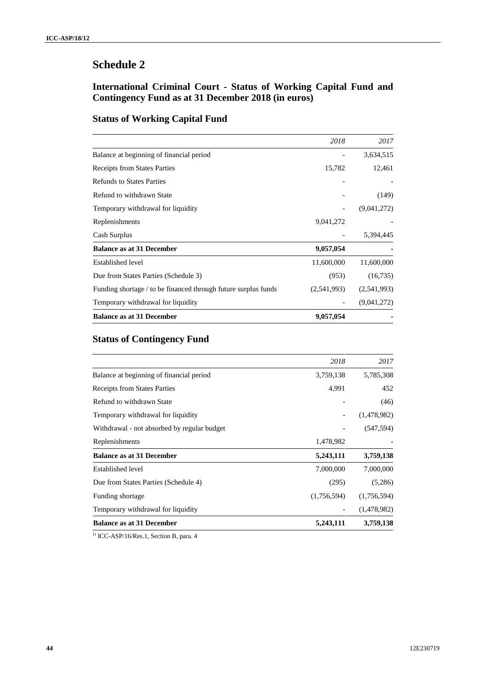## **International Criminal Court - Status of Working Capital Fund and Contingency Fund as at 31 December 2018 (in euros)**

## **Status of Working Capital Fund**

|                                                                | 2018                     | 2017        |
|----------------------------------------------------------------|--------------------------|-------------|
| Balance at beginning of financial period                       |                          | 3,634,515   |
| <b>Receipts from States Parties</b>                            | 15,782                   | 12,461      |
| <b>Refunds to States Parties</b>                               |                          |             |
| Refund to withdrawn State                                      |                          | (149)       |
| Temporary withdrawal for liquidity                             |                          | (9,041,272) |
| Replenishments                                                 | 9,041,272                |             |
| Cash Surplus                                                   |                          | 5,394,445   |
| <b>Balance as at 31 December</b>                               | 9,057,054                |             |
| <b>Established level</b>                                       | 11,600,000               | 11,600,000  |
| Due from States Parties (Schedule 3)                           | (953)                    | (16,735)    |
| Funding shortage / to be financed through future surplus funds | (2,541,993)              | (2,541,993) |
| Temporary withdrawal for liquidity                             | $\overline{\phantom{a}}$ | (9,041,272) |
| <b>Balance as at 31 December</b>                               | 9,057,054                |             |

# **Status of Contingency Fund**

|                                             | 2018        | 2017        |
|---------------------------------------------|-------------|-------------|
| Balance at beginning of financial period    | 3,759,138   | 5,785,308   |
| <b>Receipts from States Parties</b>         | 4,991       | 452         |
| Refund to withdrawn State                   |             | (46)        |
| Temporary withdrawal for liquidity          |             | (1,478,982) |
| Withdrawal - not absorbed by regular budget |             | (547, 594)  |
| Replenishments                              | 1,478,982   |             |
| <b>Balance as at 31 December</b>            | 5,243,111   | 3,759,138   |
| Established level                           | 7,000,000   | 7,000,000   |
| Due from States Parties (Schedule 4)        | (295)       | (5,286)     |
| Funding shortage                            | (1,756,594) | (1,756,594) |
| Temporary withdrawal for liquidity          |             | (1,478,982) |
| <b>Balance as at 31 December</b>            | 5,243,111   | 3,759,138   |

<sup>1)</sup> ICC-ASP/16/Res.1, Section B, para. 4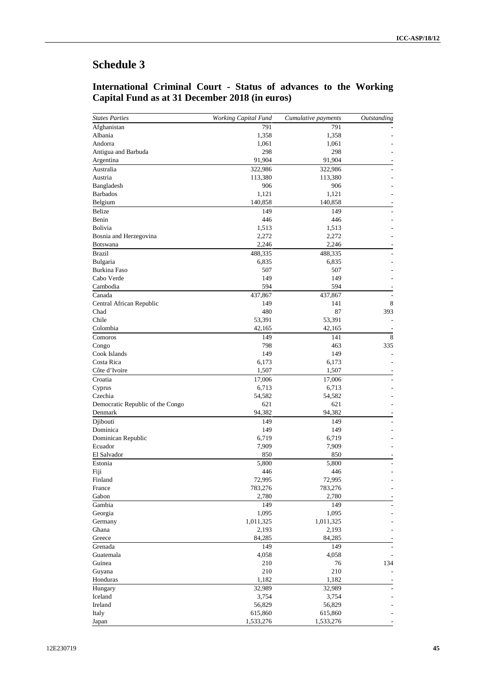### **International Criminal Court - Status of advances to the Working Capital Fund as at 31 December 2018 (in euros)**

| <b>States Parties</b>            | <b>Working Capital Fund</b> | Cumulative payments | Outstanding |
|----------------------------------|-----------------------------|---------------------|-------------|
| Afghanistan                      | 791                         | 791                 |             |
| Albania                          | 1,358                       | 1,358               |             |
| Andorra                          | 1,061                       | 1,061               |             |
| Antigua and Barbuda              | 298                         | 298                 |             |
| Argentina                        | 91,904                      | 91,904              |             |
| Australia                        | 322,986                     | 322,986             |             |
| Austria                          | 113,380                     | 113,380             |             |
| Bangladesh                       | 906                         | 906                 |             |
| <b>Barbados</b>                  | 1,121                       | 1,121               |             |
| Belgium                          | 140,858                     | 140,858             |             |
| <b>Belize</b>                    | 149                         | 149                 |             |
| Benin                            | 446                         | 446                 |             |
| Bolivia                          | 1,513                       | 1,513               |             |
| Bosnia and Herzegovina           | 2,272                       | 2,272               |             |
| <b>Botswana</b>                  | 2,246                       | 2,246               |             |
| <b>Brazil</b>                    | 488,335                     | 488,335             |             |
| Bulgaria                         | 6,835                       | 6,835               |             |
| Burkina Faso                     | 507                         | 507                 |             |
| Cabo Verde                       | 149                         | 149                 |             |
| Cambodia                         | 594                         | 594                 |             |
| Canada                           | 437,867                     | 437,867             | ÷,          |
| Central African Republic         | 149                         | 141                 | 8           |
| Chad                             | 480                         | 87                  | 393         |
| Chile                            | 53,391                      | 53,391              | ÷,          |
| Colombia                         | 42,165                      |                     |             |
|                                  |                             | 42,165              |             |
| Comoros                          | 149                         | 141                 | 8           |
| Congo                            | 798                         | 463                 | 335         |
| Cook Islands                     | 149                         | 149                 |             |
| Costa Rica                       | 6,173                       | 6,173               |             |
| Côte d'Ivoire                    | 1,507                       | 1,507               |             |
| Croatia                          | 17,006                      | 17,006              |             |
| Cyprus                           | 6,713                       | 6,713               |             |
| Czechia                          | 54,582                      | 54,582              |             |
| Democratic Republic of the Congo | 621                         | 621                 |             |
| Denmark                          | 94,382                      | 94,382              |             |
| Djibouti                         | 149                         | 149                 |             |
| Dominica                         | 149                         | 149                 |             |
| Dominican Republic               | 6,719                       | 6,719               |             |
| Ecuador                          | 7,909                       | 7,909               |             |
| El Salvador                      | 850                         | 850                 |             |
| Estonia                          | 5,800                       | 5,800               |             |
| Fiji                             | 446                         | 446                 | ٠           |
| Finland                          | 72,995                      | 72,995              |             |
| France                           | 783,276                     | 783,276             |             |
| Gabon                            | 2,780                       | 2,780               |             |
| Gambia                           | 149                         | 149                 |             |
| Georgia                          | 1,095                       | 1,095               |             |
| Germany                          | 1,011,325                   | 1,011,325           |             |
| Ghana                            | 2,193                       | 2,193               |             |
| Greece                           | 84,285                      | 84,285              |             |
| Grenada                          | 149                         | 149                 |             |
| Guatemala                        | 4,058                       | 4,058               |             |
| Guinea                           | 210                         | 76                  | 134         |
| Guyana                           | 210                         | 210                 |             |
| Honduras                         | 1,182                       | 1,182               |             |
| Hungary                          | 32,989                      | 32,989              |             |
| Iceland                          | 3,754                       | 3,754               |             |
| Ireland                          | 56,829                      | 56,829              |             |
|                                  |                             |                     |             |
| Italy                            | 615,860                     | 615,860             |             |
| Japan                            | 1,533,276                   | 1,533,276           |             |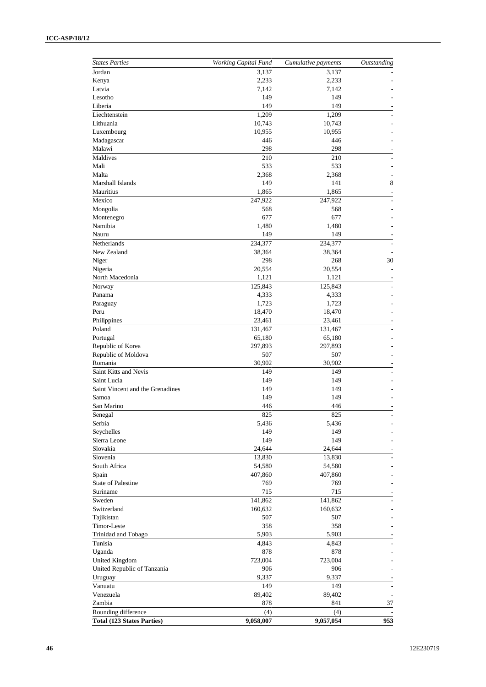| <b>States Parties</b>            | <b>Working Capital Fund</b> | Cumulative payments | Outstanding |
|----------------------------------|-----------------------------|---------------------|-------------|
| Jordan                           | 3,137                       | 3,137               |             |
| Kenya                            | 2,233                       | 2,233               |             |
| Latvia                           | 7,142                       | 7,142               |             |
| Lesotho                          | 149                         | 149                 |             |
| Liberia                          | 149                         | 149                 |             |
| Liechtenstein                    | 1,209                       | 1,209               |             |
| Lithuania                        | 10,743                      | 10,743              |             |
| Luxembourg                       | 10,955                      | 10,955              |             |
| Madagascar                       | 446                         | 446                 |             |
| Malawi                           | 298                         | 298                 |             |
| Maldives                         | 210                         | 210                 |             |
| Mali                             | 533                         | 533                 |             |
| Malta<br>Marshall Islands        | 2,368                       | 2,368               |             |
|                                  | 149                         | 141<br>1,865        | 8           |
| Mauritius                        | 1,865                       |                     |             |
| Mexico                           | 247,922                     | 247,922             |             |
| Mongolia                         | 568                         | 568                 |             |
| Montenegro                       | 677                         | 677                 |             |
| Namibia<br>Nauru                 | 1,480                       | 1,480               |             |
| Netherlands                      | 149                         | 149                 |             |
| New Zealand                      | 234,377                     | 234,377             |             |
|                                  | 38,364                      | 38,364              |             |
| Niger<br>Nigeria                 | 298<br>20,554               | 268<br>20,554       | 30<br>L,    |
| North Macedonia                  | 1,121                       | 1,121               |             |
|                                  | 125,843                     | 125,843             |             |
| Norway<br>Panama                 | 4,333                       | 4,333               |             |
|                                  | 1,723                       | 1,723               |             |
| Paraguay<br>Peru                 | 18,470                      | 18,470              |             |
| Philippines                      | 23,461                      | 23,461              |             |
| Poland                           | 131,467                     | 131,467             |             |
| Portugal                         | 65,180                      | 65,180              |             |
| Republic of Korea                | 297,893                     | 297,893             |             |
| Republic of Moldova              | 507                         | 507                 |             |
| Romania                          | 30,902                      | 30,902              |             |
| Saint Kitts and Nevis            | 149                         | 149                 |             |
| Saint Lucia                      | 149                         | 149                 |             |
| Saint Vincent and the Grenadines | 149                         | 149                 |             |
| Samoa                            | 149                         | 149                 |             |
| San Marino                       | 446                         | 446                 |             |
| Senegal                          | 825                         | 825                 |             |
| Serbia                           | 5,436                       | 5,436               |             |
| Seychelles                       | 149                         | 149                 |             |
| Sierra Leone                     | 149                         | 149                 |             |
| Slovakia                         | 24,644                      | 24,644              |             |
| Slovenia                         | 13,830                      | 13,830              |             |
| South Africa                     | 54,580                      | 54,580              |             |
| Spain                            | 407,860                     | 407,860             |             |
| <b>State of Palestine</b>        | 769                         | 769                 |             |
| Suriname                         | 715                         | 715                 |             |
| Sweden                           | 141,862                     | 141,862             |             |
| Switzerland                      | 160,632                     | 160,632             |             |
| Tajikistan                       | 507                         | 507                 |             |
| Timor-Leste                      | 358                         | 358                 |             |
| Trinidad and Tobago              | 5,903                       | 5,903               |             |
| Tunisia                          | 4,843                       | 4,843               |             |
| Uganda                           | 878                         | 878                 |             |
| <b>United Kingdom</b>            | 723,004                     | 723,004             |             |
| United Republic of Tanzania      | 906                         | 906                 |             |
| Uruguay                          | 9,337                       | 9,337               |             |
| Vanuatu                          | 149                         | 149                 |             |
| Venezuela                        | 89,402                      | 89,402              | ٠           |
| Zambia                           | 878                         | 841                 | 37          |
|                                  |                             |                     |             |
| Rounding difference              | (4)                         | (4)                 |             |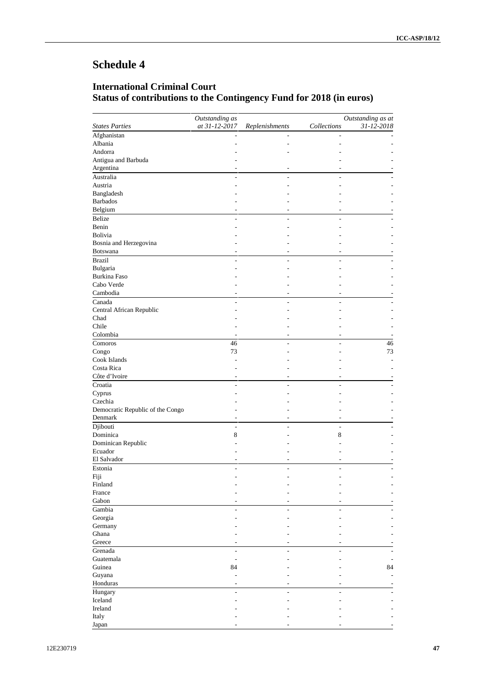# **International Criminal Court Status of contributions to the Contingency Fund for 2018 (in euros)**

|                                  | Outstanding as |                |                          | Outstanding as at |
|----------------------------------|----------------|----------------|--------------------------|-------------------|
| <b>States Parties</b>            | at 31-12-2017  | Replenishments | Collections              | 31-12-2018        |
| Afghanistan                      |                |                |                          |                   |
| Albania                          |                |                |                          |                   |
| Andorra                          |                |                |                          |                   |
| Antigua and Barbuda              |                |                |                          |                   |
| Argentina                        |                |                |                          |                   |
| Australia                        |                |                |                          |                   |
| Austria                          |                |                |                          |                   |
| Bangladesh                       |                |                |                          |                   |
| <b>Barbados</b>                  |                |                |                          |                   |
| Belgium                          |                |                |                          |                   |
| Belize                           |                |                |                          |                   |
| Benin                            |                |                |                          |                   |
| Bolivia                          |                |                |                          |                   |
| Bosnia and Herzegovina           |                |                |                          |                   |
| <b>Botswana</b>                  |                |                |                          |                   |
| <b>Brazil</b>                    | ÷              | ٠              |                          |                   |
| Bulgaria                         |                |                |                          |                   |
| <b>Burkina Faso</b>              |                |                |                          |                   |
| Cabo Verde                       |                |                |                          |                   |
| Cambodia                         |                |                |                          |                   |
| Canada                           |                |                |                          |                   |
| Central African Republic         |                |                |                          |                   |
| Chad                             |                |                |                          |                   |
| Chile                            |                |                |                          |                   |
| Colombia                         |                |                |                          |                   |
| Comoros                          | 46             |                |                          | 46                |
| Congo                            | 73             |                |                          | 73                |
| Cook Islands                     |                |                |                          |                   |
| Costa Rica                       |                |                |                          |                   |
| Côte d'Ivoire                    |                |                |                          |                   |
| Croatia                          | ÷              |                |                          |                   |
|                                  |                |                |                          |                   |
| Cyprus<br>Czechia                |                |                |                          |                   |
| Democratic Republic of the Congo |                |                |                          |                   |
| Denmark                          |                |                |                          |                   |
| Djibouti                         | ÷,             | ٠              | $\overline{\phantom{a}}$ |                   |
| Dominica                         |                |                | 8                        |                   |
|                                  | 8              |                |                          |                   |
| Dominican Republic               |                |                |                          |                   |
| Ecuador<br>El Salvador           |                |                |                          |                   |
|                                  |                |                |                          |                   |
| Estonia                          |                |                |                          |                   |
| Fiji                             |                |                |                          |                   |
| Finland                          |                |                |                          |                   |
| France                           |                |                |                          |                   |
| Gabon                            |                |                |                          |                   |
| Gambia                           |                | $\overline{a}$ |                          |                   |
| Georgia                          |                |                |                          |                   |
| Germany                          |                |                |                          |                   |
| Ghana                            |                |                |                          |                   |
| Greece                           |                |                |                          |                   |
| Grenada                          | ÷,             | L,             | ä,                       |                   |
| Guatemala                        | ÷              |                |                          |                   |
| Guinea                           | 84             |                |                          | 84                |
| Guyana                           |                |                |                          |                   |
| Honduras                         | ٠              | ÷              |                          |                   |
| Hungary                          | L.             | ä,             |                          |                   |
| Iceland                          |                |                |                          |                   |
| Ireland                          |                |                |                          |                   |
| Italy                            |                |                |                          |                   |
| Japan                            |                |                |                          |                   |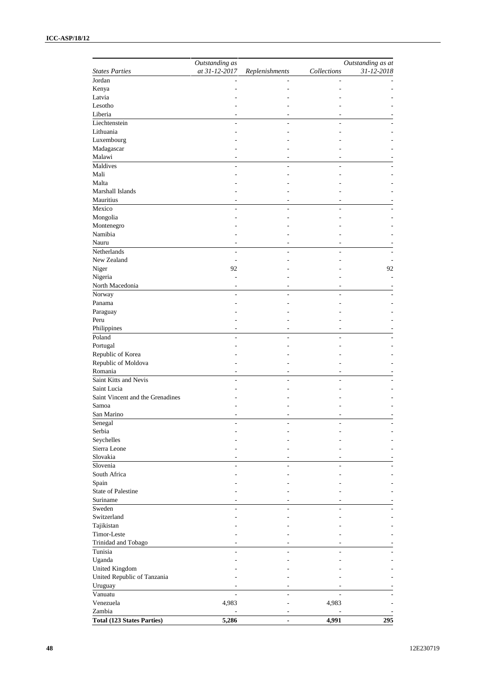|                                   | Outstanding as |                          |             | Outstanding as at |
|-----------------------------------|----------------|--------------------------|-------------|-------------------|
| <b>States Parties</b>             | at 31-12-2017  | Replenishments           | Collections | 31-12-2018        |
| Jordan                            |                |                          |             |                   |
| Kenya                             |                |                          |             |                   |
| Latvia                            |                |                          |             |                   |
| Lesotho                           |                |                          |             |                   |
| Liberia                           |                |                          |             |                   |
| Liechtenstein                     |                |                          |             |                   |
| Lithuania                         |                |                          |             |                   |
| Luxembourg                        |                |                          |             |                   |
| Madagascar                        |                |                          |             |                   |
| Malawi                            |                |                          |             |                   |
| Maldives                          | $\overline{a}$ | $\overline{a}$           |             |                   |
| Mali                              |                |                          |             |                   |
| Malta                             |                |                          |             |                   |
| Marshall Islands                  |                |                          |             |                   |
| Mauritius                         |                |                          |             |                   |
| Mexico                            | ÷              | ٠                        | ٠           |                   |
| Mongolia                          |                |                          |             |                   |
| Montenegro                        |                |                          |             |                   |
| Namibia                           |                |                          |             |                   |
| Nauru                             |                |                          |             |                   |
| Netherlands                       |                |                          |             |                   |
| New Zealand                       | ٠              |                          |             |                   |
| Niger                             | 92             |                          |             | 92                |
| Nigeria                           |                |                          |             |                   |
| North Macedonia                   |                |                          |             |                   |
| Norway                            |                |                          |             |                   |
| Panama                            |                |                          |             |                   |
|                                   |                |                          |             |                   |
| Paraguay<br>Peru                  |                |                          |             |                   |
|                                   | ۰              |                          |             |                   |
| Philippines                       |                | $\overline{a}$           | ۰           |                   |
| Poland                            |                | ä,                       |             |                   |
| Portugal                          |                |                          |             |                   |
| Republic of Korea                 |                |                          |             |                   |
| Republic of Moldova               |                |                          |             |                   |
| Romania                           |                |                          |             |                   |
| Saint Kitts and Nevis             | ÷              | ÷                        | ۳           |                   |
| Saint Lucia                       |                |                          |             |                   |
| Saint Vincent and the Grenadines  |                |                          |             |                   |
| Samoa                             |                |                          |             |                   |
| San Marino                        |                |                          |             |                   |
| Senegal                           |                |                          |             |                   |
| Serbia                            |                |                          |             |                   |
| Seychelles                        |                |                          |             |                   |
| Sierra Leone                      |                |                          |             |                   |
| Slovakia                          |                |                          |             |                   |
| Slovenia                          | ۳              | ۳                        |             |                   |
| South Africa                      |                |                          |             |                   |
| Spain                             |                |                          |             |                   |
| <b>State of Palestine</b>         |                |                          |             |                   |
| Suriname                          |                |                          |             |                   |
| Sweden                            |                |                          |             |                   |
| Switzerland                       |                |                          |             |                   |
| Tajikistan                        |                |                          |             |                   |
| Timor-Leste                       |                |                          |             |                   |
| Trinidad and Tobago               |                |                          |             |                   |
| Tunisia                           | L.             | ÷                        |             |                   |
| Uganda                            |                |                          |             |                   |
| United Kingdom                    |                |                          |             |                   |
|                                   |                |                          |             |                   |
| United Republic of Tanzania       |                |                          |             |                   |
| Uruguay                           |                | ۰                        |             |                   |
| Vanuatu                           |                |                          |             |                   |
| Venezuela                         | 4,983          |                          | 4,983       |                   |
| Zambia                            |                |                          |             |                   |
| <b>Total (123 States Parties)</b> | 5,286          | $\overline{\phantom{a}}$ | 4,991       | 295               |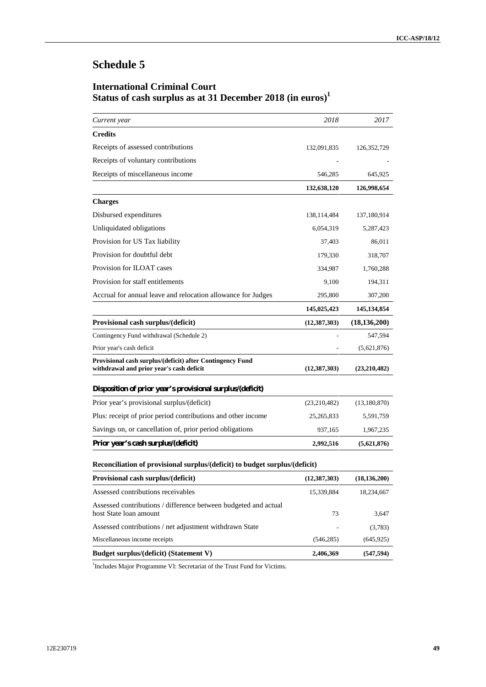# **International Criminal Court Status of cash surplus as at 31 December 2018 (in euros)<sup>1</sup>**

| Current year                                                                                          | 2018           | 2017           |
|-------------------------------------------------------------------------------------------------------|----------------|----------------|
| <b>Credits</b>                                                                                        |                |                |
| Receipts of assessed contributions                                                                    | 132,091,835    | 126, 352, 729  |
| Receipts of voluntary contributions                                                                   |                |                |
| Receipts of miscellaneous income                                                                      | 546,285        | 645,925        |
|                                                                                                       | 132,638,120    | 126,998,654    |
| <b>Charges</b>                                                                                        |                |                |
| Disbursed expenditures                                                                                | 138, 114, 484  | 137,180,914    |
| Unliquidated obligations                                                                              | 6,054,319      | 5,287,423      |
| Provision for US Tax liability                                                                        | 37,403         | 86,011         |
| Provision for doubtful debt                                                                           | 179,330        | 318,707        |
| Provision for ILOAT cases                                                                             | 334,987        | 1,760,288      |
| Provision for staff entitlements                                                                      | 9,100          | 194,311        |
| Accrual for annual leave and relocation allowance for Judges                                          | 295,800        | 307,200        |
|                                                                                                       | 145,025,423    | 145, 134, 854  |
| Provisional cash surplus/(deficit)                                                                    | (12, 387, 303) | (18, 136, 200) |
| Contingency Fund withdrawal (Schedule 2)                                                              |                | 547,594        |
| Prior year's cash deficit                                                                             |                | (5,621,876)    |
| Provisional cash surplus/(deficit) after Contingency Fund<br>withdrawal and prior year's cash deficit | (12, 387, 303) | (23,210,482)   |
| Disposition of prior year's provisional surplus/(deficit)                                             |                |                |
| Prior year's provisional surplus/(deficit)                                                            | (23,210,482)   | (13,180,870)   |
| Plus: receipt of prior period contributions and other income                                          | 25, 265, 833   | 5,591,759      |
| Savings on, or cancellation of, prior period obligations                                              | 937,165        | 1,967,235      |
| Prior year's cash surplus/(deficit)                                                                   | 2,992,516      | (5,621,876)    |
| Reconciliation of provisional surplus/(deficit) to budget surplus/(deficit)                           |                |                |
| Provisional cash surplus/(deficit)                                                                    | (12, 387, 303) | (18, 136, 200) |
| Assessed contributions receivables                                                                    | 15,339,884     | 18,234,667     |
| Assessed contributions / difference between budgeted and actual<br>host State loan amount             | 73             | 3,647          |
| Assessed contributions / net adjustment withdrawn State                                               |                | (3,783)        |
| Miscellaneous income receipts                                                                         | (546, 285)     | (645, 925)     |

**Budget surplus/(deficit) (Statement V) 2,406,369 (547,594)**

<sup>1</sup>Includes Major Programme VI: Secretariat of the Trust Fund for Victims.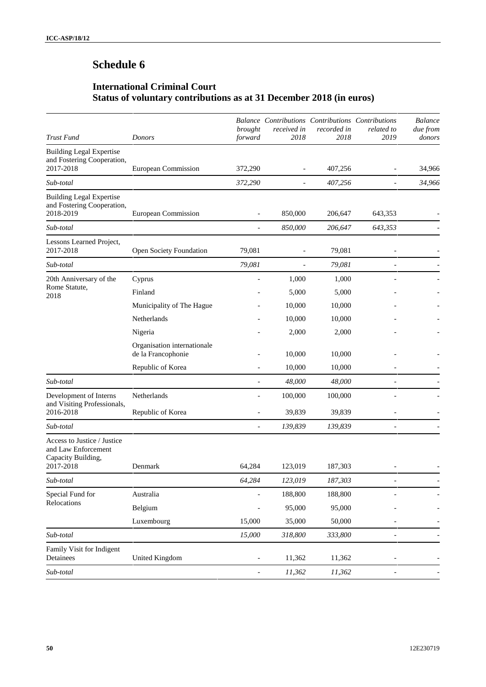# **International Criminal Court Status of voluntary contributions as at 31 December 2018 (in euros)**

| Trust Fund                                                                            | Donors                                            | brought<br>forward       | Balance Contributions Contributions Contributions<br>received in<br>2018 | recorded in<br>2018 | related to<br>2019       | <b>Balance</b><br>due from<br>donors |
|---------------------------------------------------------------------------------------|---------------------------------------------------|--------------------------|--------------------------------------------------------------------------|---------------------|--------------------------|--------------------------------------|
| <b>Building Legal Expertise</b><br>and Fostering Cooperation,                         |                                                   |                          |                                                                          |                     |                          |                                      |
| 2017-2018                                                                             | European Commission                               | 372,290                  |                                                                          | 407,256             |                          | 34,966                               |
| Sub-total                                                                             |                                                   | 372,290                  |                                                                          | 407,256             |                          | 34,966                               |
| <b>Building Legal Expertise</b><br>and Fostering Cooperation,<br>2018-2019            | European Commission                               |                          | 850,000                                                                  | 206,647             | 643,353                  |                                      |
| Sub-total                                                                             |                                                   | $\overline{\phantom{a}}$ | 850,000                                                                  | 206,647             | 643,353                  |                                      |
| Lessons Learned Project,<br>2017-2018                                                 | Open Society Foundation                           | 79,081                   |                                                                          | 79,081              |                          |                                      |
| Sub-total                                                                             |                                                   | 79,081                   | $\overline{\phantom{a}}$                                                 | 79,081              | $\overline{\phantom{a}}$ |                                      |
| 20th Anniversary of the                                                               | Cyprus                                            | $\overline{a}$           | 1,000                                                                    | 1,000               |                          |                                      |
| Rome Statute,<br>2018                                                                 | Finland                                           |                          | 5,000                                                                    | 5,000               |                          |                                      |
|                                                                                       | Municipality of The Hague                         |                          | 10,000                                                                   | 10,000              |                          |                                      |
|                                                                                       | Netherlands                                       |                          | 10,000                                                                   | 10,000              |                          |                                      |
|                                                                                       | Nigeria                                           |                          | 2,000                                                                    | 2,000               |                          |                                      |
|                                                                                       | Organisation internationale<br>de la Francophonie |                          | 10,000                                                                   | 10,000              |                          |                                      |
|                                                                                       | Republic of Korea                                 | $\overline{\phantom{a}}$ | 10,000                                                                   | 10,000              |                          |                                      |
| Sub-total                                                                             |                                                   | $\overline{a}$           | 48,000                                                                   | 48,000              | ÷                        |                                      |
| Development of Interns                                                                | Netherlands                                       |                          | 100,000                                                                  | 100,000             |                          |                                      |
| and Visiting Professionals,<br>2016-2018                                              | Republic of Korea                                 |                          | 39,839                                                                   | 39,839              | $\overline{a}$           |                                      |
| Sub-total                                                                             |                                                   | $\overline{\phantom{0}}$ | 139,839                                                                  | 139,839             | $\overline{a}$           |                                      |
| Access to Justice / Justice<br>and Law Enforcement<br>Capacity Building,<br>2017-2018 | Denmark                                           | 64,284                   | 123,019                                                                  | 187,303             |                          |                                      |
| Sub-total                                                                             |                                                   | 64,284                   | 123,019                                                                  | 187,303             |                          |                                      |
| Special Fund for                                                                      | Australia                                         |                          | 188,800                                                                  | 188,800             |                          |                                      |
| Relocations                                                                           | Belgium                                           |                          | 95,000                                                                   | 95,000              |                          |                                      |
|                                                                                       | Luxembourg                                        | 15,000                   | 35,000                                                                   | 50,000              |                          |                                      |
| Sub-total                                                                             |                                                   | 15,000                   | 318,800                                                                  | 333,800             | $\overline{a}$           |                                      |
| Family Visit for Indigent<br>Detainees                                                | United Kingdom                                    | $\overline{\phantom{0}}$ | 11,362                                                                   | 11,362              | $\overline{\phantom{a}}$ |                                      |
| Sub-total                                                                             |                                                   | $\overline{\phantom{0}}$ | 11,362                                                                   | 11,362              | -                        |                                      |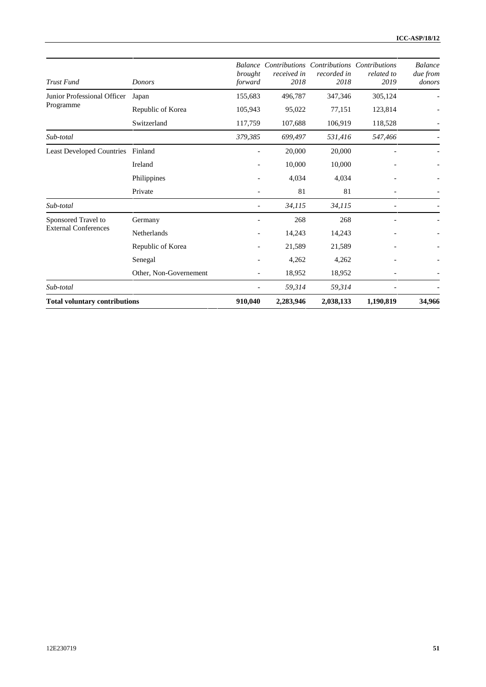| <b>Trust Fund</b>                    | Donors                 | brought<br>forward       | Balance Contributions Contributions Contributions<br>received in<br>2018 | recorded in<br>2018 | related to<br>2019       | <b>Balance</b><br>due from<br>donors |
|--------------------------------------|------------------------|--------------------------|--------------------------------------------------------------------------|---------------------|--------------------------|--------------------------------------|
| Junior Professional Officer          | Japan                  | 155,683                  | 496,787                                                                  | 347,346             | 305,124                  |                                      |
| Programme                            | Republic of Korea      | 105,943                  | 95,022                                                                   | 77,151              | 123,814                  |                                      |
|                                      | Switzerland            | 117,759                  | 107,688                                                                  | 106,919             | 118,528                  |                                      |
| Sub-total                            |                        | 379,385                  | 699,497                                                                  | 531,416             | 547,466                  |                                      |
| <b>Least Developed Countries</b>     | Finland                | $\overline{\phantom{0}}$ | 20,000                                                                   | 20,000              |                          |                                      |
|                                      | Ireland                |                          | 10,000                                                                   | 10,000              |                          |                                      |
|                                      | Philippines            |                          | 4,034                                                                    | 4,034               | $\overline{\phantom{a}}$ |                                      |
|                                      | Private                |                          | 81                                                                       | 81                  | $\qquad \qquad -$        |                                      |
| Sub-total                            |                        |                          | 34,115                                                                   | 34,115              |                          |                                      |
| Sponsored Travel to                  | Germany                |                          | 268                                                                      | 268                 |                          |                                      |
| <b>External Conferences</b>          | Netherlands            |                          | 14,243                                                                   | 14,243              |                          |                                      |
|                                      | Republic of Korea      |                          | 21,589                                                                   | 21,589              |                          |                                      |
|                                      | Senegal                |                          | 4,262                                                                    | 4,262               |                          |                                      |
|                                      | Other, Non-Governement |                          | 18,952                                                                   | 18,952              |                          |                                      |
| Sub-total                            |                        |                          | 59,314                                                                   | 59,314              |                          |                                      |
| <b>Total voluntary contributions</b> |                        | 910,040                  | 2,283,946                                                                | 2,038,133           | 1,190,819                | 34,966                               |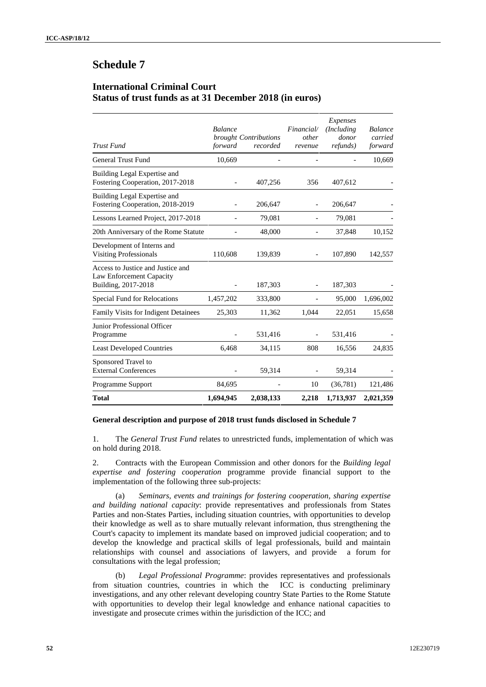### **International Criminal Court Status of trust funds as at 31 December 2018 (in euros)**

| <b>Trust Fund</b>                                                                    | <b>Balance</b><br>forward | brought Contributions<br>recorded | Financial<br>other<br>revenue | Expenses<br>(Including)<br>donor<br><i>refunds</i> ) | <b>Balance</b><br>carried<br>forward |
|--------------------------------------------------------------------------------------|---------------------------|-----------------------------------|-------------------------------|------------------------------------------------------|--------------------------------------|
| <b>General Trust Fund</b>                                                            | 10,669                    |                                   |                               |                                                      | 10,669                               |
| Building Legal Expertise and<br>Fostering Cooperation, 2017-2018                     |                           | 407,256                           | 356                           | 407,612                                              |                                      |
| Building Legal Expertise and<br>Fostering Cooperation, 2018-2019                     |                           | 206,647                           |                               | 206,647                                              |                                      |
| Lessons Learned Project, 2017-2018                                                   |                           | 79,081                            |                               | 79,081                                               |                                      |
| 20th Anniversary of the Rome Statute                                                 |                           | 48,000                            |                               | 37,848                                               | 10,152                               |
| Development of Interns and<br><b>Visiting Professionals</b>                          | 110,608                   | 139,839                           | $\overline{\phantom{a}}$      | 107,890                                              | 142,557                              |
| Access to Justice and Justice and<br>Law Enforcement Capacity<br>Building, 2017-2018 |                           | 187,303                           |                               | 187,303                                              |                                      |
| Special Fund for Relocations                                                         | 1,457,202                 | 333,800                           |                               | 95,000                                               | 1,696,002                            |
| <b>Family Visits for Indigent Detainees</b>                                          | 25,303                    | 11,362                            | 1.044                         | 22,051                                               | 15,658                               |
| Junior Professional Officer<br>Programme                                             |                           | 531,416                           |                               | 531,416                                              |                                      |
| <b>Least Developed Countries</b>                                                     | 6,468                     | 34,115                            | 808                           | 16,556                                               | 24,835                               |
| Sponsored Travel to<br><b>External Conferences</b>                                   |                           | 59,314                            |                               | 59,314                                               |                                      |
| Programme Support                                                                    | 84,695                    |                                   | 10                            | (36,781)                                             | 121,486                              |
| Total                                                                                | 1,694,945                 | 2,038,133                         | 2,218                         | 1,713,937                                            | 2,021,359                            |

#### **General description and purpose of 2018 trust funds disclosed in Schedule 7**

1. The *General Trust Fund* relates to unrestricted funds, implementation of which was on hold during 2018.

2. Contracts with the European Commission and other donors for the *Building legal expertise and fostering cooperation* programme provide financial support to the implementation of the following three sub-projects:

(a) *Seminars, events and trainings for fostering cooperation, sharing expertise and building national capacity*: provide representatives and professionals from States Parties and non-States Parties, including situation countries, with opportunities to develop their knowledge as well as to share mutually relevant information, thus strengthening the Court's capacity to implement its mandate based on improved judicial cooperation; and to develop the knowledge and practical skills of legal professionals, build and maintain relationships with counsel and associations of lawyers, and provide a forum for consultations with the legal profession;

(b) *Legal Professional Programme*: provides representatives and professionals from situation countries, countries in which the ICC is conducting preliminary investigations, and any other relevant developing country State Parties to the Rome Statute with opportunities to develop their legal knowledge and enhance national capacities to investigate and prosecute crimes within the jurisdiction of the ICC; and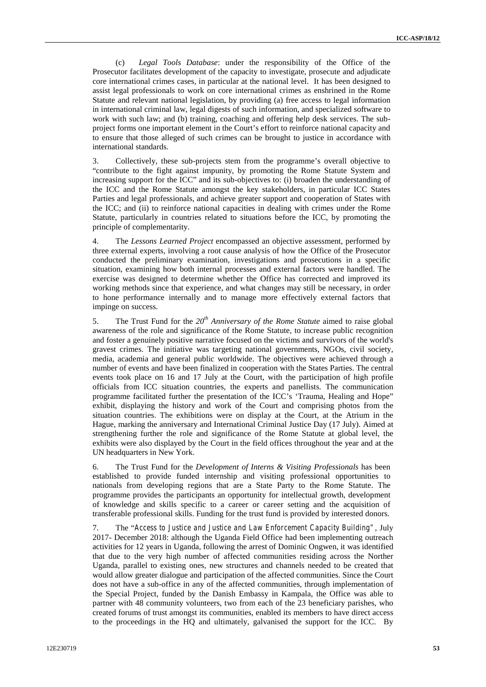(c) *Legal Tools Database*: under the responsibility of the Office of the Prosecutor facilitates development of the capacity to investigate, prosecute and adjudicate core international crimes cases, in particular at the national level. It has been designed to assist legal professionals to work on core international crimes as enshrined in the Rome Statute and relevant national legislation, by providing (a) free access to legal information in international criminal law, legal digests of such information, and specialized software to work with such law; and (b) training, coaching and offering help desk services. The sub project forms one important element in the Court's effort to reinforce national capacity and to ensure that those alleged of such crimes can be brought to justice in accordance with international standards.

3. Collectively, these sub-projects stem from the programme's overall objective to "contribute to the fight against impunity, by promoting the Rome Statute System and increasing support for the ICC" and its sub-objectives to: (i) broaden the understanding of the ICC and the Rome Statute amongst the key stakeholders, in particular ICC States Parties and legal professionals, and achieve greater support and cooperation of States with the ICC; and (ii) to reinforce national capacities in dealing with crimes under the Rome Statute, particularly in countries related to situations before the ICC, by promoting the principle of complementarity.

4. The *Lessons Learned Project* encompassed an objective assessment, performed by three external experts, involving a root cause analysis of how the Office of the Prosecutor conducted the preliminary examination, investigations and prosecutions in a specific situation, examining how both internal processes and external factors were handled. The exercise was designed to determine whether the Office has corrected and improved its working methods since that experience, and what changes may still be necessary, in order to hone performance internally and to manage more effectively external factors that impinge on success.

5. The Trust Fund for the *20th Anniversary of the Rome Statute* aimed to raise global awareness of the role and significance of the Rome Statute, to increase public recognition and foster a genuinely positive narrative focused on the victims and survivors of the world's gravest crimes. The initiative was targeting national governments, NGOs, civil society, media, academia and general public worldwide. The objectives were achieved through a number of events and have been finalized in cooperation with the States Parties. The central events took place on 16 and 17 July at the Court, with the participation of high profile officials from ICC situation countries, the experts and panellists. The communication programme facilitated further the presentation of the ICC's 'Trauma, Healing and Hope" exhibit, displaying the history and work of the Court and comprising photos from the situation countries. The exhibitions were on display at the Court, at the Atrium in the Hague, marking the anniversary and International Criminal Justice Day (17 July). Aimed at strengthening further the role and significance of the Rome Statute at global level, the exhibits were also displayed by the Court in the field offices throughout the year and at the UN headquarters in New York.

6. The Trust Fund for the *Development of Interns & Visiting Professionals* has been established to provide funded internship and visiting professional opportunities to nationals from developing regions that are a State Party to the Rome Statute. The programme provides the participants an opportunity for intellectual growth, development of knowledge and skills specific to a career or career setting and the acquisition of transferable professional skills. Funding for the trust fund is provided by interested donors.

7. The "*Access to Justice and Justice and Law Enforcement Capacity Building"*, July 2017- December 2018: although the Uganda Field Office had been implementing outreach activities for 12 years in Uganda, following the arrest of Dominic Ongwen, it was identified that due to the very high number of affected communities residing across the Norther Uganda, parallel to existing ones, new structures and channels needed to be created that would allow greater dialogue and participation of the affected communities. Since the Court does not have a sub-office in any of the affected communities, through implementation of the Special Project, funded by the Danish Embassy in Kampala, the Office was able to partner with 48 community volunteers, two from each of the 23 beneficiary parishes, who created forums of trust amongst its communities, enabled its members to have direct access to the proceedings in the HQ and ultimately, galvanised the support for the ICC. By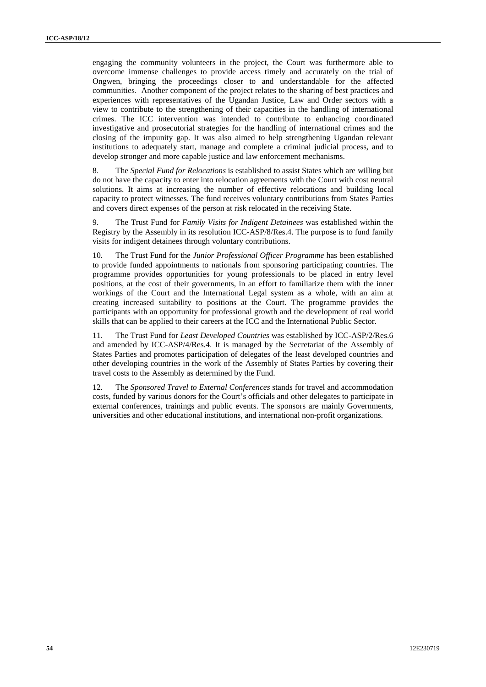engaging the community volunteers in the project, the Court was furthermore able to overcome immense challenges to provide access timely and accurately on the trial of Ongwen, bringing the proceedings closer to and understandable for the affected communities. Another component of the project relates to the sharing of best practices and experiences with representatives of the Ugandan Justice, Law and Order sectors with a view to contribute to the strengthening of their capacities in the handling of international crimes. The ICC intervention was intended to contribute to enhancing coordinated investigative and prosecutorial strategies for the handling of international crimes and the closing of the impunity gap. It was also aimed to help strengthening Ugandan relevant institutions to adequately start, manage and complete a criminal judicial process, and to develop stronger and more capable justice and law enforcement mechanisms.

8. The *Special Fund for Relocations* is established to assist States which are willing but do not have the capacity to enter into relocation agreements with the Court with cost neutral solutions. It aims at increasing the number of effective relocations and building local capacity to protect witnesses. The fund receives voluntary contributions from States Parties and covers direct expenses of the person at risk relocated in the receiving State.

9. The Trust Fund for *Family Visits for Indigent Detainees* was established within the Registry by the Assembly in its resolution ICC-ASP/8/Res.4. The purpose is to fund family visits for indigent detainees through voluntary contributions.

10. The Trust Fund for the *Junior Professional Officer Programme* has been established to provide funded appointments to nationals from sponsoring participating countries. The programme provides opportunities for young professionals to be placed in entry level positions, at the cost of their governments, in an effort to familiarize them with the inner workings of the Court and the International Legal system as a whole, with an aim at creating increased suitability to positions at the Court. The programme provides the participants with an opportunity for professional growth and the development of real world skills that can be applied to their careers at the ICC and the International Public Sector.

11. The Trust Fund for *Least Developed Countries* was established by ICC-ASP/2/Res.6 and amended by ICC-ASP/4/Res.4. It is managed by the Secretariat of the Assembly of States Parties and promotes participation of delegates of the least developed countries and other developing countries in the work of the Assembly of States Parties by covering their travel costs to the Assembly as determined by the Fund.

12. The *Sponsored Travel to External Conferences* stands for travel and accommodation costs, funded by various donors for the Court's officials and other delegates to participate in external conferences, trainings and public events. The sponsors are mainly Governments, universities and other educational institutions, and international non-profit organizations.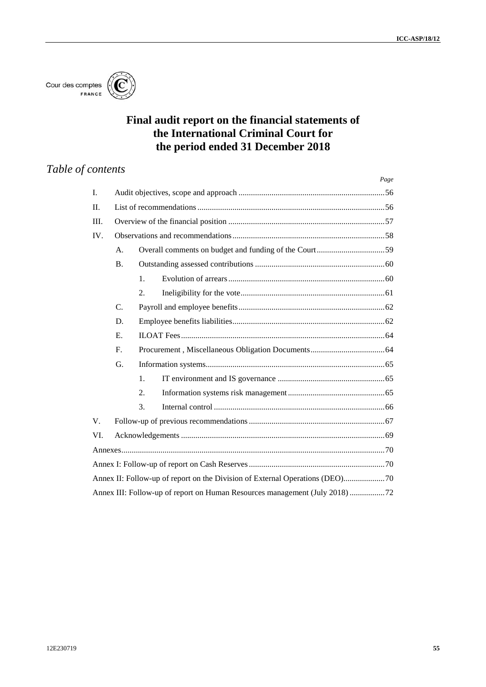

# **Final audit report on the financial statements of the International Criminal Court for the period ended 31 December 2018**

# *Table of contents*

|             |             |                  | Page |
|-------------|-------------|------------------|------|
| I.          |             |                  |      |
| $\Pi$ .     |             |                  |      |
| III.        |             |                  |      |
| IV.         |             |                  |      |
|             | A.          |                  |      |
|             | <b>B.</b>   |                  |      |
|             |             | 1.               |      |
|             |             | 2.               |      |
|             | C.          |                  |      |
|             | D.          |                  |      |
|             | E.          |                  |      |
|             | $F_{\cdot}$ |                  |      |
|             | G.          |                  |      |
|             |             | $\mathbf{1}$ .   |      |
|             |             | $\overline{2}$ . |      |
|             |             | 3.               |      |
| $V_{\cdot}$ |             |                  |      |
| VI.         |             |                  |      |
|             |             |                  |      |
|             |             |                  |      |
|             |             |                  |      |
|             |             |                  |      |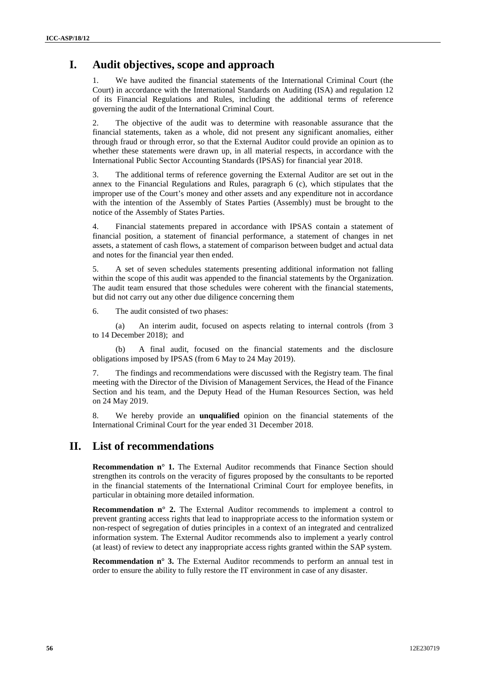## **I. Audit objectives, scope and approach**

1. We have audited the financial statements of the International Criminal Court (the Court) in accordance with the International Standards on Auditing (ISA) and regulation 12 of its Financial Regulations and Rules, including the additional terms of reference governing the audit of the International Criminal Court.

2. The objective of the audit was to determine with reasonable assurance that the financial statements, taken as a whole, did not present any significant anomalies, either through fraud or through error, so that the External Auditor could provide an opinion as to whether these statements were drawn up, in all material respects, in accordance with the International Public Sector Accounting Standards (IPSAS) for financial year 2018.

3. The additional terms of reference governing the External Auditor are set out in the annex to the Financial Regulations and Rules, paragraph 6 (c), which stipulates that the improper use of the Court's money and other assets and any expenditure not in accordance with the intention of the Assembly of States Parties (Assembly) must be brought to the notice of the Assembly of States Parties.

4. Financial statements prepared in accordance with IPSAS contain a statement of financial position, a statement of financial performance, a statement of changes in net assets, a statement of cash flows, a statement of comparison between budget and actual data and notes for the financial year then ended.

5. A set of seven schedules statements presenting additional information not falling within the scope of this audit was appended to the financial statements by the Organization. The audit team ensured that those schedules were coherent with the financial statements, but did not carry out any other due diligence concerning them

6. The audit consisted of two phases:

(a) An interim audit, focused on aspects relating to internal controls (from 3 to 14 December 2018); and

(b) A final audit, focused on the financial statements and the disclosure obligations imposed by IPSAS (from 6 May to 24 May 2019).

7. The findings and recommendations were discussed with the Registry team. The final meeting with the Director of the Division of Management Services, the Head of the Finance Section and his team, and the Deputy Head of the Human Resources Section, was held on 24 May 2019.

8. We hereby provide an **unqualified** opinion on the financial statements of the International Criminal Court for the year ended 31 December 2018.

### **II. List of recommendations**

**Recommendation n° 1.** The External Auditor recommends that Finance Section should strengthen its controls on the veracity of figures proposed by the consultants to be reported in the financial statements of the International Criminal Court for employee benefits, in particular in obtaining more detailed information.

**Recommendation n° 2.** The External Auditor recommends to implement a control to prevent granting access rights that lead to inappropriate access to the information system or non-respect of segregation of duties principles in a context of an integrated and centralized information system. The External Auditor recommends also to implement a yearly control (at least) of review to detect any inappropriate access rights granted within the SAP system.

**Recommendation n° 3.** The External Auditor recommends to perform an annual test in order to ensure the ability to fully restore the IT environment in case of any disaster.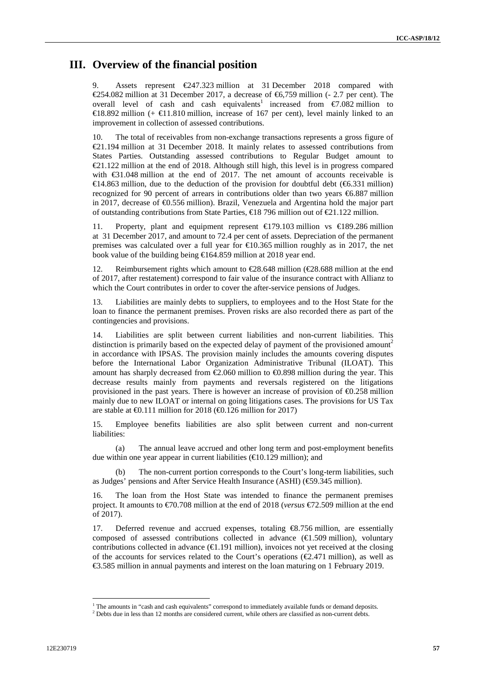## **III. Overview of the financial position**

9. Assets represent €247.323 million at 31 December 2018 compared with €254.082 million at 31 December 2017, a decrease of €6,759 million (- 2.7 per cent). The overall level of cash and cash equivalents<sup>1</sup> increased from  $\epsilon$ 7.082 million to €18.892 million (+ €11.810 million, increase of 167 per cent), level mainly linked to an improvement in collection of assessed contributions.

10. The total of receivables from non-exchange transactions represents a gross figure of €21.194 million at 31 December 2018. It mainly relates to assessed contributions from States Parties. Outstanding assessed contributions to Regular Budget amount to €21.122 million at the end of 2018. Although still high, this level is in progress compared with €31.048 million at the end of 2017. The net amount of accounts receivable is  $\triangleleft$ 4.863 million, due to the deduction of the provision for doubtful debt ( $\triangleleft$ 6.331 million) recognized for 90 percent of arrears in contributions older than two years €6.887 million in 2017, decrease of €0.556 million). Brazil, Venezuela and Argentina hold the major part of outstanding contributions from State Parties, €18 796 million out of €21.122 million.

11. Property, plant and equipment represent  $\bigoplus$  79.103 million vs  $\bigoplus$  89.286 million at 31 December 2017, and amount to 72.4 per cent of assets. Depreciation of the permanent premises was calculated over a full year for  $\epsilon 0.365$  million roughly as in 2017, the net book value of the building being  $\bigoplus$  64.859 million at 2018 year end.

12. Reimbursement rights which amount to  $\in \mathbb{28.648}$  million  $(\in \mathbb{28.688}$  million at the end of 2017, after restatement) correspond to fair value of the insurance contract with Allianz to which the Court contributes in order to cover the after-service pensions of Judges.

Liabilities are mainly debts to suppliers, to employees and to the Host State for the loan to finance the permanent premises. Proven risks are also recorded there as part of the contingencies and provisions.

14. Liabilities are split between current liabilities and non-current liabilities. This distinction is primarily based on the expected delay of payment of the provisioned amount<sup>2</sup> in accordance with IPSAS. The provision mainly includes the amounts covering disputes before the International Labor Organization Administrative Tribunal (ILOAT). This amount has sharply decreased from  $\epsilon 2.060$  million to  $\epsilon 0.898$  million during the year. This decrease results mainly from payments and reversals registered on the litigations provisioned in the past years. There is however an increase of provision of  $\epsilon$ 0.258 million mainly due to new ILOAT or internal on going litigations cases. The provisions for US Tax are stable at  $\Theta$ .111 million for 2018 ( $\Theta$ .126 million for 2017)

15. Employee benefits liabilities are also split between current and non-current liabilities:

(a) The annual leave accrued and other long term and post-employment benefits due within one year appear in current liabilities  $(\text{\euro 129 million})$ ; and

The non-current portion corresponds to the Court's long-term liabilities, such as Judges' pensions and After Service Health Insurance (ASHI) (€59.345 million).

16. The loan from the Host State was intended to finance the permanent premises project. It amounts to €70.708 million at the end of 2018 (*versus* €72.509 million at the end of 2017).

17. Deferred revenue and accrued expenses, totaling €8.756 million, are essentially composed of assessed contributions collected in advance  $(\text{\e{t}}.509$  million), voluntary contributions collected in advance  $(\epsilon 1.191 \text{ million})$ , invoices not yet received at the closing of the accounts for services related to the Court's operations ( $\epsilon$ 2.471 million), as well as €3.585 million in annual payments and interest on the loan maturing on 1 February 2019.

<sup>&</sup>lt;sup>1</sup> The amounts in "cash and cash equivalents" correspond to immediately available funds or demand deposits. <sup>2</sup> Debts due in less than 12 months are considered current, while others are classified as non-current debts.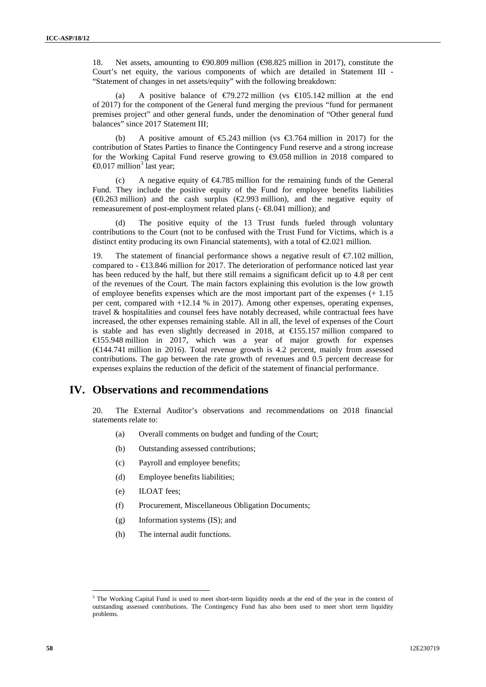18. Net assets, amounting to €90.809 million (€98.825 million in 2017), constitute the Court's net equity, the various components of which are detailed in Statement III - "Statement of changes in net assets/equity" with the following breakdown:

(a) A positive balance of  $\epsilon$ 79.272 million (vs  $\epsilon$ 105.142 million at the end of 2017) for the component of the General fund merging the previous "fund for permanent premises project" and other general funds, under the denomination of "Other general fund balances" since 2017 Statement III;

(b) A positive amount of  $\epsilon$ 5.243 million (vs  $\epsilon$ 3.764 million in 2017) for the contribution of States Parties to finance the Contingency Fund reserve and a strong increase for the Working Capital Fund reserve growing to  $\bigoplus$  0.058 million in 2018 compared to  $\epsilon 0.017$  million<sup>3</sup> last year;

(c) A negative equity of  $\epsilon 4.785$  million for the remaining funds of the General Fund. They include the positive equity of the Fund for employee benefits liabilities ( $\Theta$ .263 million) and the cash surplus ( $\epsilon$ 2.993 million), and the negative equity of remeasurement of post-employment related plans (- €8.041 million); and

(d) The positive equity of the 13 Trust funds fueled through voluntary contributions to the Court (not to be confused with the Trust Fund for Victims, which is a distinct entity producing its own Financial statements), with a total of  $\epsilon 2.021$  million.

The statement of financial performance shows a negative result of  $\epsilon$ 7.102 million, compared to  $- \epsilon 13.846$  million for 2017. The deterioration of performance noticed last year has been reduced by the half, but there still remains a significant deficit up to 4.8 per cent of the revenues of the Court. The main factors explaining this evolution is the low growth of employee benefits expenses which are the most important part of the expenses (+ 1.15 per cent, compared with +12.14 % in 2017). Among other expenses, operating expenses, travel & hospitalities and counsel fees have notably decreased, while contractual fees have increased, the other expenses remaining stable. All in all, the level of expenses of the Court is stable and has even slightly decreased in 2018, at  $\text{\textsterling}55.157$  million compared to €155.948 million in 2017, which was a year of major growth for expenses  $(\text{€144.741 million in 2016)}$ . Total revenue growth is 4.2 percent, mainly from assessed contributions. The gap between the rate growth of revenues and 0.5 percent decrease for expenses explains the reduction of the deficit of the statement of financial performance.

### **IV. Observations and recommendations**

20. The External Auditor's observations and recommendations on 2018 financial statements relate to:

- (a) Overall comments on budget and funding of the Court;
- (b) Outstanding assessed contributions;
- (c) Payroll and employee benefits;
- (d) Employee benefits liabilities;
- (e) ILOAT fees;
- (f) Procurement, Miscellaneous Obligation Documents;
- (g) Information systems (IS); and
- (h) The internal audit functions.

<sup>&</sup>lt;sup>3</sup> The Working Capital Fund is used to meet short-term liquidity needs at the end of the year in the context of outstanding assessed contributions. The Contingency Fund has also been used to meet short term liquidity problems.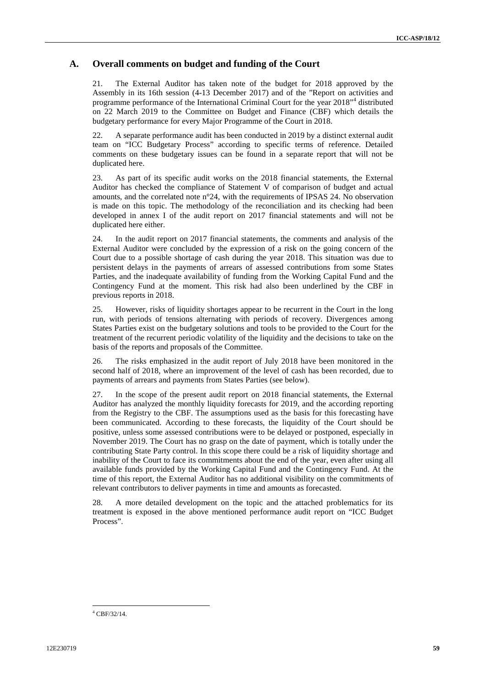### **A. Overall comments on budget and funding of the Court**

21. The External Auditor has taken note of the budget for 2018 approved by the Assembly in its 16th session (4-13 December 2017) and of the "Report on activities and programme performance of the International Criminal Court for the year 2018"<sup>4</sup> distributed on 22 March 2019 to the Committee on Budget and Finance (CBF) which details the budgetary performance for every Major Programme of the Court in 2018.

22. A separate performance audit has been conducted in 2019 by a distinct external audit team on "ICC Budgetary Process" according to specific terms of reference. Detailed comments on these budgetary issues can be found in a separate report that will not be duplicated here.

23. As part of its specific audit works on the 2018 financial statements, the External Auditor has checked the compliance of Statement V of comparison of budget and actual amounts, and the correlated note n°24, with the requirements of IPSAS 24. No observation is made on this topic. The methodology of the reconciliation and its checking had been developed in annex I of the audit report on 2017 financial statements and will not be duplicated here either.

24. In the audit report on 2017 financial statements, the comments and analysis of the External Auditor were concluded by the expression of a risk on the going concern of the Court due to a possible shortage of cash during the year 2018. This situation was due to persistent delays in the payments of arrears of assessed contributions from some States Parties, and the inadequate availability of funding from the Working Capital Fund and the Contingency Fund at the moment. This risk had also been underlined by the CBF in previous reports in 2018.

25. However, risks of liquidity shortages appear to be recurrent in the Court in the long run, with periods of tensions alternating with periods of recovery. Divergences among States Parties exist on the budgetary solutions and tools to be provided to the Court for the treatment of the recurrent periodic volatility of the liquidity and the decisions to take on the basis of the reports and proposals of the Committee.

26. The risks emphasized in the audit report of July 2018 have been monitored in the second half of 2018, where an improvement of the level of cash has been recorded, due to payments of arrears and payments from States Parties (see below).

27. In the scope of the present audit report on 2018 financial statements, the External Auditor has analyzed the monthly liquidity forecasts for 2019, and the according reporting from the Registry to the CBF. The assumptions used as the basis for this forecasting have been communicated. According to these forecasts, the liquidity of the Court should be positive, unless some assessed contributions were to be delayed or postponed, especially in November 2019. The Court has no grasp on the date of payment, which is totally under the contributing State Party control. In this scope there could be a risk of liquidity shortage and inability of the Court to face its commitments about the end of the year, even after using all available funds provided by the Working Capital Fund and the Contingency Fund. At the time of this report, the External Auditor has no additional visibility on the commitments of relevant contributors to deliver payments in time and amounts as forecasted.

28. A more detailed development on the topic and the attached problematics for its treatment is exposed in the above mentioned performance audit report on "ICC Budget Process".

<sup>4</sup> CBF/32/14.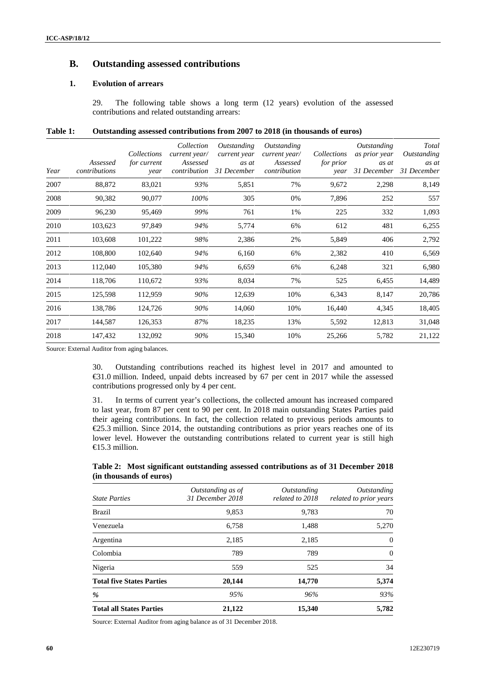### **B. Outstanding assessed contributions**

#### **1. Evolution of arrears**

29. The following table shows a long term (12 years) evolution of the assessed contributions and related outstanding arrears:

| Table 1: | Outstanding assessed contributions from 2007 to 2018 (in thousands of euros) |  |
|----------|------------------------------------------------------------------------------|--|
|----------|------------------------------------------------------------------------------|--|

| Year | Assessed<br>contributions | Collections<br>for current<br>year | Collection<br>current year/<br>Assessed<br>contribution | <i>Outstanding</i><br>current year<br>as at<br>31 December | Outstanding<br>current year/<br>Assessed<br>contribution | Collections<br><i>for prior</i><br>year | Outstanding<br>as prior year<br>as at<br>31 December | Total<br>Outstanding<br>as at<br>31 December |
|------|---------------------------|------------------------------------|---------------------------------------------------------|------------------------------------------------------------|----------------------------------------------------------|-----------------------------------------|------------------------------------------------------|----------------------------------------------|
| 2007 | 88,872                    | 83,021                             | 93%                                                     | 5,851                                                      | 7%                                                       | 9,672                                   | 2,298                                                | 8,149                                        |
| 2008 | 90,382                    | 90,077                             | 100%                                                    | 305                                                        | 0%                                                       | 7,896                                   | 252                                                  | 557                                          |
| 2009 | 96,230                    | 95,469                             | 99%                                                     | 761                                                        | 1%                                                       | 225                                     | 332                                                  | 1,093                                        |
| 2010 | 103,623                   | 97,849                             | 94%                                                     | 5,774                                                      | 6%                                                       | 612                                     | 481                                                  | 6,255                                        |
| 2011 | 103,608                   | 101,222                            | 98%                                                     | 2,386                                                      | 2%                                                       | 5,849                                   | 406                                                  | 2,792                                        |
| 2012 | 108,800                   | 102,640                            | 94%                                                     | 6,160                                                      | 6%                                                       | 2,382                                   | 410                                                  | 6,569                                        |
| 2013 | 112,040                   | 105,380                            | 94%                                                     | 6,659                                                      | 6%                                                       | 6,248                                   | 321                                                  | 6,980                                        |
| 2014 | 118,706                   | 110,672                            | 93%                                                     | 8,034                                                      | 7%                                                       | 525                                     | 6,455                                                | 14,489                                       |
| 2015 | 125,598                   | 112,959                            | 90%                                                     | 12,639                                                     | 10%                                                      | 6,343                                   | 8,147                                                | 20,786                                       |
| 2016 | 138,786                   | 124,726                            | 90%                                                     | 14,060                                                     | 10%                                                      | 16,440                                  | 4,345                                                | 18,405                                       |
| 2017 | 144,587                   | 126,353                            | 87%                                                     | 18,235                                                     | 13%                                                      | 5,592                                   | 12,813                                               | 31,048                                       |
| 2018 | 147,432                   | 132,092                            | 90%                                                     | 15,340                                                     | 10%                                                      | 25,266                                  | 5,782                                                | 21,122                                       |

Source: External Auditor from aging balances.

30. Outstanding contributions reached its highest level in 2017 and amounted to €31.0 million. Indeed, unpaid debts increased by 67 per cent in 2017 while the assessed contributions progressed only by 4 per cent.

31. In terms of current year's collections, the collected amount has increased compared to last year, from 87 per cent to 90 per cent. In 2018 main outstanding States Parties paid their ageing contributions. In fact, the collection related to previous periods amounts to  $\epsilon$ 25.3 million. Since 2014, the outstanding contributions as prior years reaches one of its lower level. However the outstanding contributions related to current year is still high €15.3 million.

#### **Table 2: Most significant outstanding assessed contributions as of 31 December 2018 (in thousands of euros)**

| <b>State Parties</b>             | Outstanding as of<br>31 December 2018 | Outstanding<br>related to 2018 | Outstanding<br>related to prior years |
|----------------------------------|---------------------------------------|--------------------------------|---------------------------------------|
| Brazil                           | 9,853                                 | 9,783                          | 70                                    |
| Venezuela                        | 6,758                                 | 1,488                          | 5,270                                 |
| Argentina                        | 2,185                                 | 2,185                          | 0                                     |
| Colombia                         | 789                                   | 789                            | 0                                     |
| Nigeria                          | 559                                   | 525                            | 34                                    |
| <b>Total five States Parties</b> | 20,144                                | 14,770                         | 5,374                                 |
| %                                | 95%                                   | 96%                            | 93%                                   |
| <b>Total all States Parties</b>  | 21,122                                | 15,340                         | 5,782                                 |

Source: External Auditor from aging balance as of 31 December 2018.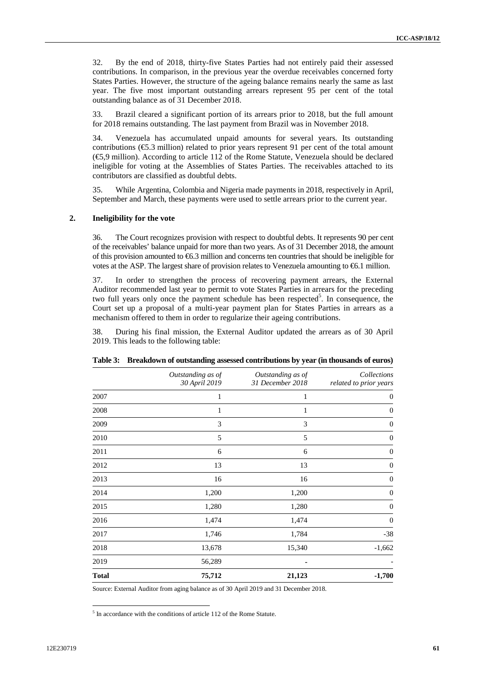32. By the end of 2018, thirty-five States Parties had not entirely paid their assessed contributions. In comparison, in the previous year the overdue receivables concerned forty States Parties. However, the structure of the ageing balance remains nearly the same as last year. The five most important outstanding arrears represent 95 per cent of the total outstanding balance as of 31 December 2018.

33. Brazil cleared a significant portion of its arrears prior to 2018, but the full amount for 2018 remains outstanding. The last payment from Brazil was in November 2018.

34. Venezuela has accumulated unpaid amounts for several years. Its outstanding contributions (€5.3 million) related to prior years represent 91 per cent of the total amount (€5,9 million). According to article 112 of the Rome Statute, Venezuela should be declared ineligible for voting at the Assemblies of States Parties. The receivables attached to its contributors are classified as doubtful debts.

35. While Argentina, Colombia and Nigeria made payments in 2018, respectively in April, September and March, these payments were used to settle arrears prior to the current year.

#### **2. Ineligibility for the vote**

36. The Court recognizes provision with respect to doubtful debts. It represents 90 per cent of the receivables' balance unpaid for more than two years. As of 31 December 2018, the amount of this provision amounted to  $\epsilon$ 6.3 million and concerns ten countries that should be ineligible for votes at the ASP. The largest share of provision relates to Venezuela amounting to €6.1 million.

37. In order to strengthen the process of recovering payment arrears, the External Auditor recommended last year to permit to vote States Parties in arrears for the preceding two full years only once the payment schedule has been respected<sup>5</sup>. In consequence, the Court set up a proposal of a multi-year payment plan for States Parties in arrears as a mechanism offered to them in order to regularize their ageing contributions.

38. During his final mission, the External Auditor updated the arrears as of 30 April 2019. This leads to the following table:

|              | Outstanding as of<br>30 April 2019 | Outstanding as of<br>31 December 2018 | Collections<br>related to prior years |
|--------------|------------------------------------|---------------------------------------|---------------------------------------|
| 2007         | 1                                  | 1                                     | $\overline{0}$                        |
| 2008         | 1                                  | 1                                     | $\overline{0}$                        |
| 2009         | 3                                  | 3                                     | $\overline{0}$                        |
| 2010         | 5                                  | 5                                     | $\overline{0}$                        |
| 2011         | 6                                  | 6                                     | $\theta$                              |
| 2012         | 13                                 | 13                                    | $\overline{0}$                        |
| 2013         | 16                                 | 16                                    | $\boldsymbol{0}$                      |
| 2014         | 1,200                              | 1,200                                 | $\Omega$                              |
| 2015         | 1,280                              | 1,280                                 | $\overline{0}$                        |
| 2016         | 1,474                              | 1,474                                 | $\overline{0}$                        |
| 2017         | 1,746                              | 1,784                                 | $-38$                                 |
| 2018         | 13,678                             | 15,340                                | $-1,662$                              |
| 2019         | 56,289                             |                                       |                                       |
| <b>Total</b> | 75,712                             | 21,123                                | $-1,700$                              |

**Table 3: Breakdown of outstanding assessed contributions by year (in thousands of euros)**

Source: External Auditor from aging balance as of 30 April 2019 and 31 December 2018.

 $<sup>5</sup>$  In accordance with the conditions of article 112 of the Rome Statute.</sup>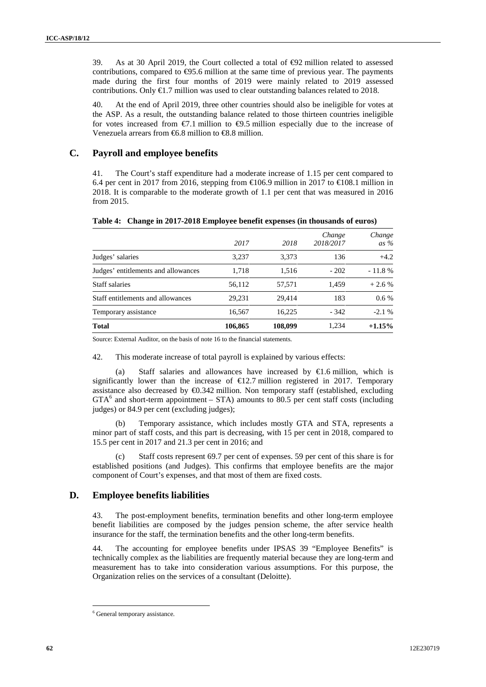39. As at 30 April 2019, the Court collected a total of €92 million related to assessed contributions, compared to  $\Theta$ 5.6 million at the same time of previous year. The payments made during the first four months of 2019 were mainly related to 2019 assessed contributions. Only  $\bigoplus$  7 million was used to clear outstanding balances related to 2018.

40. At the end of April 2019, three other countries should also be ineligible for votes at the ASP. As a result, the outstanding balance related to those thirteen countries ineligible for votes increased from  $\epsilon$ . 1 million to  $\epsilon$ . 69.5 million especially due to the increase of Venezuela arrears from  $66.8$  million to  $68.8$  million.

### **C. Payroll and employee benefits**

41. The Court's staff expenditure had a moderate increase of 1.15 per cent compared to 6.4 per cent in 2017 from 2016, stepping from  $\in$  106.9 million in 2017 to  $\in$  108.1 million in 2018. It is comparable to the moderate growth of 1.1 per cent that was measured in 2016 from 2015.

|                                     | 2017    | 2018    | Change<br>2018/2017 | Change<br>as $\%$ |
|-------------------------------------|---------|---------|---------------------|-------------------|
| Judges' salaries                    | 3,237   | 3.373   | 136                 | $+4.2$            |
| Judges' entitlements and allowances | 1,718   | 1,516   | $-202$              | $-11.8%$          |
| Staff salaries                      | 56,112  | 57.571  | 1.459               | $+2.6%$           |
| Staff entitlements and allowances   | 29.231  | 29.414  | 183                 | $0.6\%$           |
| Temporary assistance                | 16.567  | 16.225  | $-342$              | $-2.1%$           |
| <b>Total</b>                        | 106,865 | 108,099 | 1,234               | $+1.15%$          |

**Table 4: Change in 2017-2018 Employee benefit expenses (in thousands of euros)**

Source: External Auditor, on the basis of note 16 to the financial statements.

42. This moderate increase of total payroll is explained by various effects:

(a) Staff salaries and allowances have increased by  $\in$ 1.6 million, which is significantly lower than the increase of  $\epsilon$ 12.7 million registered in 2017. Temporary assistance also decreased by  $\Theta$ .342 million. Non temporary staff (established, excluding  $GTA<sup>6</sup>$  and short-term appointment – STA) amounts to 80.5 per cent staff costs (including judges) or 84.9 per cent (excluding judges);

Temporary assistance, which includes mostly GTA and STA, represents a minor part of staff costs, and this part is decreasing, with 15 per cent in 2018, compared to 15.5 per cent in 2017 and 21.3 per cent in 2016; and

(c) Staff costs represent 69.7 per cent of expenses. 59 per cent of this share is for established positions (and Judges). This confirms that employee benefits are the major component of Court's expenses, and that most of them are fixed costs.

### **D. Employee benefits liabilities**

43. The post-employment benefits, termination benefits and other long-term employee benefit liabilities are composed by the judges pension scheme, the after service health insurance for the staff, the termination benefits and the other long-term benefits.

44. The accounting for employee benefits under IPSAS 39 "Employee Benefits" is technically complex as the liabilities are frequently material because they are long-term and measurement has to take into consideration various assumptions. For this purpose, the Organization relies on the services of a consultant (Deloitte).

<sup>6</sup> General temporary assistance.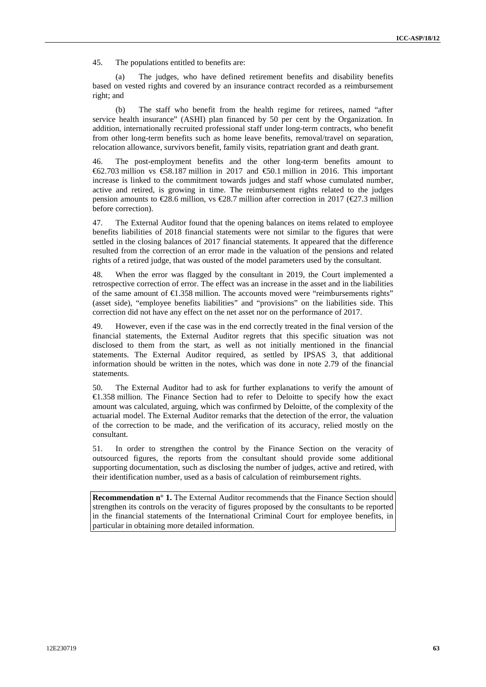45. The populations entitled to benefits are:

(a) The judges, who have defined retirement benefits and disability benefits based on vested rights and covered by an insurance contract recorded as a reimbursement right; and

(b) The staff who benefit from the health regime for retirees, named "after service health insurance" (ASHI) plan financed by 50 per cent by the Organization. In addition, internationally recruited professional staff under long-term contracts, who benefit from other long-term benefits such as home leave benefits, removal/travel on separation, relocation allowance, survivors benefit, family visits, repatriation grant and death grant.

46. The post-employment benefits and the other long-term benefits amount to €62.703 million vs €58.187 million in 2017 and €50.1 million in 2016. This important increase is linked to the commitment towards judges and staff whose cumulated number, active and retired, is growing in time. The reimbursement rights related to the judges pension amounts to  $\text{\textsterling}8.6$  million, vs  $\text{\textsterling}8.7$  million after correction in 2017 ( $\text{\textsterling}7.3$  million before correction).

47. The External Auditor found that the opening balances on items related to employee benefits liabilities of 2018 financial statements were not similar to the figures that were settled in the closing balances of 2017 financial statements. It appeared that the difference resulted from the correction of an error made in the valuation of the pensions and related rights of a retired judge, that was ousted of the model parameters used by the consultant.

48. When the error was flagged by the consultant in 2019, the Court implemented a retrospective correction of error. The effect was an increase in the asset and in the liabilities of the same amount of  $\epsilon$ 1.358 million. The accounts moved were "reimbursements rights" (asset side), "employee benefits liabilities" and "provisions" on the liabilities side. This correction did not have any effect on the net asset nor on the performance of 2017.

49. However, even if the case was in the end correctly treated in the final version of the financial statements, the External Auditor regrets that this specific situation was not disclosed to them from the start, as well as not initially mentioned in the financial statements. The External Auditor required, as settled by IPSAS 3, that additional information should be written in the notes, which was done in note 2.79 of the financial statements.

50. The External Auditor had to ask for further explanations to verify the amount of €1.358 million. The Finance Section had to refer to Deloitte to specify how the exact amount was calculated, arguing, which was confirmed by Deloitte, of the complexity of the actuarial model. The External Auditor remarks that the detection of the error, the valuation of the correction to be made, and the verification of its accuracy, relied mostly on the consultant.

51. In order to strengthen the control by the Finance Section on the veracity of outsourced figures, the reports from the consultant should provide some additional supporting documentation, such as disclosing the number of judges, active and retired, with their identification number, used as a basis of calculation of reimbursement rights.

**Recommendation n° 1.** The External Auditor recommends that the Finance Section should strengthen its controls on the veracity of figures proposed by the consultants to be reported in the financial statements of the International Criminal Court for employee benefits, in particular in obtaining more detailed information.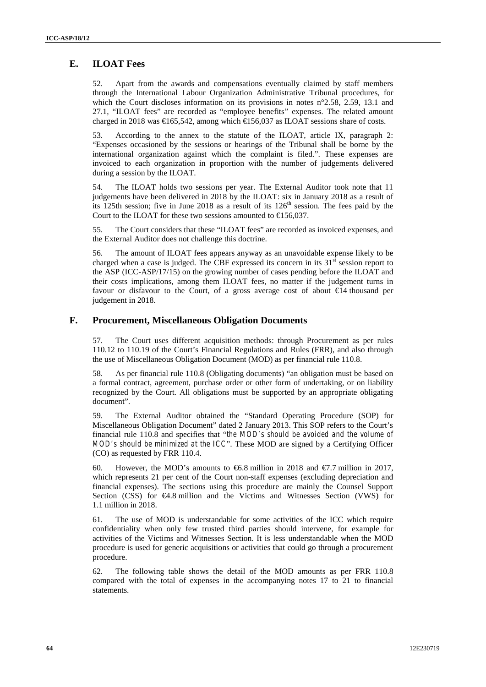### **E. ILOAT Fees**

52. Apart from the awards and compensations eventually claimed by staff members through the International Labour Organization Administrative Tribunal procedures, for which the Court discloses information on its provisions in notes n°2.58, 2.59, 13.1 and 27.1, "ILOAT fees" are recorded as "employee benefits" expenses. The related amount charged in 2018 was  $\bigoplus 65,542$ , among which  $\bigoplus 56,037$  as ILOAT sessions share of costs.

53. According to the annex to the statute of the ILOAT, article IX, paragraph 2: "Expenses occasioned by the sessions or hearings of the Tribunal shall be borne by the international organization against which the complaint is filed.". These expenses are invoiced to each organization in proportion with the number of judgements delivered during a session by the ILOAT.

54. The ILOAT holds two sessions per year. The External Auditor took note that 11 judgements have been delivered in 2018 by the ILOAT: six in January 2018 as a result of its 125th session; five in June 2018 as a result of its  $126<sup>th</sup>$  session. The fees paid by the Court to the ILOAT for these two sessions amounted to  $\epsilon$  56.037.

55. The Court considers that these "ILOAT fees" are recorded as invoiced expenses, and the External Auditor does not challenge this doctrine.

56. The amount of ILOAT fees appears anyway as an unavoidable expense likely to be charged when a case is judged. The CBF expressed its concern in its  $31<sup>st</sup>$  session report to the ASP (ICC-ASP/17/15) on the growing number of cases pending before the ILOAT and their costs implications, among them ILOAT fees, no matter if the judgement turns in favour or disfavour to the Court, of a gross average cost of about  $\bigoplus$  4 thousand per judgement in 2018.

#### **F. Procurement, Miscellaneous Obligation Documents**

57. The Court uses different acquisition methods: through Procurement as per rules 110.12 to 110.19 of the Court's Financial Regulations and Rules (FRR), and also through the use of Miscellaneous Obligation Document (MOD) as per financial rule 110.8.

58. As per financial rule 110.8 (Obligating documents) "an obligation must be based on a formal contract, agreement, purchase order or other form of undertaking, or on liability recognized by the Court. All obligations must be supported by an appropriate obligating document".

59. The External Auditor obtained the "Standard Operating Procedure (SOP) for Miscellaneous Obligation Document" dated 2 January 2013. This SOP refers to the Court's financial rule 110.8 and specifies that "*the MOD's should be avoided and the volume of MOD's should be minimized at the ICC*". These MOD are signed by a Certifying Officer (CO) as requested by FRR 110.4.

60. However, the MOD's amounts to  $6.8$  million in 2018 and  $6.7$  million in 2017, which represents 21 per cent of the Court non-staff expenses (excluding depreciation and financial expenses). The sections using this procedure are mainly the Counsel Support Section (CSS) for €4.8 million and the Victims and Witnesses Section (VWS) for 1.1 million in 2018.

61. The use of MOD is understandable for some activities of the ICC which require confidentiality when only few trusted third parties should intervene, for example for activities of the Victims and Witnesses Section. It is less understandable when the MOD procedure is used for generic acquisitions or activities that could go through a procurement procedure.

62. The following table shows the detail of the MOD amounts as per FRR 110.8 compared with the total of expenses in the accompanying notes 17 to 21 to financial statements.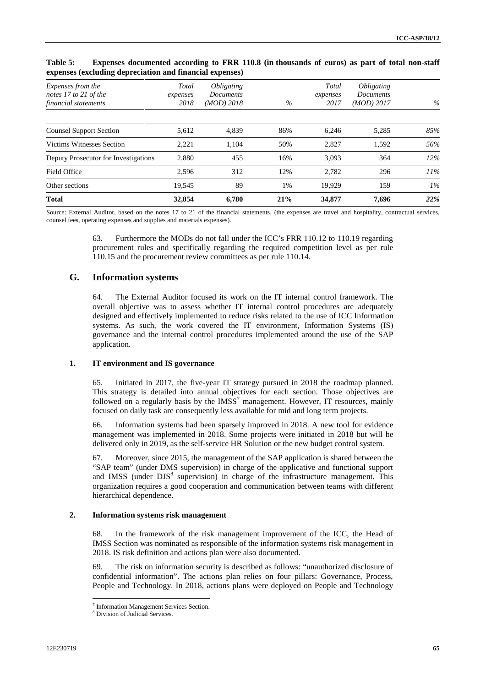| Expenses from the<br>notes 17 to 21 of the | Total<br>expenses | <i><b>Obligating</b></i><br><i>Documents</i> |      | Total<br>expenses | <i><b>Obligating</b></i><br>Documents |       |
|--------------------------------------------|-------------------|----------------------------------------------|------|-------------------|---------------------------------------|-------|
| financial statements                       | 2018              | $(MOD)$ 2018                                 | $\%$ | 2017              | $(MOD)$ 2017                          | $\%$  |
| <b>Counsel Support Section</b>             | 5,612             | 4,839                                        | 86%  | 6.246             | 5,285                                 | 85%   |
| Victims Witnesses Section                  | 2,221             | 1.104                                        | 50%  | 2,827             | 1,592                                 | 56%   |
| Deputy Prosecutor for Investigations       | 2,880             | 455                                          | 16%  | 3,093             | 364                                   | 12%   |
| Field Office                               | 2.596             | 312                                          | 12%  | 2.782             | 296                                   | 11%   |
| Other sections                             | 19.545            | 89                                           | 1%   | 19.929            | 159                                   | $1\%$ |
| <b>Total</b>                               | 32,854            | 6.780                                        | 21%  | 34,877            | 7,696                                 | 22%   |

#### **Table 5: Expenses documented according to FRR 110.8 (in thousands of euros) as part of total non-staff expenses (excluding depreciation and financial expenses)**

Source: External Auditor, based on the notes 17 to 21 of the financial statements, (the expenses are travel and hospitality, contractual services, counsel fees, operating expenses and supplies and materials expenses).

> 63. Furthermore the MODs do not fall under the ICC's FRR 110.12 to 110.19 regarding procurement rules and specifically regarding the required competition level as per rule 110.15 and the procurement review committees as per rule 110.14.

### **G. Information systems**

64. The External Auditor focused its work on the IT internal control framework. The overall objective was to assess whether IT internal control procedures are adequately designed and effectively implemented to reduce risks related to the use of ICC Information systems. As such, the work covered the IT environment, Information Systems (IS) governance and the internal control procedures implemented around the use of the SAP application.

#### **1. IT environment and IS governance**

65. Initiated in 2017, the five-year IT strategy pursued in 2018 the roadmap planned. This strategy is detailed into annual objectives for each section. Those objectives are followed on a regularly basis by the  $IMSS<sup>7</sup>$  management. However, IT resources, mainly focused on daily task are consequently less available for mid and long term projects.

66. Information systems had been sparsely improved in 2018. A new tool for evidence management was implemented in 2018. Some projects were initiated in 2018 but will be delivered only in 2019, as the self-service HR Solution or the new budget control system.

67. Moreover, since 2015, the management of the SAP application is shared between the "SAP team" (under DMS supervision) in charge of the applicative and functional support and IMSS (under DJS<sup>8</sup> supervision) in charge of the infrastructure management. This organization requires a good cooperation and communication between teams with different hierarchical dependence.

#### **2. Information systems risk management**

68. In the framework of the risk management improvement of the ICC, the Head of IMSS Section was nominated as responsible of the information systems risk management in 2018. IS risk definition and actions plan were also documented.

69. The risk on information security is described as follows: "unauthorized disclosure of confidential information". The actions plan relies on four pillars: Governance, Process, People and Technology. In 2018, actions plans were deployed on People and Technology

 $\frac{7}{8}$  Information Management Services Section.<br> $\frac{8}{8}$  Division of Judicial Services.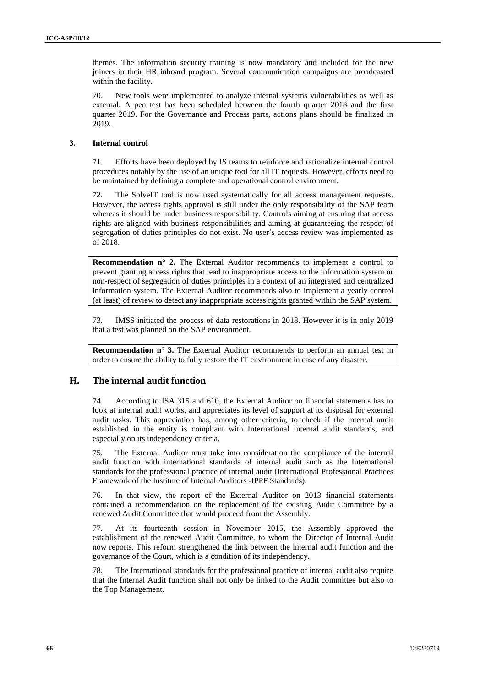themes. The information security training is now mandatory and included for the new joiners in their HR inboard program. Several communication campaigns are broadcasted within the facility.

70. New tools were implemented to analyze internal systems vulnerabilities as well as external. A pen test has been scheduled between the fourth quarter 2018 and the first quarter 2019. For the Governance and Process parts, actions plans should be finalized in 2019.

#### **3. Internal control**

71. Efforts have been deployed by IS teams to reinforce and rationalize internal control procedures notably by the use of an unique tool for all IT requests. However, efforts need to be maintained by defining a complete and operational control environment.

72. The SolveIT tool is now used systematically for all access management requests. However, the access rights approval is still under the only responsibility of the SAP team whereas it should be under business responsibility. Controls aiming at ensuring that access rights are aligned with business responsibilities and aiming at guaranteeing the respect of segregation of duties principles do not exist. No user's access review was implemented as of 2018.

**Recommendation n° 2.** The External Auditor recommends to implement a control to prevent granting access rights that lead to inappropriate access to the information system or non-respect of segregation of duties principles in a context of an integrated and centralized information system. The External Auditor recommends also to implement a yearly control (at least) of review to detect any inappropriate access rights granted within the SAP system.

73. IMSS initiated the process of data restorations in 2018. However it is in only 2019 that a test was planned on the SAP environment.

**Recommendation n° 3.** The External Auditor recommends to perform an annual test in order to ensure the ability to fully restore the IT environment in case of any disaster.

### **H. The internal audit function**

74. According to ISA 315 and 610, the External Auditor on financial statements has to look at internal audit works, and appreciates its level of support at its disposal for external audit tasks. This appreciation has, among other criteria, to check if the internal audit established in the entity is compliant with International internal audit standards, and especially on its independency criteria.

75. The External Auditor must take into consideration the compliance of the internal audit function with international standards of internal audit such as the International standards for the professional practice of internal audit (International Professional Practices Framework of the Institute of Internal Auditors -IPPF Standards).

76. In that view, the report of the External Auditor on 2013 financial statements contained a recommendation on the replacement of the existing Audit Committee by a renewed Audit Committee that would proceed from the Assembly.

77. At its fourteenth session in November 2015, the Assembly approved the establishment of the renewed Audit Committee, to whom the Director of Internal Audit now reports. This reform strengthened the link between the internal audit function and the governance of the Court, which is a condition of its independency.

78. The International standards for the professional practice of internal audit also require that the Internal Audit function shall not only be linked to the Audit committee but also to the Top Management.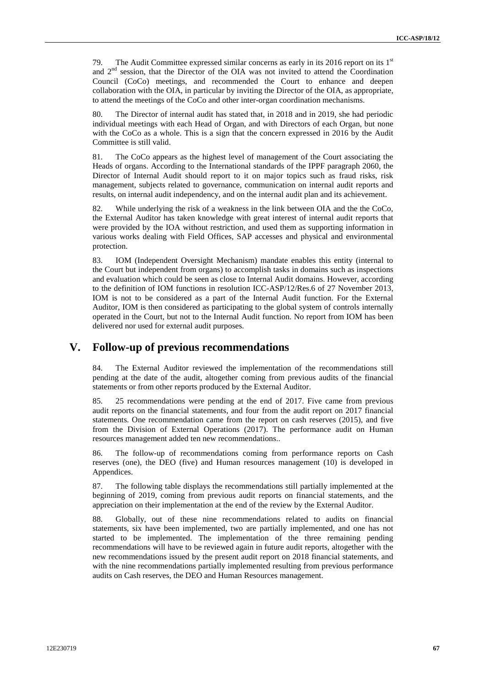79. The Audit Committee expressed similar concerns as early in its 2016 report on its  $1<sup>st</sup>$ and  $2<sup>nd</sup>$  session, that the Director of the OIA was not invited to attend the Coordination Council (CoCo) meetings, and recommended the Court to enhance and deepen collaboration with the OIA, in particular by inviting the Director of the OIA, as appropriate, to attend the meetings of the CoCo and other inter-organ coordination mechanisms.

80. The Director of internal audit has stated that, in 2018 and in 2019, she had periodic individual meetings with each Head of Organ, and with Directors of each Organ, but none with the CoCo as a whole. This is a sign that the concern expressed in 2016 by the Audit Committee is still valid.

81. The CoCo appears as the highest level of management of the Court associating the Heads of organs. According to the International standards of the IPPF paragraph 2060, the Director of Internal Audit should report to it on major topics such as fraud risks, risk management, subjects related to governance, communication on internal audit reports and results, on internal audit independency, and on the internal audit plan and its achievement.

82. While underlying the risk of a weakness in the link between OIA and the the CoCo, the External Auditor has taken knowledge with great interest of internal audit reports that were provided by the IOA without restriction, and used them as supporting information in various works dealing with Field Offices, SAP accesses and physical and environmental protection.

83. IOM (Independent Oversight Mechanism) mandate enables this entity (internal to the Court but independent from organs) to accomplish tasks in domains such as inspections and evaluation which could be seen as close to Internal Audit domains. However, according to the definition of IOM functions in resolution ICC-ASP/12/Res.6 of 27 November 2013, IOM is not to be considered as a part of the Internal Audit function. For the External Auditor, IOM is then considered as participating to the global system of controls internally operated in the Court, but not to the Internal Audit function. No report from IOM has been delivered nor used for external audit purposes.

### **V. Follow-up of previous recommendations**

84. The External Auditor reviewed the implementation of the recommendations still pending at the date of the audit, altogether coming from previous audits of the financial statements or from other reports produced by the External Auditor.

85. 25 recommendations were pending at the end of 2017. Five came from previous audit reports on the financial statements, and four from the audit report on 2017 financial statements. One recommendation came from the report on cash reserves (2015), and five from the Division of External Operations (2017). The performance audit on Human resources management added ten new recommendations..

86. The follow-up of recommendations coming from performance reports on Cash reserves (one), the DEO (five) and Human resources management (10) is developed in Appendices.

87. The following table displays the recommendations still partially implemented at the beginning of 2019, coming from previous audit reports on financial statements, and the appreciation on their implementation at the end of the review by the External Auditor.

88. Globally, out of these nine recommendations related to audits on financial statements, six have been implemented, two are partially implemented, and one has not started to be implemented. The implementation of the three remaining pending recommendations will have to be reviewed again in future audit reports, altogether with the new recommendations issued by the present audit report on 2018 financial statements, and with the nine recommendations partially implemented resulting from previous performance audits on Cash reserves, the DEO and Human Resources management.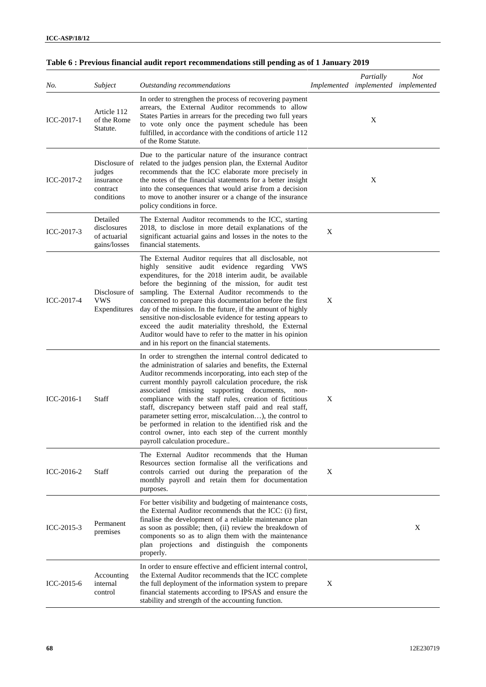| No.          | Subject                                                        | Outstanding recommendations                                                                                                                                                                                                                                                                                                                                                                                                                                                                                                                                                                                                                |   | Partially<br>Implemented implemented implemented | <b>Not</b> |
|--------------|----------------------------------------------------------------|--------------------------------------------------------------------------------------------------------------------------------------------------------------------------------------------------------------------------------------------------------------------------------------------------------------------------------------------------------------------------------------------------------------------------------------------------------------------------------------------------------------------------------------------------------------------------------------------------------------------------------------------|---|--------------------------------------------------|------------|
| ICC-2017-1   | Article 112<br>of the Rome<br>Statute.                         | In order to strengthen the process of recovering payment<br>arrears, the External Auditor recommends to allow<br>States Parties in arrears for the preceding two full years<br>to vote only once the payment schedule has been<br>fulfilled, in accordance with the conditions of article 112<br>of the Rome Statute.                                                                                                                                                                                                                                                                                                                      |   | X                                                |            |
| ICC-2017-2   | Disclosure of<br>judges<br>insurance<br>contract<br>conditions | Due to the particular nature of the insurance contract<br>related to the judges pension plan, the External Auditor<br>recommends that the ICC elaborate more precisely in<br>the notes of the financial statements for a better insight<br>into the consequences that would arise from a decision<br>to move to another insurer or a change of the insurance<br>policy conditions in force.                                                                                                                                                                                                                                                |   | X                                                |            |
| ICC-2017-3   | Detailed<br>disclosures<br>of actuarial<br>gains/losses        | The External Auditor recommends to the ICC, starting<br>2018, to disclose in more detail explanations of the<br>significant actuarial gains and losses in the notes to the<br>financial statements.                                                                                                                                                                                                                                                                                                                                                                                                                                        | X |                                                  |            |
| ICC-2017-4   | Disclosure of<br><b>VWS</b><br>Expenditures                    | The External Auditor requires that all disclosable, not<br>highly sensitive audit evidence regarding VWS<br>expenditures, for the 2018 interim audit, be available<br>before the beginning of the mission, for audit test<br>sampling. The External Auditor recommends to the<br>concerned to prepare this documentation before the first<br>day of the mission. In the future, if the amount of highly<br>sensitive non-disclosable evidence for testing appears to<br>exceed the audit materiality threshold, the External<br>Auditor would have to refer to the matter in his opinion<br>and in his report on the financial statements. | X |                                                  |            |
| $ICC-2016-1$ | Staff                                                          | In order to strengthen the internal control dedicated to<br>the administration of salaries and benefits, the External<br>Auditor recommends incorporating, into each step of the<br>current monthly payroll calculation procedure, the risk<br>(missing supporting documents, non-<br>associated<br>compliance with the staff rules, creation of fictitious<br>staff, discrepancy between staff paid and real staff,<br>parameter setting error, miscalculation), the control to<br>be performed in relation to the identified risk and the<br>control owner, into each step of the current monthly<br>payroll calculation procedure       | X |                                                  |            |
| ICC-2016-2   | Staff                                                          | The External Auditor recommends that the Human<br>Resources section formalise all the verifications and<br>controls carried out during the preparation of the<br>monthly payroll and retain them for documentation<br>purposes.                                                                                                                                                                                                                                                                                                                                                                                                            | X |                                                  |            |
| ICC-2015-3   | Permanent<br>premises                                          | For better visibility and budgeting of maintenance costs,<br>the External Auditor recommends that the ICC: (i) first,<br>finalise the development of a reliable maintenance plan<br>as soon as possible; then, (ii) review the breakdown of<br>components so as to align them with the maintenance<br>plan projections and distinguish the components<br>properly.                                                                                                                                                                                                                                                                         |   |                                                  | X          |
| ICC-2015-6   | Accounting<br>internal<br>control                              | In order to ensure effective and efficient internal control,<br>the External Auditor recommends that the ICC complete<br>the full deployment of the information system to prepare<br>financial statements according to IPSAS and ensure the<br>stability and strength of the accounting function.                                                                                                                                                                                                                                                                                                                                          | X |                                                  |            |

## **Table 6 : Previous financial audit report recommendations still pending as of 1 January 2019**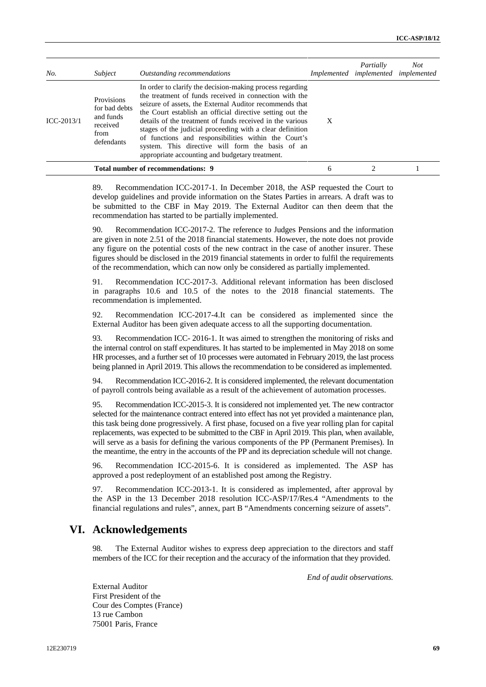| No.          | Subject                                                                    | Outstanding recommendations                                                                                                                                                                                                                                                                                                                                                                                                                                                                                                          |   | Partially<br>Implemented implemented implemented | <b>Not</b> |
|--------------|----------------------------------------------------------------------------|--------------------------------------------------------------------------------------------------------------------------------------------------------------------------------------------------------------------------------------------------------------------------------------------------------------------------------------------------------------------------------------------------------------------------------------------------------------------------------------------------------------------------------------|---|--------------------------------------------------|------------|
| $ICC-2013/1$ | Provisions<br>for bad debts<br>and funds<br>received<br>from<br>defendants | In order to clarify the decision-making process regarding<br>the treatment of funds received in connection with the<br>seizure of assets, the External Auditor recommends that<br>the Court establish an official directive setting out the<br>details of the treatment of funds received in the various<br>stages of the judicial proceeding with a clear definition<br>of functions and responsibilities within the Court's<br>system. This directive will form the basis of an<br>appropriate accounting and budgetary treatment. | X |                                                  |            |
|              |                                                                            | Total number of recommendations: 9                                                                                                                                                                                                                                                                                                                                                                                                                                                                                                   | 6 |                                                  |            |

89. Recommendation ICC-2017-1. In December 2018, the ASP requested the Court to develop guidelines and provide information on the States Parties in arrears. A draft was to be submitted to the CBF in May 2019. The External Auditor can then deem that the recommendation has started to be partially implemented.

90. Recommendation ICC-2017-2. The reference to Judges Pensions and the information are given in note 2.51 of the 2018 financial statements. However, the note does not provide any figure on the potential costs of the new contract in the case of another insurer. These figures should be disclosed in the 2019 financial statements in order to fulfil the requirements of the recommendation, which can now only be considered as partially implemented.

91. Recommendation ICC-2017-3. Additional relevant information has been disclosed in paragraphs 10.6 and 10.5 of the notes to the 2018 financial statements. The recommendation is implemented.

92. Recommendation ICC-2017-4.It can be considered as implemented since the External Auditor has been given adequate access to all the supporting documentation.

93. Recommendation ICC- 2016-1. It was aimed to strengthen the monitoring of risks and the internal control on staff expenditures. It has started to be implemented in May 2018 on some HR processes, and a further set of 10 processes were automated in February 2019, the last process being planned in April 2019. This allows the recommendation to be considered as implemented.

94. Recommendation ICC-2016-2. It is considered implemented, the relevant documentation of payroll controls being available as a result of the achievement of automation processes.

95. Recommendation ICC-2015-3. It is considered not implemented yet. The new contractor selected for the maintenance contract entered into effect has not yet provided a maintenance plan, this task being done progressively. A first phase, focused on a five year rolling plan for capital replacements, was expected to be submitted to the CBF in April 2019. This plan, when available, will serve as a basis for defining the various components of the PP (Permanent Premises). In the meantime, the entry in the accounts of the PP and its depreciation schedule will not change.

96. Recommendation ICC-2015-6. It is considered as implemented. The ASP has approved a post redeployment of an established post among the Registry.

97. Recommendation ICC-2013-1. It is considered as implemented, after approval by the ASP in the 13 December 2018 resolution ICC-ASP/17/Res.4 "Amendments to the financial regulations and rules", annex, part B "Amendments concerning seizure of assets".

### **VI. Acknowledgements**

98. The External Auditor wishes to express deep appreciation to the directors and staff members of the ICC for their reception and the accuracy of the information that they provided.

*End of audit observations.*

External Auditor First President of the Cour des Comptes (France) 13 rue Cambon 75001 Paris, France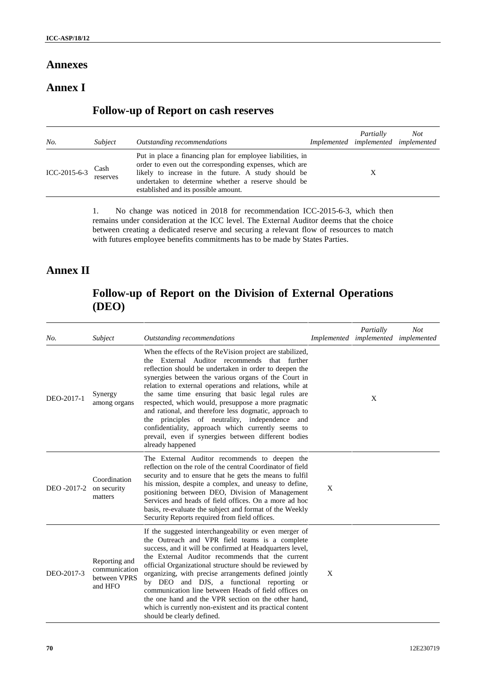### **Annexes**

# **Annex I**

# **Follow-up of Report on cash reserves**

| No.          | Subject          | Outstanding recommendations                                                                                                                                                                                                                                                 | Partially<br>Implemented implemented implemented | Not |
|--------------|------------------|-----------------------------------------------------------------------------------------------------------------------------------------------------------------------------------------------------------------------------------------------------------------------------|--------------------------------------------------|-----|
| ICC-2015-6-3 | Cash<br>reserves | Put in place a financing plan for employee liabilities, in<br>order to even out the corresponding expenses, which are<br>likely to increase in the future. A study should be<br>undertaken to determine whether a reserve should be<br>established and its possible amount. |                                                  |     |

1. No change was noticed in 2018 for recommendation ICC-2015-6-3, which then remains under consideration at the ICC level. The External Auditor deems that the choice between creating a dedicated reserve and securing a relevant flow of resources to match with futures employee benefits commitments has to be made by States Parties.

# **Annex II**

# **Follow-up of Report on the Division of External Operations (DEO)**

| No.         | Subject                                                   | Outstanding recommendations                                                                                                                                                                                                                                                                                                                                                                                                                                                                                                                                                                                                                    |   | Partially<br>Implemented implemented implemented | <b>Not</b> |
|-------------|-----------------------------------------------------------|------------------------------------------------------------------------------------------------------------------------------------------------------------------------------------------------------------------------------------------------------------------------------------------------------------------------------------------------------------------------------------------------------------------------------------------------------------------------------------------------------------------------------------------------------------------------------------------------------------------------------------------------|---|--------------------------------------------------|------------|
| DEO-2017-1  | Synergy<br>among organs                                   | When the effects of the ReVision project are stabilized,<br>the External Auditor recommends that further<br>reflection should be undertaken in order to deepen the<br>synergies between the various organs of the Court in<br>relation to external operations and relations, while at<br>the same time ensuring that basic legal rules are<br>respected, which would, presuppose a more pragmatic<br>and rational, and therefore less dogmatic, approach to<br>the principles of neutrality, independence and<br>confidentiality, approach which currently seems to<br>prevail, even if synergies between different bodies<br>already happened |   | X                                                |            |
| DEO -2017-2 | Coordination<br>on security<br>matters                    | The External Auditor recommends to deepen the<br>reflection on the role of the central Coordinator of field<br>security and to ensure that he gets the means to fulfil<br>his mission, despite a complex, and uneasy to define,<br>positioning between DEO, Division of Management<br>Services and heads of field offices. On a more ad hoc<br>basis, re-evaluate the subject and format of the Weekly<br>Security Reports required from field offices.                                                                                                                                                                                        | X |                                                  |            |
| DEO-2017-3  | Reporting and<br>communication<br>between VPRS<br>and HFO | If the suggested interchangeability or even merger of<br>the Outreach and VPR field teams is a complete<br>success, and it will be confirmed at Headquarters level,<br>the External Auditor recommends that the current<br>official Organizational structure should be reviewed by<br>organizing, with precise arrangements defined jointly<br>by DEO and DJS, a functional reporting or<br>communication line between Heads of field offices on<br>the one hand and the VPR section on the other hand,<br>which is currently non-existent and its practical content<br>should be clearly defined.                                             | X |                                                  |            |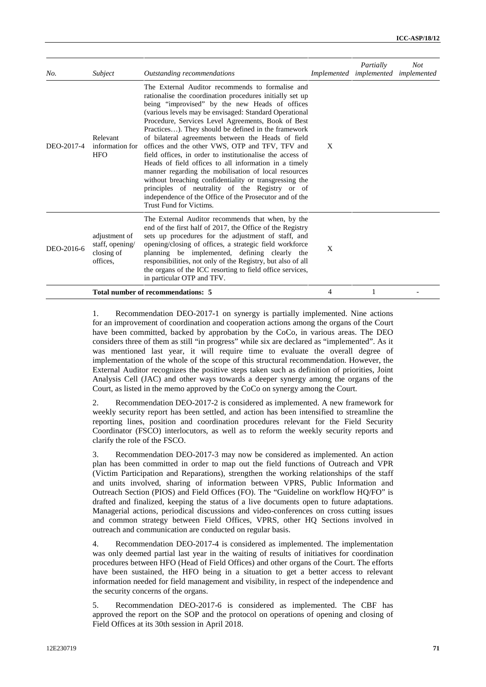| No.        | Subject                                                    | Outstanding recommendations                                                                                                                                                                                                                                                                                                                                                                                                                                                                                                                                                                                                                                                                                                                                                                                                    | Implemented | Partially<br>implemented implemented | <b>Not</b> |
|------------|------------------------------------------------------------|--------------------------------------------------------------------------------------------------------------------------------------------------------------------------------------------------------------------------------------------------------------------------------------------------------------------------------------------------------------------------------------------------------------------------------------------------------------------------------------------------------------------------------------------------------------------------------------------------------------------------------------------------------------------------------------------------------------------------------------------------------------------------------------------------------------------------------|-------------|--------------------------------------|------------|
| DEO-2017-4 | Relevant<br>information for<br><b>HFO</b>                  | The External Auditor recommends to formalise and<br>rationalise the coordination procedures initially set up<br>being "improvised" by the new Heads of offices<br>(various levels may be envisaged: Standard Operational<br>Procedure, Services Level Agreements, Book of Best<br>Practices). They should be defined in the framework<br>of bilateral agreements between the Heads of field<br>offices and the other VWS, OTP and TFV, TFV and<br>field offices, in order to institutionalise the access of<br>Heads of field offices to all information in a timely<br>manner regarding the mobilisation of local resources<br>without breaching confidentiality or transgressing the<br>principles of neutrality of the Registry or of<br>independence of the Office of the Prosecutor and of the<br>Trust Fund for Victims. | X           |                                      |            |
| DEO-2016-6 | adjustment of<br>staff, opening/<br>closing of<br>offices. | The External Auditor recommends that when, by the<br>end of the first half of 2017, the Office of the Registry<br>sets up procedures for the adjustment of staff, and<br>opening/closing of offices, a strategic field workforce<br>planning be implemented, defining clearly the<br>responsibilities, not only of the Registry, but also of all<br>the organs of the ICC resorting to field office services,<br>in particular OTP and TFV.                                                                                                                                                                                                                                                                                                                                                                                    | X           |                                      |            |
|            |                                                            | Total number of recommendations: 5                                                                                                                                                                                                                                                                                                                                                                                                                                                                                                                                                                                                                                                                                                                                                                                             | 4           |                                      |            |

1. Recommendation DEO-2017-1 on synergy is partially implemented. Nine actions for an improvement of coordination and cooperation actions among the organs of the Court have been committed, backed by approbation by the CoCo, in various areas. The DEO considers three of them as still "in progress" while six are declared as "implemented". As it was mentioned last year, it will require time to evaluate the overall degree of implementation of the whole of the scope of this structural recommendation. However, the External Auditor recognizes the positive steps taken such as definition of priorities, Joint Analysis Cell (JAC) and other ways towards a deeper synergy among the organs of the Court, as listed in the memo approved by the CoCo on synergy among the Court.

2. Recommendation DEO-2017-2 is considered as implemented. A new framework for weekly security report has been settled, and action has been intensified to streamline the reporting lines, position and coordination procedures relevant for the Field Security Coordinator (FSCO) interlocutors, as well as to reform the weekly security reports and clarify the role of the FSCO.

3. Recommendation DEO-2017-3 may now be considered as implemented. An action plan has been committed in order to map out the field functions of Outreach and VPR (Victim Participation and Reparations), strengthen the working relationships of the staff and units involved, sharing of information between VPRS, Public Information and Outreach Section (PIOS) and Field Offices (FO). The "Guideline on workflow HQ/FO" is drafted and finalized, keeping the status of a live documents open to future adaptations. Managerial actions, periodical discussions and video-conferences on cross cutting issues and common strategy between Field Offices, VPRS, other HQ Sections involved in outreach and communication are conducted on regular basis.

4. Recommendation DEO-2017-4 is considered as implemented. The implementation was only deemed partial last year in the waiting of results of initiatives for coordination procedures between HFO (Head of Field Offices) and other organs of the Court. The efforts have been sustained, the HFO being in a situation to get a better access to relevant information needed for field management and visibility, in respect of the independence and the security concerns of the organs.

5. Recommendation DEO-2017-6 is considered as implemented. The CBF has approved the report on the SOP and the protocol on operations of opening and closing of Field Offices at its 30th session in April 2018.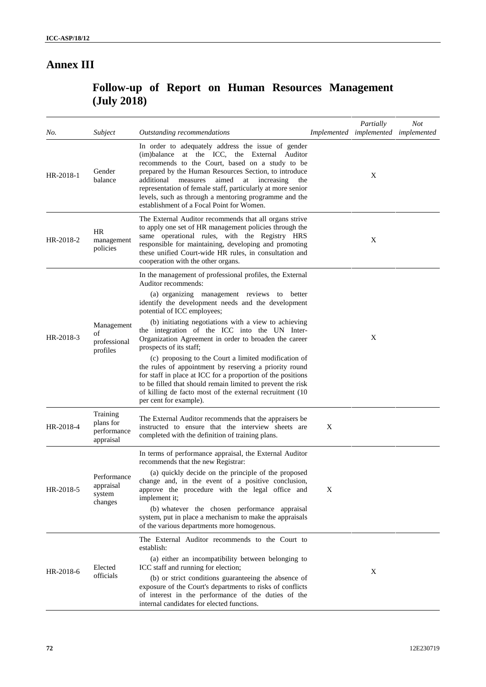# **Annex III**

# **Follow-up of Report on Human Resources Management (July 2018)**

| No.       | Subject                                           | Outstanding recommendations                                                                                                                                                                                                                                                                                                                                                                                                                 |   | Partially<br>Implemented implemented implemented | <b>Not</b> |
|-----------|---------------------------------------------------|---------------------------------------------------------------------------------------------------------------------------------------------------------------------------------------------------------------------------------------------------------------------------------------------------------------------------------------------------------------------------------------------------------------------------------------------|---|--------------------------------------------------|------------|
| HR-2018-1 | Gender<br>balance                                 | In order to adequately address the issue of gender<br>(im)balance at the ICC, the External Auditor<br>recommends to the Court, based on a study to be<br>prepared by the Human Resources Section, to introduce<br>aimed<br>additional measures<br>at increasing<br>the<br>representation of female staff, particularly at more senior<br>levels, such as through a mentoring programme and the<br>establishment of a Focal Point for Women. |   | X                                                |            |
| HR-2018-2 | <b>HR</b><br>management<br>policies               | The External Auditor recommends that all organs strive<br>to apply one set of HR management policies through the<br>same operational rules, with the Registry HRS<br>responsible for maintaining, developing and promoting<br>these unified Court-wide HR rules, in consultation and<br>cooperation with the other organs.                                                                                                                  |   | Χ                                                |            |
| HR-2018-3 |                                                   | In the management of professional profiles, the External<br>Auditor recommends:<br>(a) organizing management reviews to better<br>identify the development needs and the development<br>potential of ICC employees;                                                                                                                                                                                                                         |   |                                                  |            |
|           | Management<br>of<br>professional<br>profiles      | (b) initiating negotiations with a view to achieving<br>the integration of the ICC into the UN Inter-<br>Organization Agreement in order to broaden the career<br>prospects of its staff;                                                                                                                                                                                                                                                   |   | X                                                |            |
|           |                                                   | (c) proposing to the Court a limited modification of<br>the rules of appointment by reserving a priority round<br>for staff in place at ICC for a proportion of the positions<br>to be filled that should remain limited to prevent the risk<br>of killing de facto most of the external recruitment (10)<br>per cent for example).                                                                                                         |   |                                                  |            |
| HR-2018-4 | Training<br>plans for<br>performance<br>appraisal | The External Auditor recommends that the appraisers be<br>instructed to ensure that the interview sheets are<br>completed with the definition of training plans.                                                                                                                                                                                                                                                                            | X |                                                  |            |
|           | Performance<br>appraisal<br>system<br>changes     | In terms of performance appraisal, the External Auditor<br>recommends that the new Registrar:                                                                                                                                                                                                                                                                                                                                               |   |                                                  |            |
| HR-2018-5 |                                                   | (a) quickly decide on the principle of the proposed<br>change and, in the event of a positive conclusion,<br>approve the procedure with the legal office and<br>implement it;                                                                                                                                                                                                                                                               | X |                                                  |            |
|           |                                                   | (b) whatever the chosen performance appraisal<br>system, put in place a mechanism to make the appraisals<br>of the various departments more homogenous.                                                                                                                                                                                                                                                                                     |   |                                                  |            |
| HR-2018-6 |                                                   | The External Auditor recommends to the Court to<br>establish:                                                                                                                                                                                                                                                                                                                                                                               |   |                                                  |            |
|           | Elected                                           | (a) either an incompatibility between belonging to<br>ICC staff and running for election;                                                                                                                                                                                                                                                                                                                                                   |   |                                                  |            |
|           | officials                                         | (b) or strict conditions guaranteeing the absence of<br>exposure of the Court's departments to risks of conflicts<br>of interest in the performance of the duties of the<br>internal candidates for elected functions.                                                                                                                                                                                                                      |   | Χ                                                |            |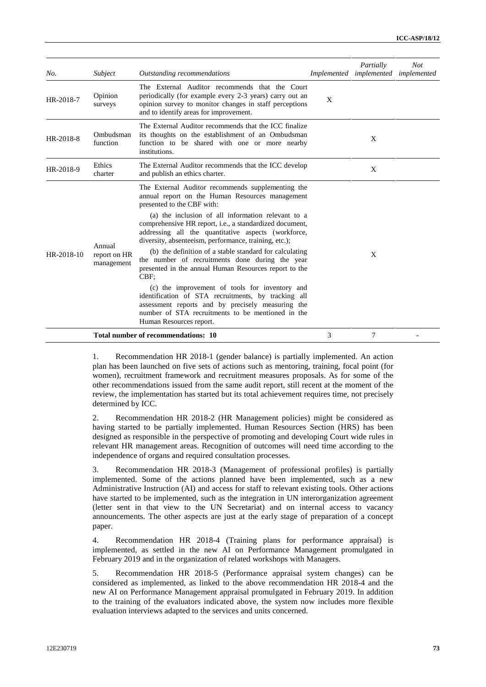| No.        | Subject                              | Outstanding recommendations                                                                                                                                                                                                                |   | Partially<br>Implemented implemented implemented | <b>Not</b> |
|------------|--------------------------------------|--------------------------------------------------------------------------------------------------------------------------------------------------------------------------------------------------------------------------------------------|---|--------------------------------------------------|------------|
| HR-2018-7  | Opinion<br>surveys                   | The External Auditor recommends that the Court<br>periodically (for example every 2-3 years) carry out an<br>opinion survey to monitor changes in staff perceptions<br>and to identify areas for improvement.                              | X |                                                  |            |
| HR-2018-8  | Ombudsman<br>function                | The External Auditor recommends that the ICC finalize<br>its thoughts on the establishment of an Ombudsman<br>function to be shared with one or more nearby<br>institutions.                                                               |   | X                                                |            |
| HR-2018-9  | Ethics<br>charter                    | The External Auditor recommends that the ICC develop<br>and publish an ethics charter.                                                                                                                                                     |   | X                                                |            |
| HR-2018-10 | Annual<br>report on HR<br>management | The External Auditor recommends supplementing the<br>annual report on the Human Resources management<br>presented to the CBF with:                                                                                                         |   | X                                                |            |
|            |                                      | (a) the inclusion of all information relevant to a<br>comprehensive HR report, i.e., a standardized document,<br>addressing all the quantitative aspects (workforce,<br>diversity, absenteeism, performance, training, etc.);              |   |                                                  |            |
|            |                                      | (b) the definition of a stable standard for calculating<br>the number of recruitments done during the year<br>presented in the annual Human Resources report to the<br>CBF:                                                                |   |                                                  |            |
|            |                                      | (c) the improvement of tools for inventory and<br>identification of STA recruitments, by tracking all<br>assessment reports and by precisely measuring the<br>number of STA recruitments to be mentioned in the<br>Human Resources report. |   |                                                  |            |
|            |                                      | Total number of recommendations: 10                                                                                                                                                                                                        | 3 | 7                                                |            |

1. Recommendation HR 2018-1 (gender balance) is partially implemented. An action plan has been launched on five sets of actions such as mentoring, training, focal point (for women), recruitment framework and recruitment measures proposals. As for some of the other recommendations issued from the same audit report, still recent at the moment of the review, the implementation has started but its total achievement requires time, not precisely determined by ICC.

2. Recommendation HR 2018-2 (HR Management policies) might be considered as having started to be partially implemented. Human Resources Section (HRS) has been designed as responsible in the perspective of promoting and developing Court wide rules in relevant HR management areas. Recognition of outcomes will need time according to the independence of organs and required consultation processes.

3. Recommendation HR 2018-3 (Management of professional profiles) is partially implemented. Some of the actions planned have been implemented, such as a new Administrative Instruction (AI) and access for staff to relevant existing tools. Other actions have started to be implemented, such as the integration in UN interorganization agreement (letter sent in that view to the UN Secretariat) and on internal access to vacancy announcements. The other aspects are just at the early stage of preparation of a concept paper.

4. Recommendation HR 2018-4 (Training plans for performance appraisal) is implemented, as settled in the new AI on Performance Management promulgated in February 2019 and in the organization of related workshops with Managers.

5. Recommendation HR 2018-5 (Performance appraisal system changes) can be considered as implemented, as linked to the above recommendation HR 2018-4 and the new AI on Performance Management appraisal promulgated in February 2019. In addition to the training of the evaluators indicated above, the system now includes more flexible evaluation interviews adapted to the services and units concerned.